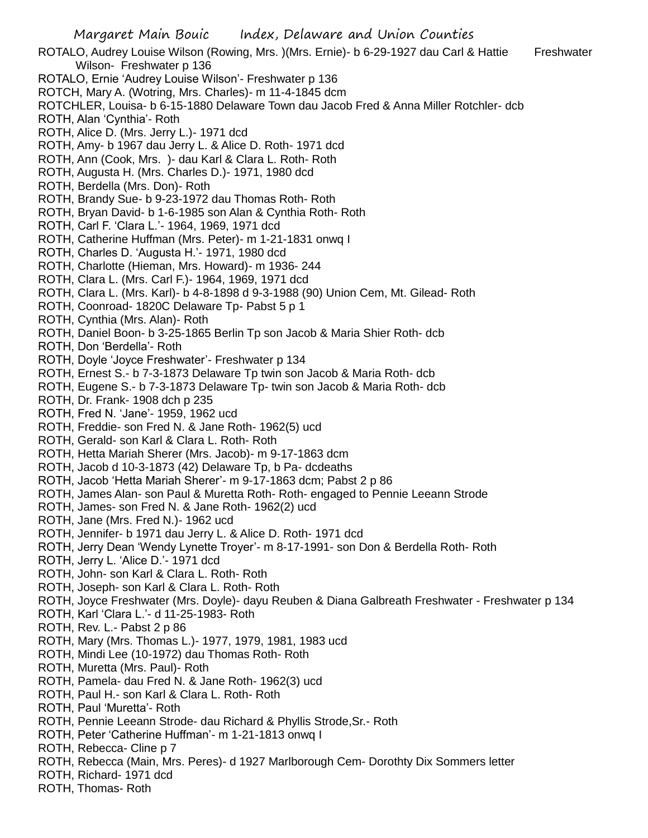Margaret Main Bouic Index, Delaware and Union Counties ROTALO, Audrey Louise Wilson (Rowing, Mrs. )(Mrs. Ernie)- b 6-29-1927 dau Carl & Hattie Freshwater Wilson- Freshwater p 136 ROTALO, Ernie 'Audrey Louise Wilson'- Freshwater p 136 ROTCH, Mary A. (Wotring, Mrs. Charles)- m 11-4-1845 dcm ROTCHLER, Louisa- b 6-15-1880 Delaware Town dau Jacob Fred & Anna Miller Rotchler- dcb ROTH, Alan 'Cynthia'- Roth ROTH, Alice D. (Mrs. Jerry L.)- 1971 dcd ROTH, Amy- b 1967 dau Jerry L. & Alice D. Roth- 1971 dcd ROTH, Ann (Cook, Mrs. )- dau Karl & Clara L. Roth- Roth ROTH, Augusta H. (Mrs. Charles D.)- 1971, 1980 dcd ROTH, Berdella (Mrs. Don)- Roth ROTH, Brandy Sue- b 9-23-1972 dau Thomas Roth- Roth ROTH, Bryan David- b 1-6-1985 son Alan & Cynthia Roth- Roth ROTH, Carl F. 'Clara L.'- 1964, 1969, 1971 dcd ROTH, Catherine Huffman (Mrs. Peter)- m 1-21-1831 onwq I ROTH, Charles D. 'Augusta H.'- 1971, 1980 dcd ROTH, Charlotte (Hieman, Mrs. Howard)- m 1936- 244 ROTH, Clara L. (Mrs. Carl F.)- 1964, 1969, 1971 dcd ROTH, Clara L. (Mrs. Karl)- b 4-8-1898 d 9-3-1988 (90) Union Cem, Mt. Gilead- Roth ROTH, Coonroad- 1820C Delaware Tp- Pabst 5 p 1 ROTH, Cynthia (Mrs. Alan)- Roth ROTH, Daniel Boon- b 3-25-1865 Berlin Tp son Jacob & Maria Shier Roth- dcb ROTH, Don 'Berdella'- Roth ROTH, Doyle 'Joyce Freshwater'- Freshwater p 134 ROTH, Ernest S.- b 7-3-1873 Delaware Tp twin son Jacob & Maria Roth- dcb ROTH, Eugene S.- b 7-3-1873 Delaware Tp- twin son Jacob & Maria Roth- dcb ROTH, Dr. Frank- 1908 dch p 235 ROTH, Fred N. 'Jane'- 1959, 1962 ucd ROTH, Freddie- son Fred N. & Jane Roth- 1962(5) ucd ROTH, Gerald- son Karl & Clara L. Roth- Roth ROTH, Hetta Mariah Sherer (Mrs. Jacob)- m 9-17-1863 dcm ROTH, Jacob d 10-3-1873 (42) Delaware Tp, b Pa- dcdeaths ROTH, Jacob 'Hetta Mariah Sherer'- m 9-17-1863 dcm; Pabst 2 p 86 ROTH, James Alan- son Paul & Muretta Roth- Roth- engaged to Pennie Leeann Strode ROTH, James- son Fred N. & Jane Roth- 1962(2) ucd ROTH, Jane (Mrs. Fred N.)- 1962 ucd ROTH, Jennifer- b 1971 dau Jerry L. & Alice D. Roth- 1971 dcd ROTH, Jerry Dean 'Wendy Lynette Troyer'- m 8-17-1991- son Don & Berdella Roth- Roth ROTH, Jerry L. 'Alice D.'- 1971 dcd ROTH, John- son Karl & Clara L. Roth- Roth ROTH, Joseph- son Karl & Clara L. Roth- Roth ROTH, Joyce Freshwater (Mrs. Doyle)- dayu Reuben & Diana Galbreath Freshwater - Freshwater p 134 ROTH, Karl 'Clara L.'- d 11-25-1983- Roth ROTH, Rev. L.- Pabst 2 p 86 ROTH, Mary (Mrs. Thomas L.)- 1977, 1979, 1981, 1983 ucd ROTH, Mindi Lee (10-1972) dau Thomas Roth- Roth ROTH, Muretta (Mrs. Paul)- Roth ROTH, Pamela- dau Fred N. & Jane Roth- 1962(3) ucd

- ROTH, Paul H.- son Karl & Clara L. Roth- Roth
- ROTH, Paul 'Muretta'- Roth
- ROTH, Pennie Leeann Strode- dau Richard & Phyllis Strode,Sr.- Roth
- ROTH, Peter 'Catherine Huffman'- m 1-21-1813 onwq I
- ROTH, Rebecca- Cline p 7
- ROTH, Rebecca (Main, Mrs. Peres)- d 1927 Marlborough Cem- Dorothty Dix Sommers letter
- ROTH, Richard- 1971 dcd
- ROTH, Thomas- Roth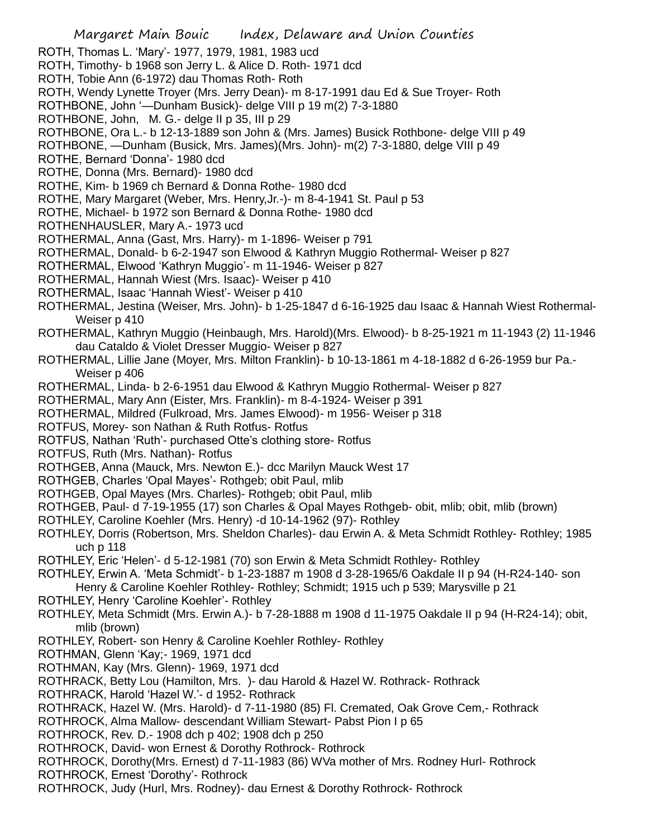Margaret Main Bouic Index, Delaware and Union Counties ROTH, Thomas L. 'Mary'- 1977, 1979, 1981, 1983 ucd ROTH, Timothy- b 1968 son Jerry L. & Alice D. Roth- 1971 dcd ROTH, Tobie Ann (6-1972) dau Thomas Roth- Roth ROTH, Wendy Lynette Troyer (Mrs. Jerry Dean)- m 8-17-1991 dau Ed & Sue Troyer- Roth ROTHBONE, John '—Dunham Busick)- delge VIII p 19 m(2) 7-3-1880 ROTHBONE, John, M. G.- delge II p 35, III p 29 ROTHBONE, Ora L.- b 12-13-1889 son John & (Mrs. James) Busick Rothbone- delge VIII p 49 ROTHBONE, —Dunham (Busick, Mrs. James)(Mrs. John)- m(2) 7-3-1880, delge VIII p 49 ROTHE, Bernard 'Donna'- 1980 dcd ROTHE, Donna (Mrs. Bernard)- 1980 dcd ROTHE, Kim- b 1969 ch Bernard & Donna Rothe- 1980 dcd ROTHE, Mary Margaret (Weber, Mrs. Henry,Jr.-)- m 8-4-1941 St. Paul p 53 ROTHE, Michael- b 1972 son Bernard & Donna Rothe- 1980 dcd ROTHENHAUSLER, Mary A.- 1973 ucd ROTHERMAL, Anna (Gast, Mrs. Harry)- m 1-1896- Weiser p 791 ROTHERMAL, Donald- b 6-2-1947 son Elwood & Kathryn Muggio Rothermal- Weiser p 827 ROTHERMAL, Elwood 'Kathryn Muggio'- m 11-1946- Weiser p 827 ROTHERMAL, Hannah Wiest (Mrs. Isaac)- Weiser p 410 ROTHERMAL, Isaac 'Hannah Wiest'- Weiser p 410 ROTHERMAL, Jestina (Weiser, Mrs. John)- b 1-25-1847 d 6-16-1925 dau Isaac & Hannah Wiest Rothermal-Weiser p 410 ROTHERMAL, Kathryn Muggio (Heinbaugh, Mrs. Harold)(Mrs. Elwood)- b 8-25-1921 m 11-1943 (2) 11-1946 dau Cataldo & Violet Dresser Muggio- Weiser p 827 ROTHERMAL, Lillie Jane (Moyer, Mrs. Milton Franklin)- b 10-13-1861 m 4-18-1882 d 6-26-1959 bur Pa.- Weiser p 406 ROTHERMAL, Linda- b 2-6-1951 dau Elwood & Kathryn Muggio Rothermal- Weiser p 827 ROTHERMAL, Mary Ann (Eister, Mrs. Franklin)- m 8-4-1924- Weiser p 391 ROTHERMAL, Mildred (Fulkroad, Mrs. James Elwood)- m 1956- Weiser p 318 ROTFUS, Morey- son Nathan & Ruth Rotfus- Rotfus ROTFUS, Nathan 'Ruth'- purchased Otte's clothing store- Rotfus ROTFUS, Ruth (Mrs. Nathan)- Rotfus ROTHGEB, Anna (Mauck, Mrs. Newton E.)- dcc Marilyn Mauck West 17 ROTHGEB, Charles 'Opal Mayes'- Rothgeb; obit Paul, mlib ROTHGEB, Opal Mayes (Mrs. Charles)- Rothgeb; obit Paul, mlib ROTHGEB, Paul- d 7-19-1955 (17) son Charles & Opal Mayes Rothgeb- obit, mlib; obit, mlib (brown) ROTHLEY, Caroline Koehler (Mrs. Henry) -d 10-14-1962 (97)- Rothley ROTHLEY, Dorris (Robertson, Mrs. Sheldon Charles)- dau Erwin A. & Meta Schmidt Rothley- Rothley; 1985 uch p 118 ROTHLEY, Eric 'Helen'- d 5-12-1981 (70) son Erwin & Meta Schmidt Rothley- Rothley ROTHLEY, Erwin A. 'Meta Schmidt'- b 1-23-1887 m 1908 d 3-28-1965/6 Oakdale II p 94 (H-R24-140- son Henry & Caroline Koehler Rothley- Rothley; Schmidt; 1915 uch p 539; Marysville p 21 ROTHLEY, Henry 'Caroline Koehler'- Rothley ROTHLEY, Meta Schmidt (Mrs. Erwin A.)- b 7-28-1888 m 1908 d 11-1975 Oakdale II p 94 (H-R24-14); obit, mlib (brown) ROTHLEY, Robert- son Henry & Caroline Koehler Rothley- Rothley ROTHMAN, Glenn 'Kay;- 1969, 1971 dcd ROTHMAN, Kay (Mrs. Glenn)- 1969, 1971 dcd ROTHRACK, Betty Lou (Hamilton, Mrs. )- dau Harold & Hazel W. Rothrack- Rothrack ROTHRACK, Harold 'Hazel W.'- d 1952- Rothrack ROTHRACK, Hazel W. (Mrs. Harold)- d 7-11-1980 (85) Fl. Cremated, Oak Grove Cem,- Rothrack ROTHROCK, Alma Mallow- descendant William Stewart- Pabst Pion I p 65 ROTHROCK, Rev. D.- 1908 dch p 402; 1908 dch p 250 ROTHROCK, David- won Ernest & Dorothy Rothrock- Rothrock ROTHROCK, Dorothy(Mrs. Ernest) d 7-11-1983 (86) WVa mother of Mrs. Rodney Hurl- Rothrock ROTHROCK, Ernest 'Dorothy'- Rothrock ROTHROCK, Judy (Hurl, Mrs. Rodney)- dau Ernest & Dorothy Rothrock- Rothrock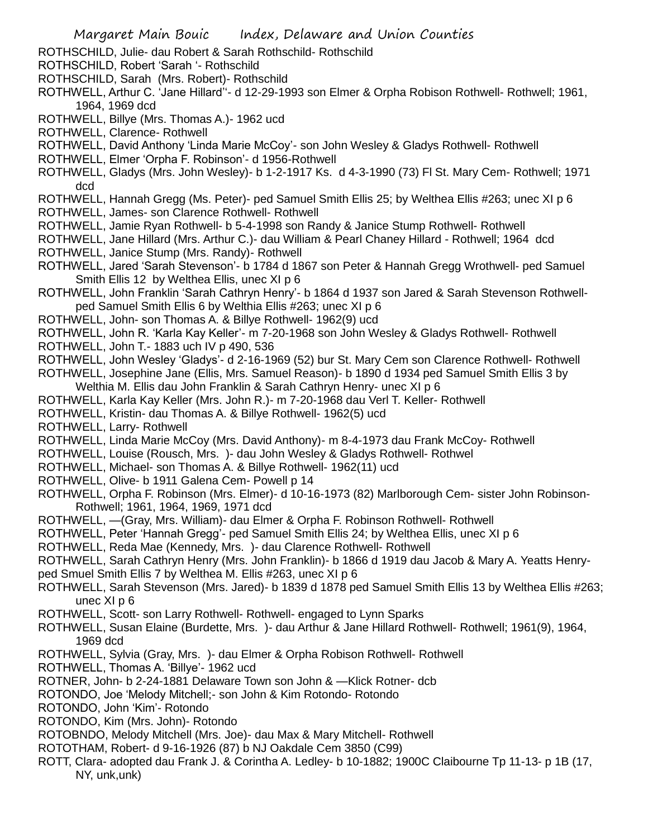- ROTHSCHILD, Julie- dau Robert & Sarah Rothschild- Rothschild
- ROTHSCHILD, Robert 'Sarah '- Rothschild
- ROTHSCHILD, Sarah (Mrs. Robert)- Rothschild
- ROTHWELL, Arthur C. 'Jane Hillard''- d 12-29-1993 son Elmer & Orpha Robison Rothwell- Rothwell; 1961, 1964, 1969 dcd
- ROTHWELL, Billye (Mrs. Thomas A.)- 1962 ucd
- ROTHWELL, Clarence- Rothwell
- ROTHWELL, David Anthony 'Linda Marie McCoy'- son John Wesley & Gladys Rothwell- Rothwell
- ROTHWELL, Elmer 'Orpha F. Robinson'- d 1956-Rothwell
- ROTHWELL, Gladys (Mrs. John Wesley)- b 1-2-1917 Ks. d 4-3-1990 (73) Fl St. Mary Cem- Rothwell; 1971 dcd
- ROTHWELL, Hannah Gregg (Ms. Peter)- ped Samuel Smith Ellis 25; by Welthea Ellis #263; unec XI p 6
- ROTHWELL, James- son Clarence Rothwell- Rothwell
- ROTHWELL, Jamie Ryan Rothwell- b 5-4-1998 son Randy & Janice Stump Rothwell- Rothwell
- ROTHWELL, Jane Hillard (Mrs. Arthur C.)- dau William & Pearl Chaney Hillard Rothwell; 1964 dcd
- ROTHWELL, Janice Stump (Mrs. Randy)- Rothwell
- ROTHWELL, Jared 'Sarah Stevenson'- b 1784 d 1867 son Peter & Hannah Gregg Wrothwell- ped Samuel Smith Ellis 12 by Welthea Ellis, unec XI p 6
- ROTHWELL, John Franklin 'Sarah Cathryn Henry'- b 1864 d 1937 son Jared & Sarah Stevenson Rothwellped Samuel Smith Ellis 6 by Welthia Ellis #263; unec XI p 6
- ROTHWELL, John- son Thomas A. & Billye Rothwell- 1962(9) ucd
- ROTHWELL, John R. 'Karla Kay Keller'- m 7-20-1968 son John Wesley & Gladys Rothwell- Rothwell
- ROTHWELL, John T.- 1883 uch IV p 490, 536
- ROTHWELL, John Wesley 'Gladys'- d 2-16-1969 (52) bur St. Mary Cem son Clarence Rothwell- Rothwell
- ROTHWELL, Josephine Jane (Ellis, Mrs. Samuel Reason)- b 1890 d 1934 ped Samuel Smith Ellis 3 by Welthia M. Ellis dau John Franklin & Sarah Cathryn Henry- unec XI p 6
- ROTHWELL, Karla Kay Keller (Mrs. John R.)- m 7-20-1968 dau Verl T. Keller- Rothwell
- ROTHWELL, Kristin- dau Thomas A. & Billye Rothwell- 1962(5) ucd
- ROTHWELL, Larry- Rothwell
- ROTHWELL, Linda Marie McCoy (Mrs. David Anthony)- m 8-4-1973 dau Frank McCoy- Rothwell
- ROTHWELL, Louise (Rousch, Mrs. )- dau John Wesley & Gladys Rothwell- Rothwel
- ROTHWELL, Michael- son Thomas A. & Billye Rothwell- 1962(11) ucd
- ROTHWELL, Olive- b 1911 Galena Cem- Powell p 14
- ROTHWELL, Orpha F. Robinson (Mrs. Elmer)- d 10-16-1973 (82) Marlborough Cem- sister John Robinson-Rothwell; 1961, 1964, 1969, 1971 dcd
- ROTHWELL, —(Gray, Mrs. William)- dau Elmer & Orpha F. Robinson Rothwell- Rothwell
- ROTHWELL, Peter 'Hannah Gregg'- ped Samuel Smith Ellis 24; by Welthea Ellis, unec XI p 6
- ROTHWELL, Reda Mae (Kennedy, Mrs. )- dau Clarence Rothwell- Rothwell
- ROTHWELL, Sarah Cathryn Henry (Mrs. John Franklin)- b 1866 d 1919 dau Jacob & Mary A. Yeatts Henryped Smuel Smith Ellis 7 by Welthea M. Ellis #263, unec XI p 6
- ROTHWELL, Sarah Stevenson (Mrs. Jared)- b 1839 d 1878 ped Samuel Smith Ellis 13 by Welthea Ellis #263; unec XI p 6
- ROTHWELL, Scott- son Larry Rothwell- Rothwell- engaged to Lynn Sparks
- ROTHWELL, Susan Elaine (Burdette, Mrs. )- dau Arthur & Jane Hillard Rothwell- Rothwell; 1961(9), 1964, 1969 dcd
- ROTHWELL, Sylvia (Gray, Mrs. )- dau Elmer & Orpha Robison Rothwell- Rothwell
- ROTHWELL, Thomas A. 'Billye'- 1962 ucd
- ROTNER, John- b 2-24-1881 Delaware Town son John & —Klick Rotner- dcb
- ROTONDO, Joe 'Melody Mitchell;- son John & Kim Rotondo- Rotondo
- ROTONDO, John 'Kim'- Rotondo
- ROTONDO, Kim (Mrs. John)- Rotondo
- ROTOBNDO, Melody Mitchell (Mrs. Joe)- dau Max & Mary Mitchell- Rothwell
- ROTOTHAM, Robert- d 9-16-1926 (87) b NJ Oakdale Cem 3850 (C99)
- ROTT, Clara- adopted dau Frank J. & Corintha A. Ledley- b 10-1882; 1900C Claibourne Tp 11-13- p 1B (17, NY, unk,unk)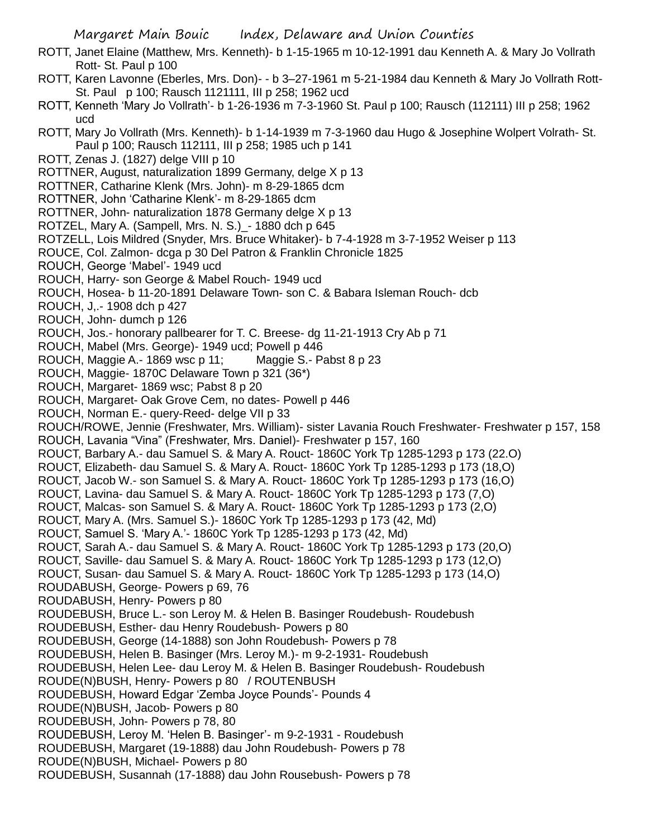- ROTT, Janet Elaine (Matthew, Mrs. Kenneth)- b 1-15-1965 m 10-12-1991 dau Kenneth A. & Mary Jo Vollrath Rott- St. Paul p 100
- ROTT, Karen Lavonne (Eberles, Mrs. Don)- b 3–27-1961 m 5-21-1984 dau Kenneth & Mary Jo Vollrath Rott-St. Paul p 100; Rausch 1121111, III p 258; 1962 ucd
- ROTT, Kenneth 'Mary Jo Vollrath'- b 1-26-1936 m 7-3-1960 St. Paul p 100; Rausch (112111) III p 258; 1962 ucd
- ROTT, Mary Jo Vollrath (Mrs. Kenneth)- b 1-14-1939 m 7-3-1960 dau Hugo & Josephine Wolpert Volrath- St. Paul p 100; Rausch 112111, III p 258; 1985 uch p 141
- ROTT, Zenas J. (1827) delge VIII p 10
- ROTTNER, August, naturalization 1899 Germany, delge X p 13
- ROTTNER, Catharine Klenk (Mrs. John)- m 8-29-1865 dcm
- ROTTNER, John 'Catharine Klenk'- m 8-29-1865 dcm
- ROTTNER, John- naturalization 1878 Germany delge X p 13
- ROTZEL, Mary A. (Sampell, Mrs. N. S.)\_- 1880 dch p 645
- ROTZELL, Lois Mildred (Snyder, Mrs. Bruce Whitaker)- b 7-4-1928 m 3-7-1952 Weiser p 113
- ROUCE, Col. Zalmon- dcga p 30 Del Patron & Franklin Chronicle 1825
- ROUCH, George 'Mabel'- 1949 ucd
- ROUCH, Harry- son George & Mabel Rouch- 1949 ucd
- ROUCH, Hosea- b 11-20-1891 Delaware Town- son C. & Babara Isleman Rouch- dcb
- ROUCH, J,.- 1908 dch p 427
- ROUCH, John- dumch p 126
- ROUCH, Jos.- honorary pallbearer for T. C. Breese- dg 11-21-1913 Cry Ab p 71
- ROUCH, Mabel (Mrs. George)- 1949 ucd; Powell p 446
- ROUCH, Maggie A.- 1869 wsc p 11; Maggie S.- Pabst 8 p 23
- ROUCH, Maggie- 1870C Delaware Town p 321 (36\*)
- ROUCH, Margaret- 1869 wsc; Pabst 8 p 20
- ROUCH, Margaret- Oak Grove Cem, no dates- Powell p 446
- ROUCH, Norman E.- query-Reed- delge VII p 33
- ROUCH/ROWE, Jennie (Freshwater, Mrs. William)- sister Lavania Rouch Freshwater- Freshwater p 157, 158
- ROUCH, Lavania "Vina" (Freshwater, Mrs. Daniel)- Freshwater p 157, 160
- ROUCT, Barbary A.- dau Samuel S. & Mary A. Rouct- 1860C York Tp 1285-1293 p 173 (22.O)
- ROUCT, Elizabeth- dau Samuel S. & Mary A. Rouct- 1860C York Tp 1285-1293 p 173 (18,O)
- ROUCT, Jacob W.- son Samuel S. & Mary A. Rouct- 1860C York Tp 1285-1293 p 173 (16,O)
- ROUCT, Lavina- dau Samuel S. & Mary A. Rouct- 1860C York Tp 1285-1293 p 173 (7,O)
- ROUCT, Malcas- son Samuel S. & Mary A. Rouct- 1860C York Tp 1285-1293 p 173 (2,O)
- ROUCT, Mary A. (Mrs. Samuel S.)- 1860C York Tp 1285-1293 p 173 (42, Md)
- ROUCT, Samuel S. 'Mary A.'- 1860C York Tp 1285-1293 p 173 (42, Md)
- ROUCT, Sarah A.- dau Samuel S. & Mary A. Rouct- 1860C York Tp 1285-1293 p 173 (20,O)
- ROUCT, Saville- dau Samuel S. & Mary A. Rouct- 1860C York Tp 1285-1293 p 173 (12,O)
- ROUCT, Susan- dau Samuel S. & Mary A. Rouct- 1860C York Tp 1285-1293 p 173 (14,O)
- ROUDABUSH, George- Powers p 69, 76
- ROUDABUSH, Henry- Powers p 80
- ROUDEBUSH, Bruce L.- son Leroy M. & Helen B. Basinger Roudebush- Roudebush
- ROUDEBUSH, Esther- dau Henry Roudebush- Powers p 80
- ROUDEBUSH, George (14-1888) son John Roudebush- Powers p 78
- ROUDEBUSH, Helen B. Basinger (Mrs. Leroy M.)- m 9-2-1931- Roudebush
- ROUDEBUSH, Helen Lee- dau Leroy M. & Helen B. Basinger Roudebush- Roudebush
- ROUDE(N)BUSH, Henry- Powers p 80 / ROUTENBUSH
- ROUDEBUSH, Howard Edgar 'Zemba Joyce Pounds'- Pounds 4
- ROUDE(N)BUSH, Jacob- Powers p 80
- ROUDEBUSH, John- Powers p 78, 80
- ROUDEBUSH, Leroy M. 'Helen B. Basinger'- m 9-2-1931 Roudebush
- ROUDEBUSH, Margaret (19-1888) dau John Roudebush- Powers p 78
- ROUDE(N)BUSH, Michael- Powers p 80
- ROUDEBUSH, Susannah (17-1888) dau John Rousebush- Powers p 78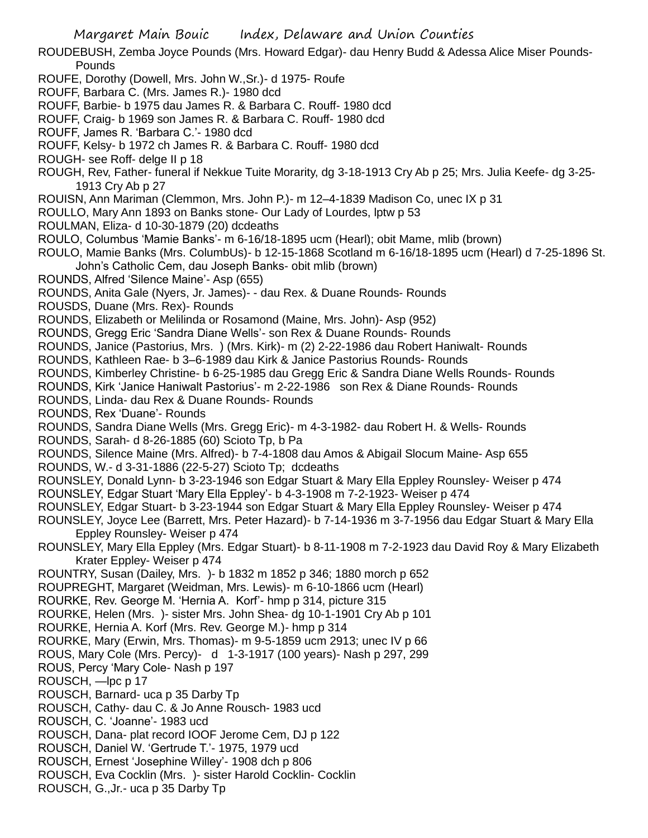- ROUDEBUSH, Zemba Joyce Pounds (Mrs. Howard Edgar)- dau Henry Budd & Adessa Alice Miser Pounds-Pounds
- ROUFE, Dorothy (Dowell, Mrs. John W.,Sr.)- d 1975- Roufe
- ROUFF, Barbara C. (Mrs. James R.)- 1980 dcd
- ROUFF, Barbie- b 1975 dau James R. & Barbara C. Rouff- 1980 dcd
- ROUFF, Craig- b 1969 son James R. & Barbara C. Rouff- 1980 dcd
- ROUFF, James R. 'Barbara C.'- 1980 dcd
- ROUFF, Kelsy- b 1972 ch James R. & Barbara C. Rouff- 1980 dcd
- ROUGH- see Roff- delge II p 18
- ROUGH, Rev, Father- funeral if Nekkue Tuite Morarity, dg 3-18-1913 Cry Ab p 25; Mrs. Julia Keefe- dg 3-25- 1913 Cry Ab p 27
- ROUISN, Ann Mariman (Clemmon, Mrs. John P.)- m 12–4-1839 Madison Co, unec IX p 31
- ROULLO, Mary Ann 1893 on Banks stone- Our Lady of Lourdes, lptw p 53
- ROULMAN, Eliza- d 10-30-1879 (20) dcdeaths
- ROULO, Columbus 'Mamie Banks'- m 6-16/18-1895 ucm (Hearl); obit Mame, mlib (brown)
- ROULO, Mamie Banks (Mrs. ColumbUs)- b 12-15-1868 Scotland m 6-16/18-1895 ucm (Hearl) d 7-25-1896 St. John's Catholic Cem, dau Joseph Banks- obit mlib (brown)
- ROUNDS, Alfred 'Silence Maine'- Asp (655)
- ROUNDS, Anita Gale (Nyers, Jr. James)- dau Rex. & Duane Rounds- Rounds
- ROUSDS, Duane (Mrs. Rex)- Rounds
- ROUNDS, Elizabeth or Melilinda or Rosamond (Maine, Mrs. John)- Asp (952)
- ROUNDS, Gregg Eric 'Sandra Diane Wells'- son Rex & Duane Rounds- Rounds
- ROUNDS, Janice (Pastorius, Mrs. ) (Mrs. Kirk)- m (2) 2-22-1986 dau Robert Haniwalt- Rounds
- ROUNDS, Kathleen Rae- b 3–6-1989 dau Kirk & Janice Pastorius Rounds- Rounds
- ROUNDS, Kimberley Christine- b 6-25-1985 dau Gregg Eric & Sandra Diane Wells Rounds- Rounds
- ROUNDS, Kirk 'Janice Haniwalt Pastorius'- m 2-22-1986 son Rex & Diane Rounds- Rounds
- ROUNDS, Linda- dau Rex & Duane Rounds- Rounds
- ROUNDS, Rex 'Duane'- Rounds
- ROUNDS, Sandra Diane Wells (Mrs. Gregg Eric)- m 4-3-1982- dau Robert H. & Wells- Rounds
- ROUNDS, Sarah- d 8-26-1885 (60) Scioto Tp, b Pa
- ROUNDS, Silence Maine (Mrs. Alfred)- b 7-4-1808 dau Amos & Abigail Slocum Maine- Asp 655 ROUNDS, W.- d 3-31-1886 (22-5-27) Scioto Tp; dcdeaths
- ROUNSLEY, Donald Lynn- b 3-23-1946 son Edgar Stuart & Mary Ella Eppley Rounsley- Weiser p 474
- ROUNSLEY, Edgar Stuart 'Mary Ella Eppley'- b 4-3-1908 m 7-2-1923- Weiser p 474
- ROUNSLEY, Edgar Stuart- b 3-23-1944 son Edgar Stuart & Mary Ella Eppley Rounsley- Weiser p 474
- ROUNSLEY, Joyce Lee (Barrett, Mrs. Peter Hazard)- b 7-14-1936 m 3-7-1956 dau Edgar Stuart & Mary Ella Eppley Rounsley- Weiser p 474
- ROUNSLEY, Mary Ella Eppley (Mrs. Edgar Stuart)- b 8-11-1908 m 7-2-1923 dau David Roy & Mary Elizabeth Krater Eppley- Weiser p 474
- ROUNTRY, Susan (Dailey, Mrs. )- b 1832 m 1852 p 346; 1880 morch p 652
- ROUPREGHT, Margaret (Weidman, Mrs. Lewis)- m 6-10-1866 ucm (Hearl)
- ROURKE, Rev. George M. 'Hernia A. Korf'- hmp p 314, picture 315
- ROURKE, Helen (Mrs. )- sister Mrs. John Shea- dg 10-1-1901 Cry Ab p 101
- ROURKE, Hernia A. Korf (Mrs. Rev. George M.)- hmp p 314
- ROURKE, Mary (Erwin, Mrs. Thomas)- m 9-5-1859 ucm 2913; unec IV p 66
- ROUS, Mary Cole (Mrs. Percy)- d 1-3-1917 (100 years)- Nash p 297, 299
- ROUS, Percy 'Mary Cole- Nash p 197
- ROUSCH, —lpc p 17
- ROUSCH, Barnard- uca p 35 Darby Tp
- ROUSCH, Cathy- dau C. & Jo Anne Rousch- 1983 ucd
- ROUSCH, C. 'Joanne'- 1983 ucd
- ROUSCH, Dana- plat record IOOF Jerome Cem, DJ p 122
- ROUSCH, Daniel W. 'Gertrude T.'- 1975, 1979 ucd
- ROUSCH, Ernest 'Josephine Willey'- 1908 dch p 806
- ROUSCH, Eva Cocklin (Mrs. )- sister Harold Cocklin- Cocklin
- ROUSCH, G.,Jr.- uca p 35 Darby Tp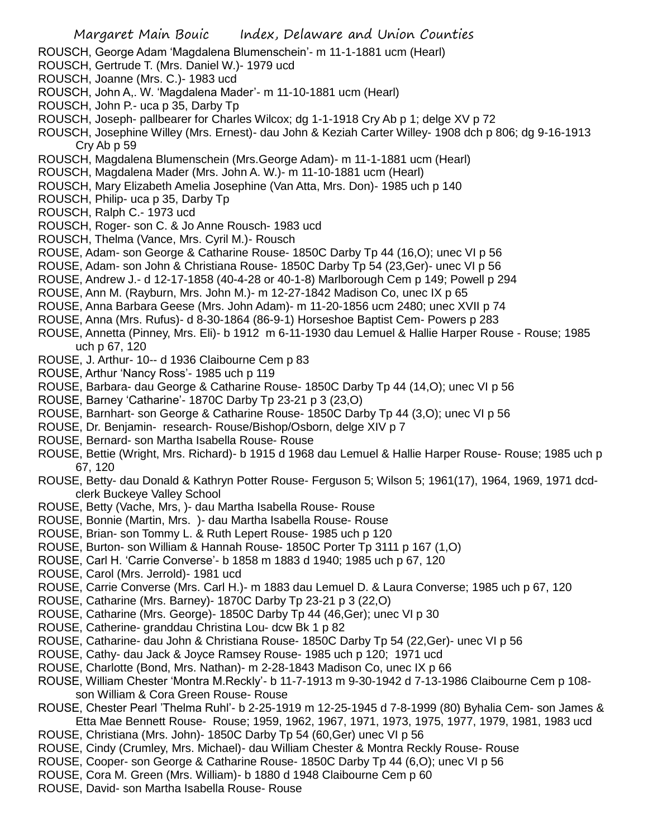- ROUSCH, George Adam 'Magdalena Blumenschein'- m 11-1-1881 ucm (Hearl)
- ROUSCH, Gertrude T. (Mrs. Daniel W.)- 1979 ucd
- ROUSCH, Joanne (Mrs. C.)- 1983 ucd
- ROUSCH, John A,. W. 'Magdalena Mader'- m 11-10-1881 ucm (Hearl)
- ROUSCH, John P.- uca p 35, Darby Tp
- ROUSCH, Joseph- pallbearer for Charles Wilcox; dg 1-1-1918 Cry Ab p 1; delge XV p 72
- ROUSCH, Josephine Willey (Mrs. Ernest)- dau John & Keziah Carter Willey- 1908 dch p 806; dg 9-16-1913 Cry Ab p 59
- ROUSCH, Magdalena Blumenschein (Mrs.George Adam)- m 11-1-1881 ucm (Hearl)
- ROUSCH, Magdalena Mader (Mrs. John A. W.)- m 11-10-1881 ucm (Hearl)
- ROUSCH, Mary Elizabeth Amelia Josephine (Van Atta, Mrs. Don)- 1985 uch p 140
- ROUSCH, Philip- uca p 35, Darby Tp
- ROUSCH, Ralph C.- 1973 ucd
- ROUSCH, Roger- son C. & Jo Anne Rousch- 1983 ucd
- ROUSCH, Thelma (Vance, Mrs. Cyril M.)- Rousch
- ROUSE, Adam- son George & Catharine Rouse- 1850C Darby Tp 44 (16,O); unec VI p 56
- ROUSE, Adam- son John & Christiana Rouse- 1850C Darby Tp 54 (23,Ger)- unec VI p 56
- ROUSE, Andrew J.- d 12-17-1858 (40-4-28 or 40-1-8) Marlborough Cem p 149; Powell p 294
- ROUSE, Ann M. (Rayburn, Mrs. John M.)- m 12-27-1842 Madison Co, unec IX p 65
- ROUSE, Anna Barbara Geese (Mrs. John Adam)- m 11-20-1856 ucm 2480; unec XVII p 74
- ROUSE, Anna (Mrs. Rufus)- d 8-30-1864 (86-9-1) Horseshoe Baptist Cem- Powers p 283
- ROUSE, Annetta (Pinney, Mrs. Eli)- b 1912 m 6-11-1930 dau Lemuel & Hallie Harper Rouse Rouse; 1985 uch p 67, 120
- ROUSE, J. Arthur- 10-- d 1936 Claibourne Cem p 83
- ROUSE, Arthur 'Nancy Ross'- 1985 uch p 119
- ROUSE, Barbara- dau George & Catharine Rouse- 1850C Darby Tp 44 (14,O); unec VI p 56
- ROUSE, Barney 'Catharine'- 1870C Darby Tp 23-21 p 3 (23,O)
- ROUSE, Barnhart- son George & Catharine Rouse- 1850C Darby Tp 44 (3,O); unec VI p 56
- ROUSE, Dr. Benjamin- research- Rouse/Bishop/Osborn, delge XIV p 7
- ROUSE, Bernard- son Martha Isabella Rouse- Rouse
- ROUSE, Bettie (Wright, Mrs. Richard)- b 1915 d 1968 dau Lemuel & Hallie Harper Rouse- Rouse; 1985 uch p 67, 120
- ROUSE, Betty- dau Donald & Kathryn Potter Rouse- Ferguson 5; Wilson 5; 1961(17), 1964, 1969, 1971 dcdclerk Buckeye Valley School
- ROUSE, Betty (Vache, Mrs, )- dau Martha Isabella Rouse- Rouse
- ROUSE, Bonnie (Martin, Mrs. )- dau Martha Isabella Rouse- Rouse
- ROUSE, Brian- son Tommy L. & Ruth Lepert Rouse- 1985 uch p 120
- ROUSE, Burton- son William & Hannah Rouse- 1850C Porter Tp 3111 p 167 (1,O)
- ROUSE, Carl H. 'Carrie Converse'- b 1858 m 1883 d 1940; 1985 uch p 67, 120
- ROUSE, Carol (Mrs. Jerrold)- 1981 ucd
- ROUSE, Carrie Converse (Mrs. Carl H.)- m 1883 dau Lemuel D. & Laura Converse; 1985 uch p 67, 120
- ROUSE, Catharine (Mrs. Barney)- 1870C Darby Tp 23-21 p 3 (22,O)
- ROUSE, Catharine (Mrs. George)- 1850C Darby Tp 44 (46,Ger); unec VI p 30
- ROUSE, Catherine- granddau Christina Lou- dcw Bk 1 p 82
- ROUSE, Catharine- dau John & Christiana Rouse- 1850C Darby Tp 54 (22,Ger)- unec VI p 56
- ROUSE, Cathy- dau Jack & Joyce Ramsey Rouse- 1985 uch p 120; 1971 ucd
- ROUSE, Charlotte (Bond, Mrs. Nathan)- m 2-28-1843 Madison Co, unec IX p 66
- ROUSE, William Chester 'Montra M.Reckly'- b 11-7-1913 m 9-30-1942 d 7-13-1986 Claibourne Cem p 108 son William & Cora Green Rouse- Rouse
- ROUSE, Chester Pearl 'Thelma Ruhl'- b 2-25-1919 m 12-25-1945 d 7-8-1999 (80) Byhalia Cem- son James & Etta Mae Bennett Rouse- Rouse; 1959, 1962, 1967, 1971, 1973, 1975, 1977, 1979, 1981, 1983 ucd
- ROUSE, Christiana (Mrs. John)- 1850C Darby Tp 54 (60,Ger) unec VI p 56
- ROUSE, Cindy (Crumley, Mrs. Michael)- dau William Chester & Montra Reckly Rouse- Rouse
- ROUSE, Cooper- son George & Catharine Rouse- 1850C Darby Tp 44 (6,O); unec VI p 56
- ROUSE, Cora M. Green (Mrs. William)- b 1880 d 1948 Claibourne Cem p 60
- ROUSE, David- son Martha Isabella Rouse- Rouse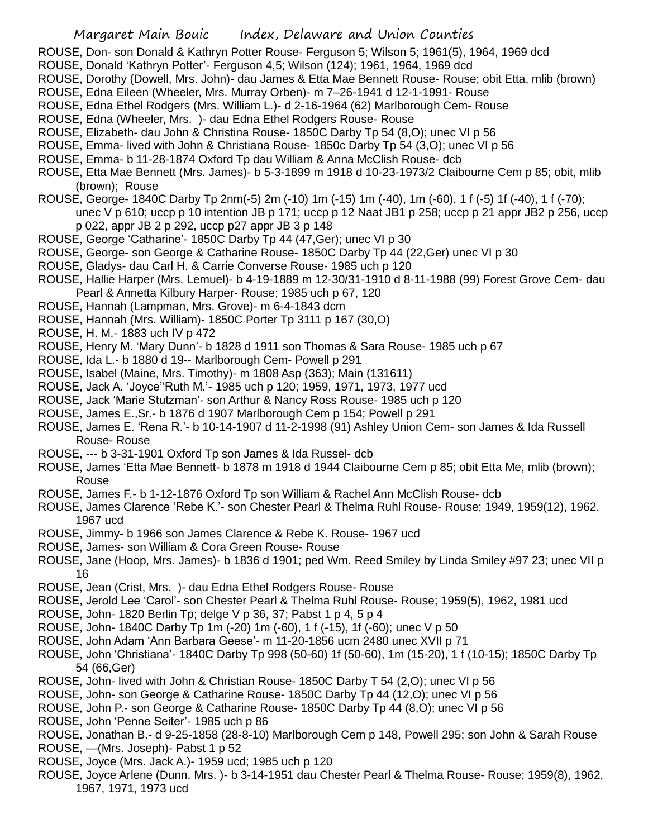- ROUSE, Don- son Donald & Kathryn Potter Rouse- Ferguson 5; Wilson 5; 1961(5), 1964, 1969 dcd
- ROUSE, Donald 'Kathryn Potter'- Ferguson 4,5; Wilson (124); 1961, 1964, 1969 dcd
- ROUSE, Dorothy (Dowell, Mrs. John)- dau James & Etta Mae Bennett Rouse- Rouse; obit Etta, mlib (brown)
- ROUSE, Edna Eileen (Wheeler, Mrs. Murray Orben)- m 7–26-1941 d 12-1-1991- Rouse
- ROUSE, Edna Ethel Rodgers (Mrs. William L.)- d 2-16-1964 (62) Marlborough Cem- Rouse
- ROUSE, Edna (Wheeler, Mrs. )- dau Edna Ethel Rodgers Rouse- Rouse
- ROUSE, Elizabeth- dau John & Christina Rouse- 1850C Darby Tp 54 (8,O); unec VI p 56
- ROUSE, Emma- lived with John & Christiana Rouse- 1850c Darby Tp 54 (3,O); unec VI p 56
- ROUSE, Emma- b 11-28-1874 Oxford Tp dau William & Anna McClish Rouse- dcb
- ROUSE, Etta Mae Bennett (Mrs. James)- b 5-3-1899 m 1918 d 10-23-1973/2 Claibourne Cem p 85; obit, mlib (brown); Rouse
- ROUSE, George- 1840C Darby Tp 2nm(-5) 2m (-10) 1m (-15) 1m (-40), 1m (-60), 1 f (-5) 1f (-40), 1 f (-70); unec V p 610; uccp p 10 intention JB p 171; uccp p 12 Naat JB1 p 258; uccp p 21 appr JB2 p 256, uccp
	- p 022, appr JB 2 p 292, uccp p27 appr JB 3 p 148
- ROUSE, George 'Catharine'- 1850C Darby Tp 44 (47,Ger); unec VI p 30
- ROUSE, George- son George & Catharine Rouse- 1850C Darby Tp 44 (22,Ger) unec VI p 30
- ROUSE, Gladys- dau Carl H. & Carrie Converse Rouse- 1985 uch p 120
- ROUSE, Hallie Harper (Mrs. Lemuel)- b 4-19-1889 m 12-30/31-1910 d 8-11-1988 (99) Forest Grove Cem- dau Pearl & Annetta Kilbury Harper- Rouse; 1985 uch p 67, 120
- ROUSE, Hannah (Lampman, Mrs. Grove)- m 6-4-1843 dcm
- ROUSE, Hannah (Mrs. William)- 1850C Porter Tp 3111 p 167 (30,O)
- ROUSE, H. M.- 1883 uch IV p 472
- ROUSE, Henry M. 'Mary Dunn'- b 1828 d 1911 son Thomas & Sara Rouse- 1985 uch p 67
- ROUSE, Ida L.- b 1880 d 19-- Marlborough Cem- Powell p 291
- ROUSE, Isabel (Maine, Mrs. Timothy)- m 1808 Asp (363); Main (131611)
- ROUSE, Jack A. 'Joyce''Ruth M.'- 1985 uch p 120; 1959, 1971, 1973, 1977 ucd
- ROUSE, Jack 'Marie Stutzman'- son Arthur & Nancy Ross Rouse- 1985 uch p 120
- ROUSE, James E.,Sr.- b 1876 d 1907 Marlborough Cem p 154; Powell p 291
- ROUSE, James E. 'Rena R.'- b 10-14-1907 d 11-2-1998 (91) Ashley Union Cem- son James & Ida Russell Rouse- Rouse
- ROUSE, --- b 3-31-1901 Oxford Tp son James & Ida Russel- dcb
- ROUSE, James 'Etta Mae Bennett- b 1878 m 1918 d 1944 Claibourne Cem p 85; obit Etta Me, mlib (brown); Rouse
- ROUSE, James F.- b 1-12-1876 Oxford Tp son William & Rachel Ann McClish Rouse- dcb
- ROUSE, James Clarence 'Rebe K.'- son Chester Pearl & Thelma Ruhl Rouse- Rouse; 1949, 1959(12), 1962. 1967 ucd
- ROUSE, Jimmy- b 1966 son James Clarence & Rebe K. Rouse- 1967 ucd
- ROUSE, James- son William & Cora Green Rouse- Rouse
- ROUSE, Jane (Hoop, Mrs. James)- b 1836 d 1901; ped Wm. Reed Smiley by Linda Smiley #97 23; unec VII p 16
- ROUSE, Jean (Crist, Mrs. )- dau Edna Ethel Rodgers Rouse- Rouse
- ROUSE, Jerold Lee 'Carol'- son Chester Pearl & Thelma Ruhl Rouse- Rouse; 1959(5), 1962, 1981 ucd
- ROUSE, John- 1820 Berlin Tp; delge V p 36, 37; Pabst 1 p 4, 5 p 4
- ROUSE, John- 1840C Darby Tp 1m (-20) 1m (-60), 1 f (-15), 1f (-60); unec V p 50
- ROUSE, John Adam 'Ann Barbara Geese'- m 11-20-1856 ucm 2480 unec XVII p 71
- ROUSE, John 'Christiana'- 1840C Darby Tp 998 (50-60) 1f (50-60), 1m (15-20), 1 f (10-15); 1850C Darby Tp 54 (66,Ger)
- ROUSE, John- lived with John & Christian Rouse- 1850C Darby T 54 (2,O); unec VI p 56
- ROUSE, John- son George & Catharine Rouse- 1850C Darby Tp 44 (12,O); unec VI p 56
- ROUSE, John P.- son George & Catharine Rouse- 1850C Darby Tp 44 (8,O); unec VI p 56
- ROUSE, John 'Penne Seiter'- 1985 uch p 86
- ROUSE, Jonathan B.- d 9-25-1858 (28-8-10) Marlborough Cem p 148, Powell 295; son John & Sarah Rouse ROUSE, —(Mrs. Joseph)- Pabst 1 p 52
- ROUSE, Joyce (Mrs. Jack A.)- 1959 ucd; 1985 uch p 120
- ROUSE, Joyce Arlene (Dunn, Mrs. )- b 3-14-1951 dau Chester Pearl & Thelma Rouse- Rouse; 1959(8), 1962, 1967, 1971, 1973 ucd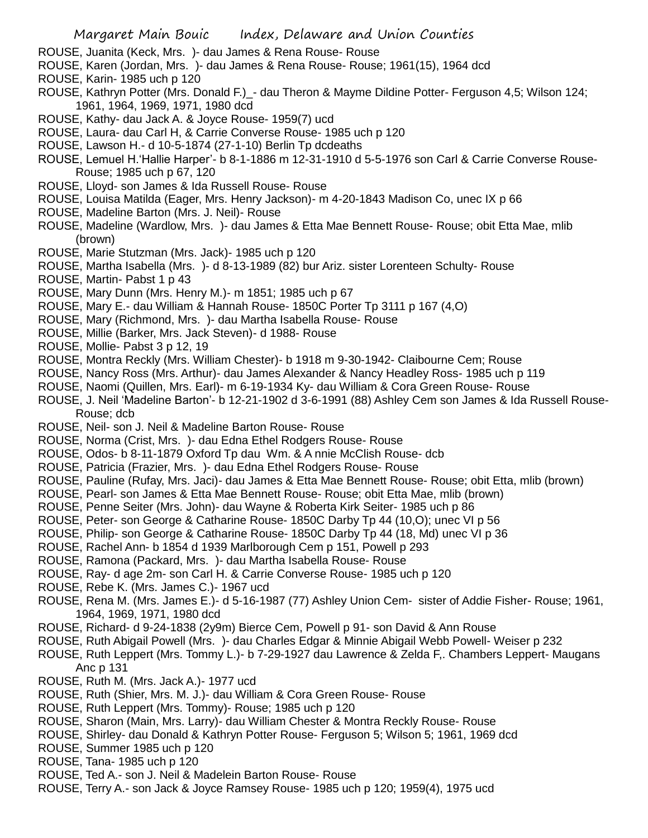- ROUSE, Juanita (Keck, Mrs. )- dau James & Rena Rouse- Rouse
- ROUSE, Karen (Jordan, Mrs. )- dau James & Rena Rouse- Rouse; 1961(15), 1964 dcd
- ROUSE, Karin- 1985 uch p 120
- ROUSE, Kathryn Potter (Mrs. Donald F.) dau Theron & Mayme Dildine Potter- Ferguson 4,5; Wilson 124; 1961, 1964, 1969, 1971, 1980 dcd
- ROUSE, Kathy- dau Jack A. & Joyce Rouse- 1959(7) ucd
- ROUSE, Laura- dau Carl H, & Carrie Converse Rouse- 1985 uch p 120
- ROUSE, Lawson H.- d 10-5-1874 (27-1-10) Berlin Tp dcdeaths
- ROUSE, Lemuel H.'Hallie Harper'- b 8-1-1886 m 12-31-1910 d 5-5-1976 son Carl & Carrie Converse Rouse-Rouse; 1985 uch p 67, 120
- ROUSE, Lloyd- son James & Ida Russell Rouse- Rouse
- ROUSE, Louisa Matilda (Eager, Mrs. Henry Jackson)- m 4-20-1843 Madison Co, unec IX p 66
- ROUSE, Madeline Barton (Mrs. J. Neil)- Rouse
- ROUSE, Madeline (Wardlow, Mrs. )- dau James & Etta Mae Bennett Rouse- Rouse; obit Etta Mae, mlib (brown)
- ROUSE, Marie Stutzman (Mrs. Jack)- 1985 uch p 120
- ROUSE, Martha Isabella (Mrs. )- d 8-13-1989 (82) bur Ariz. sister Lorenteen Schulty- Rouse
- ROUSE, Martin- Pabst 1 p 43
- ROUSE, Mary Dunn (Mrs. Henry M.)- m 1851; 1985 uch p 67
- ROUSE, Mary E.- dau William & Hannah Rouse- 1850C Porter Tp 3111 p 167 (4,O)
- ROUSE, Mary (Richmond, Mrs. )- dau Martha Isabella Rouse- Rouse
- ROUSE, Millie (Barker, Mrs. Jack Steven)- d 1988- Rouse
- ROUSE, Mollie- Pabst 3 p 12, 19
- ROUSE, Montra Reckly (Mrs. William Chester)- b 1918 m 9-30-1942- Claibourne Cem; Rouse
- ROUSE, Nancy Ross (Mrs. Arthur)- dau James Alexander & Nancy Headley Ross- 1985 uch p 119
- ROUSE, Naomi (Quillen, Mrs. Earl)- m 6-19-1934 Ky- dau William & Cora Green Rouse- Rouse
- ROUSE, J. Neil 'Madeline Barton'- b 12-21-1902 d 3-6-1991 (88) Ashley Cem son James & Ida Russell Rouse-Rouse; dcb
- ROUSE, Neil- son J. Neil & Madeline Barton Rouse- Rouse
- ROUSE, Norma (Crist, Mrs. )- dau Edna Ethel Rodgers Rouse- Rouse
- ROUSE, Odos- b 8-11-1879 Oxford Tp dau Wm. & A nnie McClish Rouse- dcb
- ROUSE, Patricia (Frazier, Mrs. )- dau Edna Ethel Rodgers Rouse- Rouse
- ROUSE, Pauline (Rufay, Mrs. Jaci)- dau James & Etta Mae Bennett Rouse- Rouse; obit Etta, mlib (brown)
- ROUSE, Pearl- son James & Etta Mae Bennett Rouse- Rouse; obit Etta Mae, mlib (brown)
- ROUSE, Penne Seiter (Mrs. John)- dau Wayne & Roberta Kirk Seiter- 1985 uch p 86
- ROUSE, Peter- son George & Catharine Rouse- 1850C Darby Tp 44 (10,O); unec VI p 56
- ROUSE, Philip- son George & Catharine Rouse- 1850C Darby Tp 44 (18, Md) unec VI p 36
- ROUSE, Rachel Ann- b 1854 d 1939 Marlborough Cem p 151, Powell p 293
- ROUSE, Ramona (Packard, Mrs. )- dau Martha Isabella Rouse- Rouse
- ROUSE, Ray- d age 2m- son Carl H. & Carrie Converse Rouse- 1985 uch p 120
- ROUSE, Rebe K. (Mrs. James C.)- 1967 ucd
- ROUSE, Rena M. (Mrs. James E.)- d 5-16-1987 (77) Ashley Union Cem- sister of Addie Fisher- Rouse; 1961, 1964, 1969, 1971, 1980 dcd
- ROUSE, Richard- d 9-24-1838 (2y9m) Bierce Cem, Powell p 91- son David & Ann Rouse
- ROUSE, Ruth Abigail Powell (Mrs. )- dau Charles Edgar & Minnie Abigail Webb Powell- Weiser p 232
- ROUSE, Ruth Leppert (Mrs. Tommy L.)- b 7-29-1927 dau Lawrence & Zelda F,. Chambers Leppert- Maugans Anc p 131
- ROUSE, Ruth M. (Mrs. Jack A.)- 1977 ucd
- ROUSE, Ruth (Shier, Mrs. M. J.)- dau William & Cora Green Rouse- Rouse
- ROUSE, Ruth Leppert (Mrs. Tommy)- Rouse; 1985 uch p 120
- ROUSE, Sharon (Main, Mrs. Larry)- dau William Chester & Montra Reckly Rouse- Rouse
- ROUSE, Shirley- dau Donald & Kathryn Potter Rouse- Ferguson 5; Wilson 5; 1961, 1969 dcd
- ROUSE, Summer 1985 uch p 120
- ROUSE, Tana- 1985 uch p 120
- ROUSE, Ted A.- son J. Neil & Madelein Barton Rouse- Rouse
- ROUSE, Terry A.- son Jack & Joyce Ramsey Rouse- 1985 uch p 120; 1959(4), 1975 ucd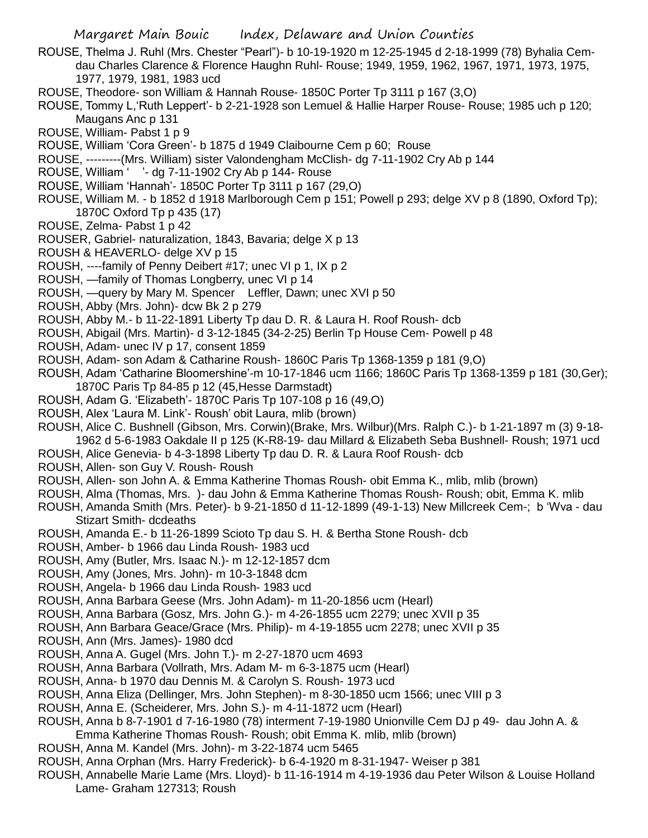- ROUSE, Thelma J. Ruhl (Mrs. Chester "Pearl")- b 10-19-1920 m 12-25-1945 d 2-18-1999 (78) Byhalia Cemdau Charles Clarence & Florence Haughn Ruhl- Rouse; 1949, 1959, 1962, 1967, 1971, 1973, 1975, 1977, 1979, 1981, 1983 ucd
- ROUSE, Theodore- son William & Hannah Rouse- 1850C Porter Tp 3111 p 167 (3,O)
- ROUSE, Tommy L,'Ruth Leppert'- b 2-21-1928 son Lemuel & Hallie Harper Rouse- Rouse; 1985 uch p 120; Maugans Anc p 131
- ROUSE, William- Pabst 1 p 9
- ROUSE, William 'Cora Green'- b 1875 d 1949 Claibourne Cem p 60; Rouse
- ROUSE, ---------(Mrs. William) sister Valondengham McClish- dg 7-11-1902 Cry Ab p 144
- ROUSE, William ' '- dg 7-11-1902 Cry Ab p 144- Rouse
- ROUSE, William 'Hannah'- 1850C Porter Tp 3111 p 167 (29,O)
- ROUSE, William M. b 1852 d 1918 Marlborough Cem p 151; Powell p 293; delge XV p 8 (1890, Oxford Tp); 1870C Oxford Tp p 435 (17)
- ROUSE, Zelma- Pabst 1 p 42
- ROUSER, Gabriel- naturalization, 1843, Bavaria; delge X p 13
- ROUSH & HEAVERLO- delge XV p 15
- ROUSH, ----family of Penny Deibert #17; unec VI p 1, IX p 2
- ROUSH, —family of Thomas Longberry, unec VI p 14
- ROUSH, —query by Mary M. Spencer Leffler, Dawn; unec XVI p 50
- ROUSH, Abby (Mrs. John)- dcw Bk 2 p 279
- ROUSH, Abby M.- b 11-22-1891 Liberty Tp dau D. R. & Laura H. Roof Roush- dcb
- ROUSH, Abigail (Mrs. Martin)- d 3-12-1845 (34-2-25) Berlin Tp House Cem- Powell p 48
- ROUSH, Adam- unec IV p 17, consent 1859
- ROUSH, Adam- son Adam & Catharine Roush- 1860C Paris Tp 1368-1359 p 181 (9,O)
- ROUSH, Adam 'Catharine Bloomershine'-m 10-17-1846 ucm 1166; 1860C Paris Tp 1368-1359 p 181 (30,Ger); 1870C Paris Tp 84-85 p 12 (45,Hesse Darmstadt)
- ROUSH, Adam G. 'Elizabeth'- 1870C Paris Tp 107-108 p 16 (49,O)
- ROUSH, Alex 'Laura M. Link'- Roush' obit Laura, mlib (brown)
- ROUSH, Alice C. Bushnell (Gibson, Mrs. Corwin)(Brake, Mrs. Wilbur)(Mrs. Ralph C.)- b 1-21-1897 m (3) 9-18- 1962 d 5-6-1983 Oakdale II p 125 (K-R8-19- dau Millard & Elizabeth Seba Bushnell- Roush; 1971 ucd
- ROUSH, Alice Genevia- b 4-3-1898 Liberty Tp dau D. R. & Laura Roof Roush- dcb
- ROUSH, Allen- son Guy V. Roush- Roush
- ROUSH, Allen- son John A. & Emma Katherine Thomas Roush- obit Emma K., mlib, mlib (brown)
- ROUSH, Alma (Thomas, Mrs. )- dau John & Emma Katherine Thomas Roush- Roush; obit, Emma K. mlib
- ROUSH, Amanda Smith (Mrs. Peter)- b 9-21-1850 d 11-12-1899 (49-1-13) New Millcreek Cem-; b 'Wva dau Stizart Smith- dcdeaths
- ROUSH, Amanda E.- b 11-26-1899 Scioto Tp dau S. H. & Bertha Stone Roush- dcb
- ROUSH, Amber- b 1966 dau Linda Roush- 1983 ucd
- ROUSH, Amy (Butler, Mrs. Isaac N.)- m 12-12-1857 dcm
- ROUSH, Amy (Jones, Mrs. John)- m 10-3-1848 dcm
- ROUSH, Angela- b 1966 dau Linda Roush- 1983 ucd
- ROUSH, Anna Barbara Geese (Mrs. John Adam)- m 11-20-1856 ucm (Hearl)
- ROUSH, Anna Barbara (Gosz, Mrs. John G.)- m 4-26-1855 ucm 2279; unec XVII p 35
- ROUSH, Ann Barbara Geace/Grace (Mrs. Philip)- m 4-19-1855 ucm 2278; unec XVII p 35
- ROUSH, Ann (Mrs. James)- 1980 dcd
- ROUSH, Anna A. Gugel (Mrs. John T.)- m 2-27-1870 ucm 4693
- ROUSH, Anna Barbara (Vollrath, Mrs. Adam M- m 6-3-1875 ucm (Hearl)
- ROUSH, Anna- b 1970 dau Dennis M. & Carolyn S. Roush- 1973 ucd
- ROUSH, Anna Eliza (Dellinger, Mrs. John Stephen)- m 8-30-1850 ucm 1566; unec VIII p 3
- ROUSH, Anna E. (Scheiderer, Mrs. John S.)- m 4-11-1872 ucm (Hearl)
- ROUSH, Anna b 8-7-1901 d 7-16-1980 (78) interment 7-19-1980 Unionville Cem DJ p 49- dau John A. & Emma Katherine Thomas Roush- Roush; obit Emma K. mlib, mlib (brown)
- ROUSH, Anna M. Kandel (Mrs. John)- m 3-22-1874 ucm 5465
- ROUSH, Anna Orphan (Mrs. Harry Frederick)- b 6-4-1920 m 8-31-1947- Weiser p 381
- ROUSH, Annabelle Marie Lame (Mrs. Lloyd)- b 11-16-1914 m 4-19-1936 dau Peter Wilson & Louise Holland Lame- Graham 127313; Roush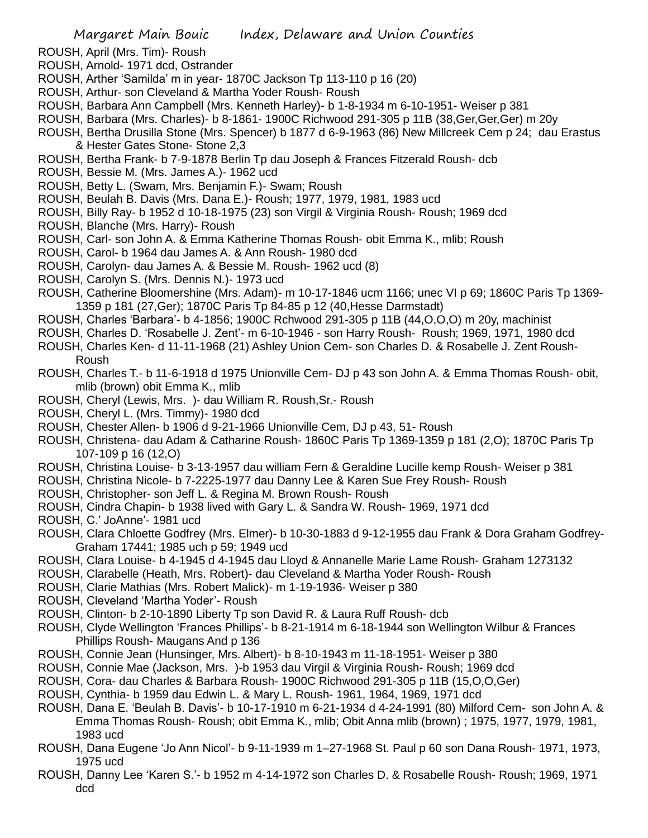- ROUSH, April (Mrs. Tim)- Roush
- ROUSH, Arnold- 1971 dcd, Ostrander
- ROUSH, Arther 'Samilda' m in year- 1870C Jackson Tp 113-110 p 16 (20)
- ROUSH, Arthur- son Cleveland & Martha Yoder Roush- Roush
- ROUSH, Barbara Ann Campbell (Mrs. Kenneth Harley)- b 1-8-1934 m 6-10-1951- Weiser p 381
- ROUSH, Barbara (Mrs. Charles)- b 8-1861- 1900C Richwood 291-305 p 11B (38,Ger,Ger,Ger) m 20y
- ROUSH, Bertha Drusilla Stone (Mrs. Spencer) b 1877 d 6-9-1963 (86) New Millcreek Cem p 24; dau Erastus & Hester Gates Stone- Stone 2,3
- ROUSH, Bertha Frank- b 7-9-1878 Berlin Tp dau Joseph & Frances Fitzerald Roush- dcb
- ROUSH, Bessie M. (Mrs. James A.)- 1962 ucd
- ROUSH, Betty L. (Swam, Mrs. Benjamin F.)- Swam; Roush
- ROUSH, Beulah B. Davis (Mrs. Dana E.)- Roush; 1977, 1979, 1981, 1983 ucd
- ROUSH, Billy Ray- b 1952 d 10-18-1975 (23) son Virgil & Virginia Roush- Roush; 1969 dcd
- ROUSH, Blanche (Mrs. Harry)- Roush
- ROUSH, Carl- son John A. & Emma Katherine Thomas Roush- obit Emma K., mlib; Roush
- ROUSH, Carol- b 1964 dau James A. & Ann Roush- 1980 dcd
- ROUSH, Carolyn- dau James A. & Bessie M. Roush- 1962 ucd (8)
- ROUSH, Carolyn S. (Mrs. Dennis N.)- 1973 ucd
- ROUSH, Catherine Bloomershine (Mrs. Adam)- m 10-17-1846 ucm 1166; unec VI p 69; 1860C Paris Tp 1369- 1359 p 181 (27,Ger); 1870C Paris Tp 84-85 p 12 (40,Hesse Darmstadt)
- ROUSH, Charles 'Barbara'- b 4-1856; 1900C Rchwood 291-305 p 11B (44,O,O,O) m 20y, machinist
- ROUSH, Charles D. 'Rosabelle J. Zent'- m 6-10-1946 son Harry Roush- Roush; 1969, 1971, 1980 dcd
- ROUSH, Charles Ken- d 11-11-1968 (21) Ashley Union Cem- son Charles D. & Rosabelle J. Zent Roush-Roush
- ROUSH, Charles T.- b 11-6-1918 d 1975 Unionville Cem- DJ p 43 son John A. & Emma Thomas Roush- obit, mlib (brown) obit Emma K., mlib
- ROUSH, Cheryl (Lewis, Mrs. )- dau William R. Roush,Sr.- Roush
- ROUSH, Cheryl L. (Mrs. Timmy)- 1980 dcd
- ROUSH, Chester Allen- b 1906 d 9-21-1966 Unionville Cem, DJ p 43, 51- Roush
- ROUSH, Christena- dau Adam & Catharine Roush- 1860C Paris Tp 1369-1359 p 181 (2,O); 1870C Paris Tp 107-109 p 16 (12,O)
- ROUSH, Christina Louise- b 3-13-1957 dau william Fern & Geraldine Lucille kemp Roush- Weiser p 381
- ROUSH, Christina Nicole- b 7-2225-1977 dau Danny Lee & Karen Sue Frey Roush- Roush
- ROUSH, Christopher- son Jeff L. & Regina M. Brown Roush- Roush
- ROUSH, Cindra Chapin- b 1938 lived with Gary L. & Sandra W. Roush- 1969, 1971 dcd
- ROUSH, C.' JoAnne'- 1981 ucd
- ROUSH, Clara Chloette Godfrey (Mrs. Elmer)- b 10-30-1883 d 9-12-1955 dau Frank & Dora Graham Godfrey-Graham 17441; 1985 uch p 59; 1949 ucd
- ROUSH, Clara Louise- b 4-1945 d 4-1945 dau Lloyd & Annanelle Marie Lame Roush- Graham 1273132
- ROUSH, Clarabelle (Heath, Mrs. Robert)- dau Cleveland & Martha Yoder Roush- Roush
- ROUSH, Clarie Mathias (Mrs. Robert Malick)- m 1-19-1936- Weiser p 380
- ROUSH, Cleveland 'Martha Yoder'- Roush
- ROUSH, Clinton- b 2-10-1890 Liberty Tp son David R. & Laura Ruff Roush- dcb
- ROUSH, Clyde Wellington 'Frances Phillips'- b 8-21-1914 m 6-18-1944 son Wellington Wilbur & Frances Phillips Roush- Maugans And p 136
- ROUSH, Connie Jean (Hunsinger, Mrs. Albert)- b 8-10-1943 m 11-18-1951- Weiser p 380
- ROUSH, Connie Mae (Jackson, Mrs. )-b 1953 dau Virgil & Virginia Roush- Roush; 1969 dcd
- ROUSH, Cora- dau Charles & Barbara Roush- 1900C Richwood 291-305 p 11B (15,O,O,Ger)
- ROUSH, Cynthia- b 1959 dau Edwin L. & Mary L. Roush- 1961, 1964, 1969, 1971 dcd
- ROUSH, Dana E. 'Beulah B. Davis'- b 10-17-1910 m 6-21-1934 d 4-24-1991 (80) Milford Cem- son John A. & Emma Thomas Roush- Roush; obit Emma K., mlib; Obit Anna mlib (brown) ; 1975, 1977, 1979, 1981, 1983 ucd
- ROUSH, Dana Eugene 'Jo Ann Nicol'- b 9-11-1939 m 1–27-1968 St. Paul p 60 son Dana Roush- 1971, 1973, 1975 ucd
- ROUSH, Danny Lee 'Karen S.'- b 1952 m 4-14-1972 son Charles D. & Rosabelle Roush- Roush; 1969, 1971 dcd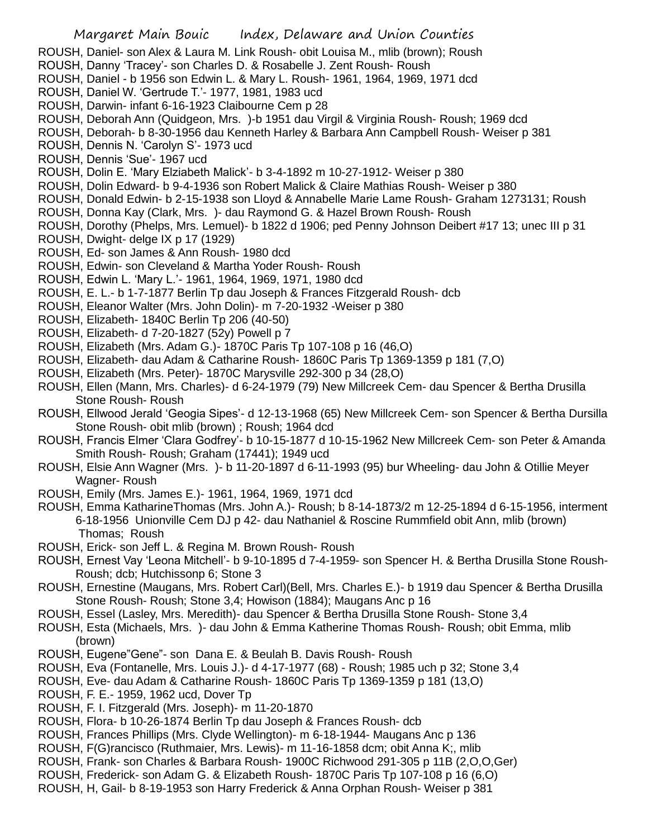- ROUSH, Daniel- son Alex & Laura M. Link Roush- obit Louisa M., mlib (brown); Roush
- ROUSH, Danny 'Tracey'- son Charles D. & Rosabelle J. Zent Roush- Roush
- ROUSH, Daniel b 1956 son Edwin L. & Mary L. Roush- 1961, 1964, 1969, 1971 dcd
- ROUSH, Daniel W. 'Gertrude T.'- 1977, 1981, 1983 ucd
- ROUSH, Darwin- infant 6-16-1923 Claibourne Cem p 28
- ROUSH, Deborah Ann (Quidgeon, Mrs. )-b 1951 dau Virgil & Virginia Roush- Roush; 1969 dcd

ROUSH, Deborah- b 8-30-1956 dau Kenneth Harley & Barbara Ann Campbell Roush- Weiser p 381

- ROUSH, Dennis N. 'Carolyn S'- 1973 ucd
- ROUSH, Dennis 'Sue'- 1967 ucd

ROUSH, Dolin E. 'Mary Elziabeth Malick'- b 3-4-1892 m 10-27-1912- Weiser p 380

- ROUSH, Dolin Edward- b 9-4-1936 son Robert Malick & Claire Mathias Roush- Weiser p 380
- ROUSH, Donald Edwin- b 2-15-1938 son Lloyd & Annabelle Marie Lame Roush- Graham 1273131; Roush
- ROUSH, Donna Kay (Clark, Mrs. )- dau Raymond G. & Hazel Brown Roush- Roush
- ROUSH, Dorothy (Phelps, Mrs. Lemuel)- b 1822 d 1906; ped Penny Johnson Deibert #17 13; unec III p 31
- ROUSH, Dwight- delge IX p 17 (1929)
- ROUSH, Ed- son James & Ann Roush- 1980 dcd
- ROUSH, Edwin- son Cleveland & Martha Yoder Roush- Roush
- ROUSH, Edwin L. 'Mary L.'- 1961, 1964, 1969, 1971, 1980 dcd
- ROUSH, E. L.- b 1-7-1877 Berlin Tp dau Joseph & Frances Fitzgerald Roush- dcb
- ROUSH, Eleanor Walter (Mrs. John Dolin)- m 7-20-1932 -Weiser p 380
- ROUSH, Elizabeth- 1840C Berlin Tp 206 (40-50)
- ROUSH, Elizabeth- d 7-20-1827 (52y) Powell p 7
- ROUSH, Elizabeth (Mrs. Adam G.)- 1870C Paris Tp 107-108 p 16 (46,O)
- ROUSH, Elizabeth- dau Adam & Catharine Roush- 1860C Paris Tp 1369-1359 p 181 (7,O)
- ROUSH, Elizabeth (Mrs. Peter)- 1870C Marysville 292-300 p 34 (28,O)
- ROUSH, Ellen (Mann, Mrs. Charles)- d 6-24-1979 (79) New Millcreek Cem- dau Spencer & Bertha Drusilla Stone Roush- Roush
- ROUSH, Ellwood Jerald 'Geogia Sipes'- d 12-13-1968 (65) New Millcreek Cem- son Spencer & Bertha Dursilla Stone Roush- obit mlib (brown) ; Roush; 1964 dcd
- ROUSH, Francis Elmer 'Clara Godfrey'- b 10-15-1877 d 10-15-1962 New Millcreek Cem- son Peter & Amanda Smith Roush- Roush; Graham (17441); 1949 ucd
- ROUSH, Elsie Ann Wagner (Mrs. )- b 11-20-1897 d 6-11-1993 (95) bur Wheeling- dau John & Otillie Meyer Wagner- Roush
- ROUSH, Emily (Mrs. James E.)- 1961, 1964, 1969, 1971 dcd
- ROUSH, Emma KatharineThomas (Mrs. John A.)- Roush; b 8-14-1873/2 m 12-25-1894 d 6-15-1956, interment 6-18-1956 Unionville Cem DJ p 42- dau Nathaniel & Roscine Rummfield obit Ann, mlib (brown) Thomas; Roush
- ROUSH, Erick- son Jeff L. & Regina M. Brown Roush- Roush
- ROUSH, Ernest Vay 'Leona Mitchell'- b 9-10-1895 d 7-4-1959- son Spencer H. & Bertha Drusilla Stone Roush-Roush; dcb; Hutchissonp 6; Stone 3
- ROUSH, Ernestine (Maugans, Mrs. Robert Carl)(Bell, Mrs. Charles E.)- b 1919 dau Spencer & Bertha Drusilla Stone Roush- Roush; Stone 3,4; Howison (1884); Maugans Anc p 16
- ROUSH, Essel (Lasley, Mrs. Meredith)- dau Spencer & Bertha Drusilla Stone Roush- Stone 3,4
- ROUSH, Esta (Michaels, Mrs. )- dau John & Emma Katherine Thomas Roush- Roush; obit Emma, mlib (brown)
- ROUSH, Eugene"Gene"- son Dana E. & Beulah B. Davis Roush- Roush
- ROUSH, Eva (Fontanelle, Mrs. Louis J.)- d 4-17-1977 (68) Roush; 1985 uch p 32; Stone 3,4
- ROUSH, Eve- dau Adam & Catharine Roush- 1860C Paris Tp 1369-1359 p 181 (13,O)
- ROUSH, F. E.- 1959, 1962 ucd, Dover Tp
- ROUSH, F. I. Fitzgerald (Mrs. Joseph)- m 11-20-1870
- ROUSH, Flora- b 10-26-1874 Berlin Tp dau Joseph & Frances Roush- dcb
- ROUSH, Frances Phillips (Mrs. Clyde Wellington)- m 6-18-1944- Maugans Anc p 136
- ROUSH, F(G)rancisco (Ruthmaier, Mrs. Lewis)- m 11-16-1858 dcm; obit Anna K;, mlib
- ROUSH, Frank- son Charles & Barbara Roush- 1900C Richwood 291-305 p 11B (2,O,O,Ger)
- ROUSH, Frederick- son Adam G. & Elizabeth Roush- 1870C Paris Tp 107-108 p 16 (6,O)
- ROUSH, H, Gail- b 8-19-1953 son Harry Frederick & Anna Orphan Roush- Weiser p 381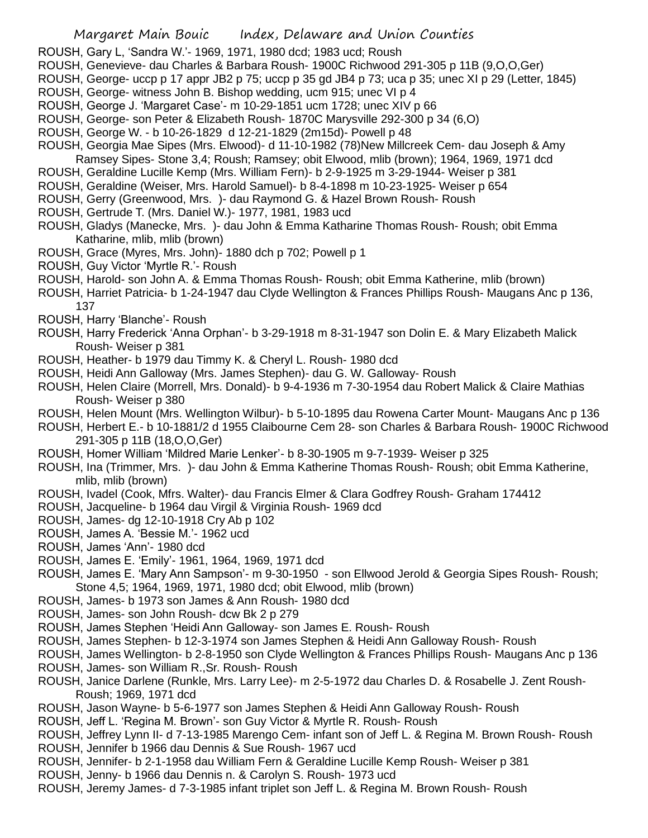- ROUSH, Gary L, 'Sandra W.'- 1969, 1971, 1980 dcd; 1983 ucd; Roush
- ROUSH, Genevieve- dau Charles & Barbara Roush- 1900C Richwood 291-305 p 11B (9,O,O,Ger)
- ROUSH, George- uccp p 17 appr JB2 p 75; uccp p 35 gd JB4 p 73; uca p 35; unec XI p 29 (Letter, 1845)
- ROUSH, George- witness John B. Bishop wedding, ucm 915; unec VI p 4
- ROUSH, George J. 'Margaret Case'- m 10-29-1851 ucm 1728; unec XIV p 66
- ROUSH, George- son Peter & Elizabeth Roush- 1870C Marysville 292-300 p 34 (6,O)
- ROUSH, George W. b 10-26-1829 d 12-21-1829 (2m15d)- Powell p 48
- ROUSH, Georgia Mae Sipes (Mrs. Elwood)- d 11-10-1982 (78)New Millcreek Cem- dau Joseph & Amy Ramsey Sipes- Stone 3,4; Roush; Ramsey; obit Elwood, mlib (brown); 1964, 1969, 1971 dcd
- ROUSH, Geraldine Lucille Kemp (Mrs. William Fern)- b 2-9-1925 m 3-29-1944- Weiser p 381
- ROUSH, Geraldine (Weiser, Mrs. Harold Samuel)- b 8-4-1898 m 10-23-1925- Weiser p 654
- ROUSH, Gerry (Greenwood, Mrs. )- dau Raymond G. & Hazel Brown Roush- Roush
- ROUSH, Gertrude T. (Mrs. Daniel W.)- 1977, 1981, 1983 ucd
- ROUSH, Gladys (Manecke, Mrs. )- dau John & Emma Katharine Thomas Roush- Roush; obit Emma Katharine, mlib, mlib (brown)
- ROUSH, Grace (Myres, Mrs. John)- 1880 dch p 702; Powell p 1
- ROUSH, Guy Victor 'Myrtle R.'- Roush
- ROUSH, Harold- son John A. & Emma Thomas Roush- Roush; obit Emma Katherine, mlib (brown)
- ROUSH, Harriet Patricia- b 1-24-1947 dau Clyde Wellington & Frances Phillips Roush- Maugans Anc p 136, 137
- ROUSH, Harry 'Blanche'- Roush
- ROUSH, Harry Frederick 'Anna Orphan'- b 3-29-1918 m 8-31-1947 son Dolin E. & Mary Elizabeth Malick Roush- Weiser p 381
- ROUSH, Heather- b 1979 dau Timmy K. & Cheryl L. Roush- 1980 dcd
- ROUSH, Heidi Ann Galloway (Mrs. James Stephen)- dau G. W. Galloway- Roush
- ROUSH, Helen Claire (Morrell, Mrs. Donald)- b 9-4-1936 m 7-30-1954 dau Robert Malick & Claire Mathias Roush- Weiser p 380
- ROUSH, Helen Mount (Mrs. Wellington Wilbur)- b 5-10-1895 dau Rowena Carter Mount- Maugans Anc p 136
- ROUSH, Herbert E.- b 10-1881/2 d 1955 Claibourne Cem 28- son Charles & Barbara Roush- 1900C Richwood 291-305 p 11B (18,O,O,Ger)
- ROUSH, Homer William 'Mildred Marie Lenker'- b 8-30-1905 m 9-7-1939- Weiser p 325
- ROUSH, Ina (Trimmer, Mrs. )- dau John & Emma Katherine Thomas Roush- Roush; obit Emma Katherine, mlib, mlib (brown)
- ROUSH, Ivadel (Cook, Mfrs. Walter)- dau Francis Elmer & Clara Godfrey Roush- Graham 174412
- ROUSH, Jacqueline- b 1964 dau Virgil & Virginia Roush- 1969 dcd
- ROUSH, James- dg 12-10-1918 Cry Ab p 102
- ROUSH, James A. 'Bessie M.'- 1962 ucd
- ROUSH, James 'Ann'- 1980 dcd
- ROUSH, James E. 'Emily'- 1961, 1964, 1969, 1971 dcd
- ROUSH, James E. 'Mary Ann Sampson'- m 9-30-1950 son Ellwood Jerold & Georgia Sipes Roush- Roush; Stone 4,5; 1964, 1969, 1971, 1980 dcd; obit Elwood, mlib (brown)
- ROUSH, James- b 1973 son James & Ann Roush- 1980 dcd
- ROUSH, James- son John Roush- dcw Bk 2 p 279
- ROUSH, James Stephen 'Heidi Ann Galloway- son James E. Roush- Roush
- ROUSH, James Stephen- b 12-3-1974 son James Stephen & Heidi Ann Galloway Roush- Roush
- ROUSH, James Wellington- b 2-8-1950 son Clyde Wellington & Frances Phillips Roush- Maugans Anc p 136 ROUSH, James- son William R.,Sr. Roush- Roush
- ROUSH, Janice Darlene (Runkle, Mrs. Larry Lee)- m 2-5-1972 dau Charles D. & Rosabelle J. Zent Roush-Roush; 1969, 1971 dcd
- ROUSH, Jason Wayne- b 5-6-1977 son James Stephen & Heidi Ann Galloway Roush- Roush
- ROUSH, Jeff L. 'Regina M. Brown'- son Guy Victor & Myrtle R. Roush- Roush
- ROUSH, Jeffrey Lynn II- d 7-13-1985 Marengo Cem- infant son of Jeff L. & Regina M. Brown Roush- Roush ROUSH, Jennifer b 1966 dau Dennis & Sue Roush- 1967 ucd
- ROUSH, Jennifer- b 2-1-1958 dau William Fern & Geraldine Lucille Kemp Roush- Weiser p 381
- ROUSH, Jenny- b 1966 dau Dennis n. & Carolyn S. Roush- 1973 ucd
- ROUSH, Jeremy James- d 7-3-1985 infant triplet son Jeff L. & Regina M. Brown Roush- Roush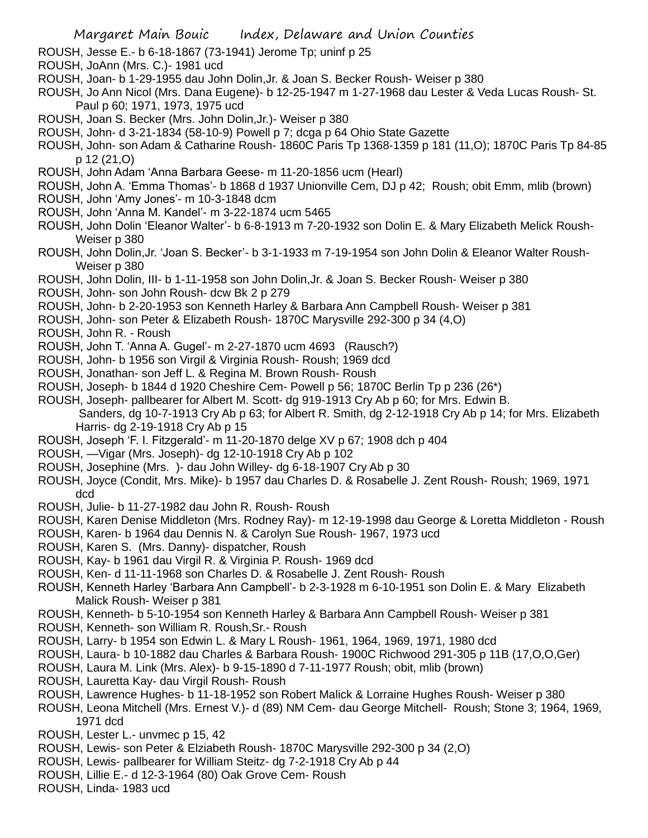- ROUSH, Jesse E.- b 6-18-1867 (73-1941) Jerome Tp; uninf p 25
- ROUSH, JoAnn (Mrs. C.)- 1981 ucd
- ROUSH, Joan- b 1-29-1955 dau John Dolin,Jr. & Joan S. Becker Roush- Weiser p 380
- ROUSH, Jo Ann Nicol (Mrs. Dana Eugene)- b 12-25-1947 m 1-27-1968 dau Lester & Veda Lucas Roush- St. Paul p 60; 1971, 1973, 1975 ucd
- ROUSH, Joan S. Becker (Mrs. John Dolin,Jr.)- Weiser p 380
- ROUSH, John- d 3-21-1834 (58-10-9) Powell p 7; dcga p 64 Ohio State Gazette
- ROUSH, John- son Adam & Catharine Roush- 1860C Paris Tp 1368-1359 p 181 (11,O); 1870C Paris Tp 84-85 p 12 (21,O)
- ROUSH, John Adam 'Anna Barbara Geese- m 11-20-1856 ucm (Hearl)
- ROUSH, John A. 'Emma Thomas'- b 1868 d 1937 Unionville Cem, DJ p 42; Roush; obit Emm, mlib (brown)
- ROUSH, John 'Amy Jones'- m 10-3-1848 dcm
- ROUSH, John 'Anna M. Kandel'- m 3-22-1874 ucm 5465
- ROUSH, John Dolin 'Eleanor Walter'- b 6-8-1913 m 7-20-1932 son Dolin E. & Mary Elizabeth Melick Roush-Weiser p 380
- ROUSH, John Dolin,Jr. 'Joan S. Becker'- b 3-1-1933 m 7-19-1954 son John Dolin & Eleanor Walter Roush-Weiser p 380
- ROUSH, John Dolin, III- b 1-11-1958 son John Dolin,Jr. & Joan S. Becker Roush- Weiser p 380
- ROUSH, John- son John Roush- dcw Bk 2 p 279
- ROUSH, John- b 2-20-1953 son Kenneth Harley & Barbara Ann Campbell Roush- Weiser p 381
- ROUSH, John- son Peter & Elizabeth Roush- 1870C Marysville 292-300 p 34 (4,O)
- ROUSH, John R. Roush
- ROUSH, John T. 'Anna A. Gugel'- m 2-27-1870 ucm 4693 (Rausch?)
- ROUSH, John- b 1956 son Virgil & Virginia Roush- Roush; 1969 dcd
- ROUSH, Jonathan- son Jeff L. & Regina M. Brown Roush- Roush
- ROUSH, Joseph- b 1844 d 1920 Cheshire Cem- Powell p 56; 1870C Berlin Tp p 236 (26\*)
- ROUSH, Joseph- pallbearer for Albert M. Scott- dg 919-1913 Cry Ab p 60; for Mrs. Edwin B. Sanders, dg 10-7-1913 Cry Ab p 63; for Albert R. Smith, dg 2-12-1918 Cry Ab p 14; for Mrs. Elizabeth
	- Harris- dg 2-19-1918 Cry Ab p 15
- ROUSH, Joseph 'F. I. Fitzgerald'- m 11-20-1870 delge XV p 67; 1908 dch p 404
- ROUSH, —Vigar (Mrs. Joseph)- dg 12-10-1918 Cry Ab p 102
- ROUSH, Josephine (Mrs. )- dau John Willey- dg 6-18-1907 Cry Ab p 30
- ROUSH, Joyce (Condit, Mrs. Mike)- b 1957 dau Charles D. & Rosabelle J. Zent Roush- Roush; 1969, 1971 dcd
- ROUSH, Julie- b 11-27-1982 dau John R. Roush- Roush
- ROUSH, Karen Denise Middleton (Mrs. Rodney Ray)- m 12-19-1998 dau George & Loretta Middleton Roush
- ROUSH, Karen- b 1964 dau Dennis N. & Carolyn Sue Roush- 1967, 1973 ucd
- ROUSH, Karen S. (Mrs. Danny)- dispatcher, Roush
- ROUSH, Kay- b 1961 dau Virgil R. & Virginia P. Roush- 1969 dcd
- ROUSH, Ken- d 11-11-1968 son Charles D. & Rosabelle J. Zent Roush- Roush
- ROUSH, Kenneth Harley 'Barbara Ann Campbell'- b 2-3-1928 m 6-10-1951 son Dolin E. & Mary Elizabeth Malick Roush- Weiser p 381
- ROUSH, Kenneth- b 5-10-1954 son Kenneth Harley & Barbara Ann Campbell Roush- Weiser p 381
- ROUSH, Kenneth- son William R. Roush,Sr.- Roush
- ROUSH, Larry- b 1954 son Edwin L. & Mary L Roush- 1961, 1964, 1969, 1971, 1980 dcd
- ROUSH, Laura- b 10-1882 dau Charles & Barbara Roush- 1900C Richwood 291-305 p 11B (17,O,O,Ger)
- ROUSH, Laura M. Link (Mrs. Alex)- b 9-15-1890 d 7-11-1977 Roush; obit, mlib (brown)
- ROUSH, Lauretta Kay- dau Virgil Roush- Roush
- ROUSH, Lawrence Hughes- b 11-18-1952 son Robert Malick & Lorraine Hughes Roush- Weiser p 380
- ROUSH, Leona Mitchell (Mrs. Ernest V.)- d (89) NM Cem- dau George Mitchell- Roush; Stone 3; 1964, 1969, 1971 dcd
- ROUSH, Lester L.- unvmec p 15, 42
- ROUSH, Lewis- son Peter & Elziabeth Roush- 1870C Marysville 292-300 p 34 (2,O)
- ROUSH, Lewis- pallbearer for William Steitz- dg 7-2-1918 Cry Ab p 44
- ROUSH, Lillie E.- d 12-3-1964 (80) Oak Grove Cem- Roush
- ROUSH, Linda- 1983 ucd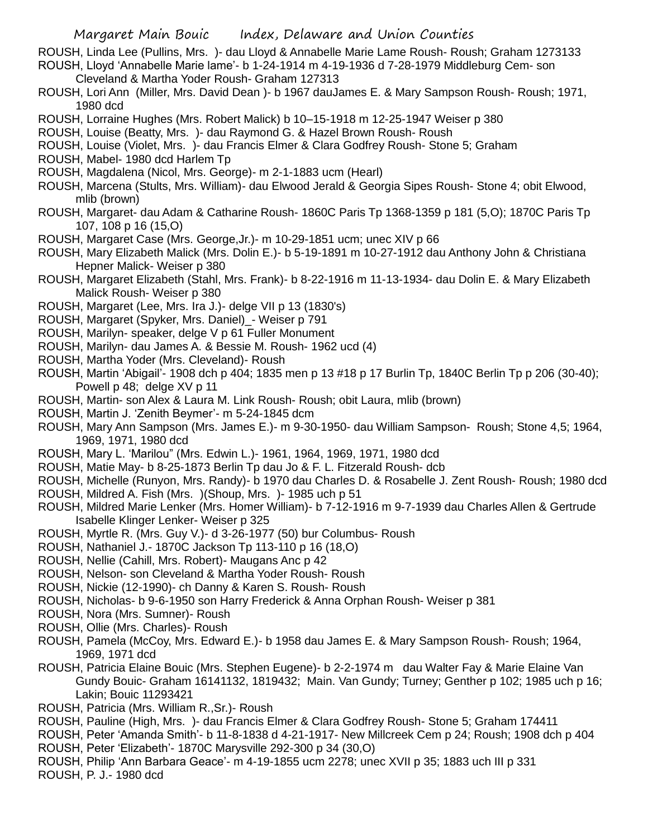ROUSH, Linda Lee (Pullins, Mrs. )- dau Lloyd & Annabelle Marie Lame Roush- Roush; Graham 1273133 ROUSH, Lloyd 'Annabelle Marie lame'- b 1-24-1914 m 4-19-1936 d 7-28-1979 Middleburg Cem- son

- Cleveland & Martha Yoder Roush- Graham 127313
- ROUSH, Lori Ann (Miller, Mrs. David Dean )- b 1967 dauJames E. & Mary Sampson Roush- Roush; 1971, 1980 dcd
- ROUSH, Lorraine Hughes (Mrs. Robert Malick) b 10–15-1918 m 12-25-1947 Weiser p 380
- ROUSH, Louise (Beatty, Mrs. )- dau Raymond G. & Hazel Brown Roush- Roush
- ROUSH, Louise (Violet, Mrs. )- dau Francis Elmer & Clara Godfrey Roush- Stone 5; Graham
- ROUSH, Mabel- 1980 dcd Harlem Tp
- ROUSH, Magdalena (Nicol, Mrs. George)- m 2-1-1883 ucm (Hearl)
- ROUSH, Marcena (Stults, Mrs. William)- dau Elwood Jerald & Georgia Sipes Roush- Stone 4; obit Elwood, mlib (brown)
- ROUSH, Margaret- dau Adam & Catharine Roush- 1860C Paris Tp 1368-1359 p 181 (5,O); 1870C Paris Tp 107, 108 p 16 (15,O)
- ROUSH, Margaret Case (Mrs. George,Jr.)- m 10-29-1851 ucm; unec XIV p 66
- ROUSH, Mary Elizabeth Malick (Mrs. Dolin E.)- b 5-19-1891 m 10-27-1912 dau Anthony John & Christiana Hepner Malick- Weiser p 380
- ROUSH, Margaret Elizabeth (Stahl, Mrs. Frank)- b 8-22-1916 m 11-13-1934- dau Dolin E. & Mary Elizabeth Malick Roush- Weiser p 380
- ROUSH, Margaret (Lee, Mrs. Ira J.)- delge VII p 13 (1830's)
- ROUSH, Margaret (Spyker, Mrs. Daniel)\_- Weiser p 791
- ROUSH, Marilyn- speaker, delge V p 61 Fuller Monument
- ROUSH, Marilyn- dau James A. & Bessie M. Roush- 1962 ucd (4)
- ROUSH, Martha Yoder (Mrs. Cleveland)- Roush
- ROUSH, Martin 'Abigail'- 1908 dch p 404; 1835 men p 13 #18 p 17 Burlin Tp, 1840C Berlin Tp p 206 (30-40); Powell p 48; delge XV p 11
- ROUSH, Martin- son Alex & Laura M. Link Roush- Roush; obit Laura, mlib (brown)
- ROUSH, Martin J. 'Zenith Beymer'- m 5-24-1845 dcm
- ROUSH, Mary Ann Sampson (Mrs. James E.)- m 9-30-1950- dau William Sampson- Roush; Stone 4,5; 1964, 1969, 1971, 1980 dcd
- ROUSH, Mary L. 'Marilou" (Mrs. Edwin L.)- 1961, 1964, 1969, 1971, 1980 dcd
- ROUSH, Matie May- b 8-25-1873 Berlin Tp dau Jo & F. L. Fitzerald Roush- dcb
- ROUSH, Michelle (Runyon, Mrs. Randy)- b 1970 dau Charles D. & Rosabelle J. Zent Roush- Roush; 1980 dcd
- ROUSH, Mildred A. Fish (Mrs. )(Shoup, Mrs. )- 1985 uch p 51
- ROUSH, Mildred Marie Lenker (Mrs. Homer William)- b 7-12-1916 m 9-7-1939 dau Charles Allen & Gertrude Isabelle Klinger Lenker- Weiser p 325
- ROUSH, Myrtle R. (Mrs. Guy V.)- d 3-26-1977 (50) bur Columbus- Roush
- ROUSH, Nathaniel J.- 1870C Jackson Tp 113-110 p 16 (18,O)
- ROUSH, Nellie (Cahill, Mrs. Robert)- Maugans Anc p 42
- ROUSH, Nelson- son Cleveland & Martha Yoder Roush- Roush
- ROUSH, Nickie (12-1990)- ch Danny & Karen S. Roush- Roush
- ROUSH, Nicholas- b 9-6-1950 son Harry Frederick & Anna Orphan Roush- Weiser p 381
- ROUSH, Nora (Mrs. Sumner)- Roush
- ROUSH, Ollie (Mrs. Charles)- Roush
- ROUSH, Pamela (McCoy, Mrs. Edward E.)- b 1958 dau James E. & Mary Sampson Roush- Roush; 1964, 1969, 1971 dcd
- ROUSH, Patricia Elaine Bouic (Mrs. Stephen Eugene)- b 2-2-1974 m dau Walter Fay & Marie Elaine Van Gundy Bouic- Graham 16141132, 1819432; Main. Van Gundy; Turney; Genther p 102; 1985 uch p 16; Lakin; Bouic 11293421
- ROUSH, Patricia (Mrs. William R.,Sr.)- Roush
- ROUSH, Pauline (High, Mrs. )- dau Francis Elmer & Clara Godfrey Roush- Stone 5; Graham 174411
- ROUSH, Peter 'Amanda Smith'- b 11-8-1838 d 4-21-1917- New Millcreek Cem p 24; Roush; 1908 dch p 404 ROUSH, Peter 'Elizabeth'- 1870C Marysville 292-300 p 34 (30,O)
- ROUSH, Philip 'Ann Barbara Geace'- m 4-19-1855 ucm 2278; unec XVII p 35; 1883 uch III p 331
- ROUSH, P. J.- 1980 dcd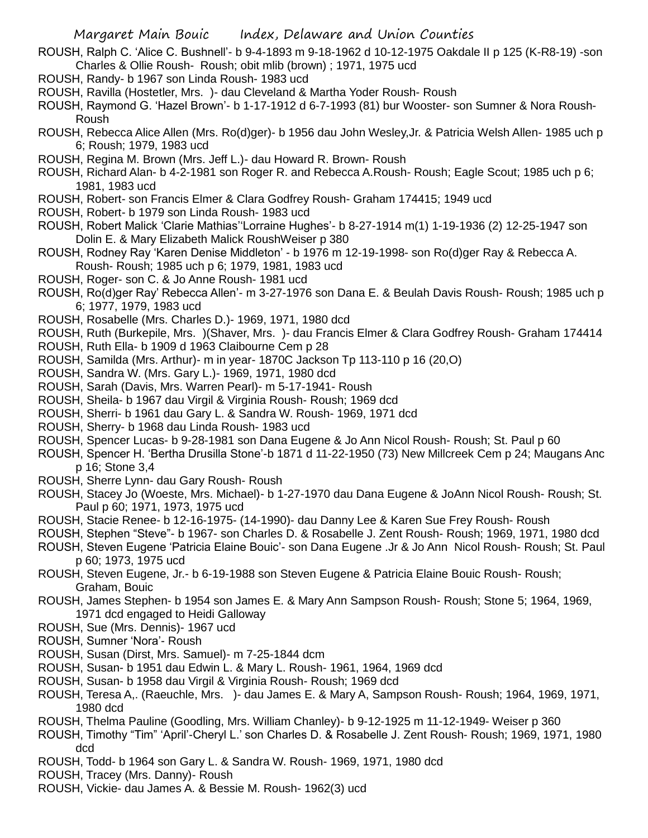- ROUSH, Ralph C. 'Alice C. Bushnell'- b 9-4-1893 m 9-18-1962 d 10-12-1975 Oakdale II p 125 (K-R8-19) -son Charles & Ollie Roush- Roush; obit mlib (brown) ; 1971, 1975 ucd
- ROUSH, Randy- b 1967 son Linda Roush- 1983 ucd
- ROUSH, Ravilla (Hostetler, Mrs. )- dau Cleveland & Martha Yoder Roush- Roush
- ROUSH, Raymond G. 'Hazel Brown'- b 1-17-1912 d 6-7-1993 (81) bur Wooster- son Sumner & Nora Roush-Roush
- ROUSH, Rebecca Alice Allen (Mrs. Ro(d)ger)- b 1956 dau John Wesley,Jr. & Patricia Welsh Allen- 1985 uch p 6; Roush; 1979, 1983 ucd
- ROUSH, Regina M. Brown (Mrs. Jeff L.)- dau Howard R. Brown- Roush
- ROUSH, Richard Alan- b 4-2-1981 son Roger R. and Rebecca A.Roush- Roush; Eagle Scout; 1985 uch p 6; 1981, 1983 ucd
- ROUSH, Robert- son Francis Elmer & Clara Godfrey Roush- Graham 174415; 1949 ucd
- ROUSH, Robert- b 1979 son Linda Roush- 1983 ucd
- ROUSH, Robert Malick 'Clarie Mathias''Lorraine Hughes'- b 8-27-1914 m(1) 1-19-1936 (2) 12-25-1947 son Dolin E. & Mary Elizabeth Malick RoushWeiser p 380
- ROUSH, Rodney Ray 'Karen Denise Middleton' b 1976 m 12-19-1998- son Ro(d)ger Ray & Rebecca A. Roush- Roush; 1985 uch p 6; 1979, 1981, 1983 ucd
- ROUSH, Roger- son C. & Jo Anne Roush- 1981 ucd
- ROUSH, Ro(d)ger Ray' Rebecca Allen'- m 3-27-1976 son Dana E. & Beulah Davis Roush- Roush; 1985 uch p 6; 1977, 1979, 1983 ucd
- ROUSH, Rosabelle (Mrs. Charles D.)- 1969, 1971, 1980 dcd
- ROUSH, Ruth (Burkepile, Mrs. )(Shaver, Mrs. )- dau Francis Elmer & Clara Godfrey Roush- Graham 174414
- ROUSH, Ruth Ella- b 1909 d 1963 Claibourne Cem p 28
- ROUSH, Samilda (Mrs. Arthur)- m in year- 1870C Jackson Tp 113-110 p 16 (20,O)
- ROUSH, Sandra W. (Mrs. Gary L.)- 1969, 1971, 1980 dcd
- ROUSH, Sarah (Davis, Mrs. Warren Pearl)- m 5-17-1941- Roush
- ROUSH, Sheila- b 1967 dau Virgil & Virginia Roush- Roush; 1969 dcd
- ROUSH, Sherri- b 1961 dau Gary L. & Sandra W. Roush- 1969, 1971 dcd
- ROUSH, Sherry- b 1968 dau Linda Roush- 1983 ucd
- ROUSH, Spencer Lucas- b 9-28-1981 son Dana Eugene & Jo Ann Nicol Roush- Roush; St. Paul p 60
- ROUSH, Spencer H. 'Bertha Drusilla Stone'-b 1871 d 11-22-1950 (73) New Millcreek Cem p 24; Maugans Anc p 16; Stone 3,4
- ROUSH, Sherre Lynn- dau Gary Roush- Roush
- ROUSH, Stacey Jo (Woeste, Mrs. Michael)- b 1-27-1970 dau Dana Eugene & JoAnn Nicol Roush- Roush; St. Paul p 60; 1971, 1973, 1975 ucd
- ROUSH, Stacie Renee- b 12-16-1975- (14-1990)- dau Danny Lee & Karen Sue Frey Roush- Roush
- ROUSH, Stephen "Steve"- b 1967- son Charles D. & Rosabelle J. Zent Roush- Roush; 1969, 1971, 1980 dcd
- ROUSH, Steven Eugene 'Patricia Elaine Bouic'- son Dana Eugene .Jr & Jo Ann Nicol Roush- Roush; St. Paul p 60; 1973, 1975 ucd
- ROUSH, Steven Eugene, Jr.- b 6-19-1988 son Steven Eugene & Patricia Elaine Bouic Roush- Roush; Graham, Bouic
- ROUSH, James Stephen- b 1954 son James E. & Mary Ann Sampson Roush- Roush; Stone 5; 1964, 1969, 1971 dcd engaged to Heidi Galloway
- ROUSH, Sue (Mrs. Dennis)- 1967 ucd
- ROUSH, Sumner 'Nora'- Roush
- ROUSH, Susan (Dirst, Mrs. Samuel)- m 7-25-1844 dcm
- ROUSH, Susan- b 1951 dau Edwin L. & Mary L. Roush- 1961, 1964, 1969 dcd
- ROUSH, Susan- b 1958 dau Virgil & Virginia Roush- Roush; 1969 dcd
- ROUSH, Teresa A,. (Raeuchle, Mrs. )- dau James E. & Mary A, Sampson Roush- Roush; 1964, 1969, 1971, 1980 dcd
- ROUSH, Thelma Pauline (Goodling, Mrs. William Chanley)- b 9-12-1925 m 11-12-1949- Weiser p 360
- ROUSH, Timothy "Tim" 'April'-Cheryl L.' son Charles D. & Rosabelle J. Zent Roush- Roush; 1969, 1971, 1980 dcd
- ROUSH, Todd- b 1964 son Gary L. & Sandra W. Roush- 1969, 1971, 1980 dcd
- ROUSH, Tracey (Mrs. Danny)- Roush
- ROUSH, Vickie- dau James A. & Bessie M. Roush- 1962(3) ucd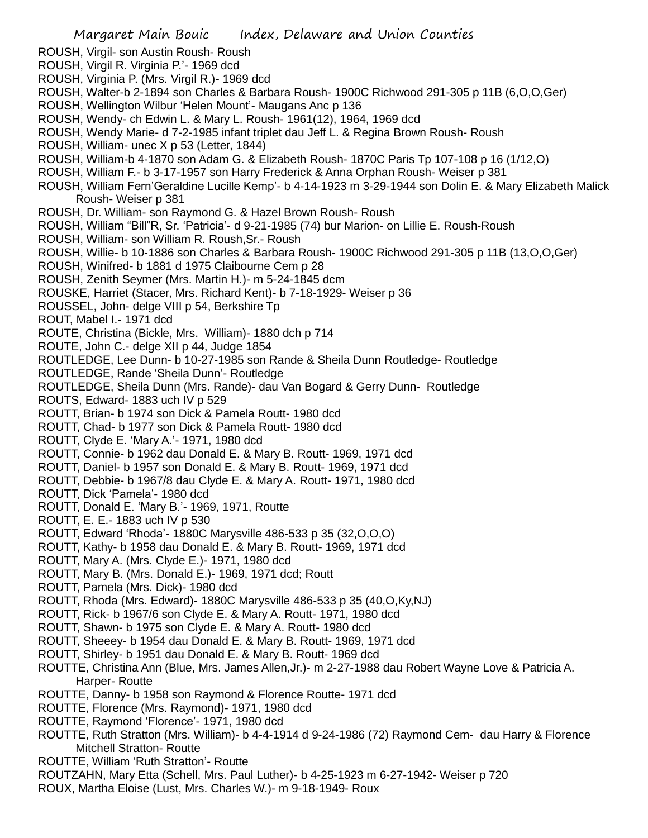- ROUSH, Virgil- son Austin Roush- Roush
- ROUSH, Virgil R. Virginia P.'- 1969 dcd
- ROUSH, Virginia P. (Mrs. Virgil R.)- 1969 dcd
- ROUSH, Walter-b 2-1894 son Charles & Barbara Roush- 1900C Richwood 291-305 p 11B (6,O,O,Ger)
- ROUSH, Wellington Wilbur 'Helen Mount'- Maugans Anc p 136
- ROUSH, Wendy- ch Edwin L. & Mary L. Roush- 1961(12), 1964, 1969 dcd
- ROUSH, Wendy Marie- d 7-2-1985 infant triplet dau Jeff L. & Regina Brown Roush- Roush
- ROUSH, William- unec X p 53 (Letter, 1844)
- ROUSH, William-b 4-1870 son Adam G. & Elizabeth Roush- 1870C Paris Tp 107-108 p 16 (1/12,O)
- ROUSH, William F.- b 3-17-1957 son Harry Frederick & Anna Orphan Roush- Weiser p 381
- ROUSH, William Fern'Geraldine Lucille Kemp'- b 4-14-1923 m 3-29-1944 son Dolin E. & Mary Elizabeth Malick Roush- Weiser p 381
- ROUSH, Dr. William- son Raymond G. & Hazel Brown Roush- Roush
- ROUSH, William "Bill"R, Sr. 'Patricia'- d 9-21-1985 (74) bur Marion- on Lillie E. Roush-Roush
- ROUSH, William- son William R. Roush,Sr.- Roush
- ROUSH, Willie- b 10-1886 son Charles & Barbara Roush- 1900C Richwood 291-305 p 11B (13,O,O,Ger)
- ROUSH, Winifred- b 1881 d 1975 Claibourne Cem p 28
- ROUSH, Zenith Seymer (Mrs. Martin H.)- m 5-24-1845 dcm
- ROUSKE, Harriet (Stacer, Mrs. Richard Kent)- b 7-18-1929- Weiser p 36
- ROUSSEL, John- delge VIII p 54, Berkshire Tp
- ROUT, Mabel I.- 1971 dcd
- ROUTE, Christina (Bickle, Mrs. William)- 1880 dch p 714
- ROUTE, John C.- delge XII p 44, Judge 1854
- ROUTLEDGE, Lee Dunn- b 10-27-1985 son Rande & Sheila Dunn Routledge- Routledge
- ROUTLEDGE, Rande 'Sheila Dunn'- Routledge
- ROUTLEDGE, Sheila Dunn (Mrs. Rande)- dau Van Bogard & Gerry Dunn- Routledge
- ROUTS, Edward- 1883 uch IV p 529
- ROUTT, Brian- b 1974 son Dick & Pamela Routt- 1980 dcd
- ROUTT, Chad- b 1977 son Dick & Pamela Routt- 1980 dcd
- ROUTT, Clyde E. 'Mary A.'- 1971, 1980 dcd
- ROUTT, Connie- b 1962 dau Donald E. & Mary B. Routt- 1969, 1971 dcd
- ROUTT, Daniel- b 1957 son Donald E. & Mary B. Routt- 1969, 1971 dcd
- ROUTT, Debbie- b 1967/8 dau Clyde E. & Mary A. Routt- 1971, 1980 dcd
- ROUTT, Dick 'Pamela'- 1980 dcd
- ROUTT, Donald E. 'Mary B.'- 1969, 1971, Routte
- ROUTT, E. E.- 1883 uch IV p 530
- ROUTT, Edward 'Rhoda'- 1880C Marysville 486-533 p 35 (32,O,O,O)
- ROUTT, Kathy- b 1958 dau Donald E. & Mary B. Routt- 1969, 1971 dcd
- ROUTT, Mary A. (Mrs. Clyde E.)- 1971, 1980 dcd
- ROUTT, Mary B. (Mrs. Donald E.)- 1969, 1971 dcd; Routt
- ROUTT, Pamela (Mrs. Dick)- 1980 dcd
- ROUTT, Rhoda (Mrs. Edward)- 1880C Marysville 486-533 p 35 (40,O,Ky,NJ)
- ROUTT, Rick- b 1967/6 son Clyde E. & Mary A. Routt- 1971, 1980 dcd
- ROUTT, Shawn- b 1975 son Clyde E. & Mary A. Routt- 1980 dcd
- ROUTT, Sheeey- b 1954 dau Donald E. & Mary B. Routt- 1969, 1971 dcd
- ROUTT, Shirley- b 1951 dau Donald E. & Mary B. Routt- 1969 dcd
- ROUTTE, Christina Ann (Blue, Mrs. James Allen,Jr.)- m 2-27-1988 dau Robert Wayne Love & Patricia A. Harper- Routte
- ROUTTE, Danny- b 1958 son Raymond & Florence Routte- 1971 dcd
- ROUTTE, Florence (Mrs. Raymond)- 1971, 1980 dcd
- ROUTTE, Raymond 'Florence'- 1971, 1980 dcd
- ROUTTE, Ruth Stratton (Mrs. William)- b 4-4-1914 d 9-24-1986 (72) Raymond Cem- dau Harry & Florence Mitchell Stratton- Routte
- ROUTTE, William 'Ruth Stratton'- Routte
- ROUTZAHN, Mary Etta (Schell, Mrs. Paul Luther)- b 4-25-1923 m 6-27-1942- Weiser p 720
- ROUX, Martha Eloise (Lust, Mrs. Charles W.)- m 9-18-1949- Roux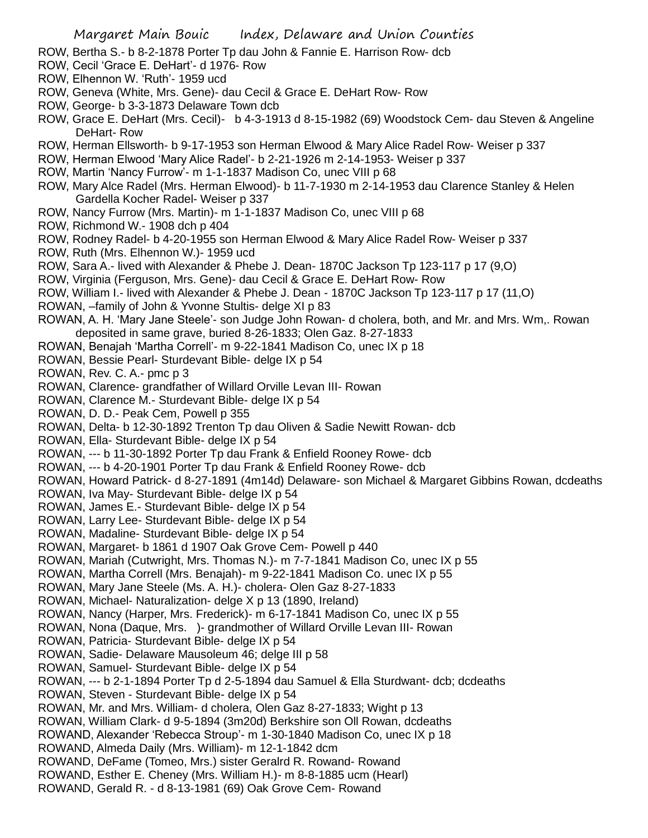ROW, Bertha S.- b 8-2-1878 Porter Tp dau John & Fannie E. Harrison Row- dcb

- ROW, Cecil 'Grace E. DeHart'- d 1976- Row
- ROW, Elhennon W. 'Ruth'- 1959 ucd
- ROW, Geneva (White, Mrs. Gene)- dau Cecil & Grace E. DeHart Row- Row
- ROW, George- b 3-3-1873 Delaware Town dcb
- ROW, Grace E. DeHart (Mrs. Cecil)- b 4-3-1913 d 8-15-1982 (69) Woodstock Cem- dau Steven & Angeline DeHart- Row
- ROW, Herman Ellsworth- b 9-17-1953 son Herman Elwood & Mary Alice Radel Row- Weiser p 337
- ROW, Herman Elwood 'Mary Alice Radel'- b 2-21-1926 m 2-14-1953- Weiser p 337
- ROW, Martin 'Nancy Furrow'- m 1-1-1837 Madison Co, unec VIII p 68
- ROW, Mary Alce Radel (Mrs. Herman Elwood)- b 11-7-1930 m 2-14-1953 dau Clarence Stanley & Helen Gardella Kocher Radel- Weiser p 337
- ROW, Nancy Furrow (Mrs. Martin)- m 1-1-1837 Madison Co, unec VIII p 68
- ROW, Richmond W.- 1908 dch p 404
- ROW, Rodney Radel- b 4-20-1955 son Herman Elwood & Mary Alice Radel Row- Weiser p 337
- ROW, Ruth (Mrs. Elhennon W.)- 1959 ucd
- ROW, Sara A.- lived with Alexander & Phebe J. Dean- 1870C Jackson Tp 123-117 p 17 (9,O)
- ROW, Virginia (Ferguson, Mrs. Gene)- dau Cecil & Grace E. DeHart Row- Row
- ROW, William I.- lived with Alexander & Phebe J. Dean 1870C Jackson Tp 123-117 p 17 (11,O)
- ROWAN, –family of John & Yvonne Stultis- delge XI p 83
- ROWAN, A. H. 'Mary Jane Steele'- son Judge John Rowan- d cholera, both, and Mr. and Mrs. Wm,. Rowan deposited in same grave, buried 8-26-1833; Olen Gaz. 8-27-1833
- ROWAN, Benajah 'Martha Correll'- m 9-22-1841 Madison Co, unec IX p 18
- ROWAN, Bessie Pearl- Sturdevant Bible- delge IX p 54
- ROWAN, Rev. C. A.- pmc p 3
- ROWAN, Clarence- grandfather of Willard Orville Levan III- Rowan
- ROWAN, Clarence M.- Sturdevant Bible- delge IX p 54
- ROWAN, D. D.- Peak Cem, Powell p 355
- ROWAN, Delta- b 12-30-1892 Trenton Tp dau Oliven & Sadie Newitt Rowan- dcb
- ROWAN, Ella- Sturdevant Bible- delge IX p 54
- ROWAN, --- b 11-30-1892 Porter Tp dau Frank & Enfield Rooney Rowe- dcb
- ROWAN, --- b 4-20-1901 Porter Tp dau Frank & Enfield Rooney Rowe- dcb
- ROWAN, Howard Patrick- d 8-27-1891 (4m14d) Delaware- son Michael & Margaret Gibbins Rowan, dcdeaths
- ROWAN, Iva May- Sturdevant Bible- delge IX p 54
- ROWAN, James E.- Sturdevant Bible- delge IX p 54
- ROWAN, Larry Lee- Sturdevant Bible- delge IX p 54
- ROWAN, Madaline- Sturdevant Bible- delge IX p 54
- ROWAN, Margaret- b 1861 d 1907 Oak Grove Cem- Powell p 440
- ROWAN, Mariah (Cutwright, Mrs. Thomas N.)- m 7-7-1841 Madison Co, unec IX p 55
- ROWAN, Martha Correll (Mrs. Benajah)- m 9-22-1841 Madison Co. unec IX p 55
- ROWAN, Mary Jane Steele (Ms. A. H.)- cholera- Olen Gaz 8-27-1833
- ROWAN, Michael- Naturalization- delge X p 13 (1890, Ireland)
- ROWAN, Nancy (Harper, Mrs. Frederick)- m 6-17-1841 Madison Co, unec IX p 55
- ROWAN, Nona (Daque, Mrs. )- grandmother of Willard Orville Levan III- Rowan
- ROWAN, Patricia- Sturdevant Bible- delge IX p 54
- ROWAN, Sadie- Delaware Mausoleum 46; delge III p 58
- ROWAN, Samuel- Sturdevant Bible- delge IX p 54
- ROWAN, --- b 2-1-1894 Porter Tp d 2-5-1894 dau Samuel & Ella Sturdwant- dcb; dcdeaths
- ROWAN, Steven Sturdevant Bible- delge IX p 54
- ROWAN, Mr. and Mrs. William- d cholera, Olen Gaz 8-27-1833; Wight p 13
- ROWAN, William Clark- d 9-5-1894 (3m20d) Berkshire son Oll Rowan, dcdeaths
- ROWAND, Alexander 'Rebecca Stroup'- m 1-30-1840 Madison Co, unec IX p 18
- ROWAND, Almeda Daily (Mrs. William)- m 12-1-1842 dcm
- ROWAND, DeFame (Tomeo, Mrs.) sister Geralrd R. Rowand- Rowand
- ROWAND, Esther E. Cheney (Mrs. William H.)- m 8-8-1885 ucm (Hearl)
- ROWAND, Gerald R. d 8-13-1981 (69) Oak Grove Cem- Rowand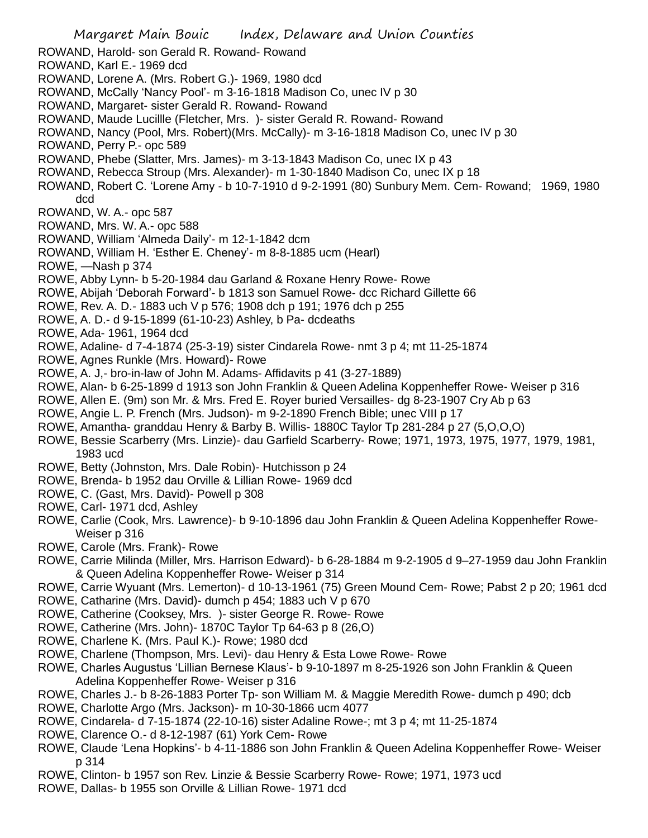- Margaret Main Bouic Index, Delaware and Union Counties ROWAND, Harold- son Gerald R. Rowand- Rowand ROWAND, Karl E.- 1969 dcd ROWAND, Lorene A. (Mrs. Robert G.)- 1969, 1980 dcd ROWAND, McCally 'Nancy Pool'- m 3-16-1818 Madison Co, unec IV p 30 ROWAND, Margaret- sister Gerald R. Rowand- Rowand ROWAND, Maude Lucillle (Fletcher, Mrs. )- sister Gerald R. Rowand- Rowand ROWAND, Nancy (Pool, Mrs. Robert)(Mrs. McCally)- m 3-16-1818 Madison Co, unec IV p 30 ROWAND, Perry P.- opc 589 ROWAND, Phebe (Slatter, Mrs. James)- m 3-13-1843 Madison Co, unec IX p 43 ROWAND, Rebecca Stroup (Mrs. Alexander)- m 1-30-1840 Madison Co, unec IX p 18 ROWAND, Robert C. 'Lorene Amy - b 10-7-1910 d 9-2-1991 (80) Sunbury Mem. Cem- Rowand; 1969, 1980 dcd ROWAND, W. A.- opc 587 ROWAND, Mrs. W. A.- opc 588 ROWAND, William 'Almeda Daily'- m 12-1-1842 dcm ROWAND, William H. 'Esther E. Cheney'- m 8-8-1885 ucm (Hearl) ROWE, —Nash p 374 ROWE, Abby Lynn- b 5-20-1984 dau Garland & Roxane Henry Rowe- Rowe ROWE, Abijah 'Deborah Forward'- b 1813 son Samuel Rowe- dcc Richard Gillette 66 ROWE, Rev. A. D.- 1883 uch V p 576; 1908 dch p 191; 1976 dch p 255 ROWE, A. D.- d 9-15-1899 (61-10-23) Ashley, b Pa- dcdeaths ROWE, Ada- 1961, 1964 dcd ROWE, Adaline- d 7-4-1874 (25-3-19) sister Cindarela Rowe- nmt 3 p 4; mt 11-25-1874 ROWE, Agnes Runkle (Mrs. Howard)- Rowe ROWE, A. J,- bro-in-law of John M. Adams- Affidavits p 41 (3-27-1889) ROWE, Alan- b 6-25-1899 d 1913 son John Franklin & Queen Adelina Koppenheffer Rowe- Weiser p 316 ROWE, Allen E. (9m) son Mr. & Mrs. Fred E. Royer buried Versailles- dg 8-23-1907 Cry Ab p 63 ROWE, Angie L. P. French (Mrs. Judson)- m 9-2-1890 French Bible; unec VIII p 17 ROWE, Amantha- granddau Henry & Barby B. Willis- 1880C Taylor Tp 281-284 p 27 (5,O,O,O) ROWE, Bessie Scarberry (Mrs. Linzie)- dau Garfield Scarberry- Rowe; 1971, 1973, 1975, 1977, 1979, 1981, 1983 ucd ROWE, Betty (Johnston, Mrs. Dale Robin)- Hutchisson p 24 ROWE, Brenda- b 1952 dau Orville & Lillian Rowe- 1969 dcd ROWE, C. (Gast, Mrs. David)- Powell p 308 ROWE, Carl- 1971 dcd, Ashley ROWE, Carlie (Cook, Mrs. Lawrence)- b 9-10-1896 dau John Franklin & Queen Adelina Koppenheffer Rowe-Weiser p 316 ROWE, Carole (Mrs. Frank)- Rowe ROWE, Carrie Milinda (Miller, Mrs. Harrison Edward)- b 6-28-1884 m 9-2-1905 d 9–27-1959 dau John Franklin & Queen Adelina Koppenheffer Rowe- Weiser p 314 ROWE, Carrie Wyuant (Mrs. Lemerton)- d 10-13-1961 (75) Green Mound Cem- Rowe; Pabst 2 p 20; 1961 dcd ROWE, Catharine (Mrs. David)- dumch p 454; 1883 uch V p 670 ROWE, Catherine (Cooksey, Mrs. )- sister George R. Rowe- Rowe ROWE, Catherine (Mrs. John)- 1870C Taylor Tp 64-63 p 8 (26,O) ROWE, Charlene K. (Mrs. Paul K.)- Rowe; 1980 dcd ROWE, Charlene (Thompson, Mrs. Levi)- dau Henry & Esta Lowe Rowe- Rowe ROWE, Charles Augustus 'Lillian Bernese Klaus'- b 9-10-1897 m 8-25-1926 son John Franklin & Queen Adelina Koppenheffer Rowe- Weiser p 316 ROWE, Charles J.- b 8-26-1883 Porter Tp- son William M. & Maggie Meredith Rowe- dumch p 490; dcb ROWE, Charlotte Argo (Mrs. Jackson)- m 10-30-1866 ucm 4077 ROWE, Cindarela- d 7-15-1874 (22-10-16) sister Adaline Rowe-; mt 3 p 4; mt 11-25-1874 ROWE, Clarence O.- d 8-12-1987 (61) York Cem- Rowe
- ROWE, Claude 'Lena Hopkins'- b 4-11-1886 son John Franklin & Queen Adelina Koppenheffer Rowe- Weiser p 314
- ROWE, Clinton- b 1957 son Rev. Linzie & Bessie Scarberry Rowe- Rowe; 1971, 1973 ucd
- ROWE, Dallas- b 1955 son Orville & Lillian Rowe- 1971 dcd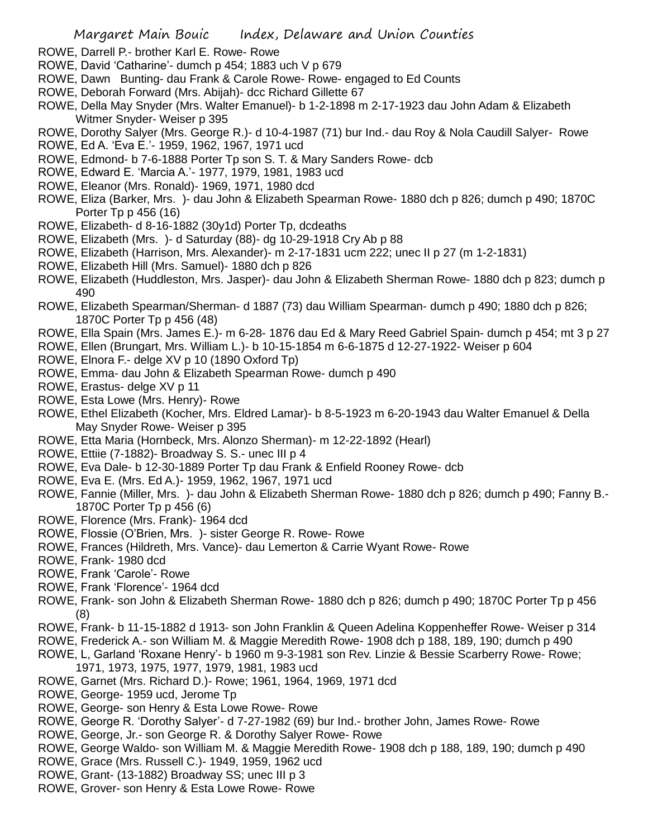- ROWE, Darrell P.- brother Karl E. Rowe- Rowe
- ROWE, David 'Catharine'- dumch p 454; 1883 uch V p 679
- ROWE, Dawn Bunting- dau Frank & Carole Rowe- Rowe- engaged to Ed Counts
- ROWE, Deborah Forward (Mrs. Abijah)- dcc Richard Gillette 67
- ROWE, Della May Snyder (Mrs. Walter Emanuel)- b 1-2-1898 m 2-17-1923 dau John Adam & Elizabeth Witmer Snyder- Weiser p 395
- ROWE, Dorothy Salyer (Mrs. George R.)- d 10-4-1987 (71) bur Ind.- dau Roy & Nola Caudill Salyer- Rowe
- ROWE, Ed A. 'Eva E.'- 1959, 1962, 1967, 1971 ucd
- ROWE, Edmond- b 7-6-1888 Porter Tp son S. T. & Mary Sanders Rowe- dcb
- ROWE, Edward E. 'Marcia A.'- 1977, 1979, 1981, 1983 ucd
- ROWE, Eleanor (Mrs. Ronald)- 1969, 1971, 1980 dcd
- ROWE, Eliza (Barker, Mrs. )- dau John & Elizabeth Spearman Rowe- 1880 dch p 826; dumch p 490; 1870C Porter Tp p 456 (16)
- ROWE, Elizabeth- d 8-16-1882 (30y1d) Porter Tp, dcdeaths
- ROWE, Elizabeth (Mrs. )- d Saturday (88)- dg 10-29-1918 Cry Ab p 88
- ROWE, Elizabeth (Harrison, Mrs. Alexander)- m 2-17-1831 ucm 222; unec II p 27 (m 1-2-1831)
- ROWE, Elizabeth Hill (Mrs. Samuel)- 1880 dch p 826
- ROWE, Elizabeth (Huddleston, Mrs. Jasper)- dau John & Elizabeth Sherman Rowe- 1880 dch p 823; dumch p 490
- ROWE, Elizabeth Spearman/Sherman- d 1887 (73) dau William Spearman- dumch p 490; 1880 dch p 826; 1870C Porter Tp p 456 (48)
- ROWE, Ella Spain (Mrs. James E.)- m 6-28- 1876 dau Ed & Mary Reed Gabriel Spain- dumch p 454; mt 3 p 27
- ROWE, Ellen (Brungart, Mrs. William L.)- b 10-15-1854 m 6-6-1875 d 12-27-1922- Weiser p 604
- ROWE, Elnora F.- delge XV p 10 (1890 Oxford Tp)
- ROWE, Emma- dau John & Elizabeth Spearman Rowe- dumch p 490
- ROWE, Erastus- delge XV p 11
- ROWE, Esta Lowe (Mrs. Henry)- Rowe
- ROWE, Ethel Elizabeth (Kocher, Mrs. Eldred Lamar)- b 8-5-1923 m 6-20-1943 dau Walter Emanuel & Della May Snyder Rowe- Weiser p 395
- ROWE, Etta Maria (Hornbeck, Mrs. Alonzo Sherman)- m 12-22-1892 (Hearl)
- ROWE, Ettiie (7-1882)- Broadway S. S.- unec III p 4
- ROWE, Eva Dale- b 12-30-1889 Porter Tp dau Frank & Enfield Rooney Rowe- dcb
- ROWE, Eva E. (Mrs. Ed A.)- 1959, 1962, 1967, 1971 ucd
- ROWE, Fannie (Miller, Mrs. )- dau John & Elizabeth Sherman Rowe- 1880 dch p 826; dumch p 490; Fanny B.- 1870C Porter Tp p 456 (6)
- ROWE, Florence (Mrs. Frank)- 1964 dcd
- ROWE, Flossie (O'Brien, Mrs. )- sister George R. Rowe- Rowe
- ROWE, Frances (Hildreth, Mrs. Vance)- dau Lemerton & Carrie Wyant Rowe- Rowe
- ROWE, Frank- 1980 dcd
- ROWE, Frank 'Carole'- Rowe
- ROWE, Frank 'Florence'- 1964 dcd
- ROWE, Frank- son John & Elizabeth Sherman Rowe- 1880 dch p 826; dumch p 490; 1870C Porter Tp p 456 (8)
- ROWE, Frank- b 11-15-1882 d 1913- son John Franklin & Queen Adelina Koppenheffer Rowe- Weiser p 314
- ROWE, Frederick A.- son William M. & Maggie Meredith Rowe- 1908 dch p 188, 189, 190; dumch p 490
- ROWE, L, Garland 'Roxane Henry'- b 1960 m 9-3-1981 son Rev. Linzie & Bessie Scarberry Rowe- Rowe; 1971, 1973, 1975, 1977, 1979, 1981, 1983 ucd
- ROWE, Garnet (Mrs. Richard D.)- Rowe; 1961, 1964, 1969, 1971 dcd
- ROWE, George- 1959 ucd, Jerome Tp
- ROWE, George- son Henry & Esta Lowe Rowe- Rowe
- ROWE, George R. 'Dorothy Salyer'- d 7-27-1982 (69) bur Ind.- brother John, James Rowe- Rowe
- ROWE, George, Jr.- son George R. & Dorothy Salyer Rowe- Rowe
- ROWE, George Waldo- son William M. & Maggie Meredith Rowe- 1908 dch p 188, 189, 190; dumch p 490
- ROWE, Grace (Mrs. Russell C.)- 1949, 1959, 1962 ucd
- ROWE, Grant- (13-1882) Broadway SS; unec III p 3
- ROWE, Grover- son Henry & Esta Lowe Rowe- Rowe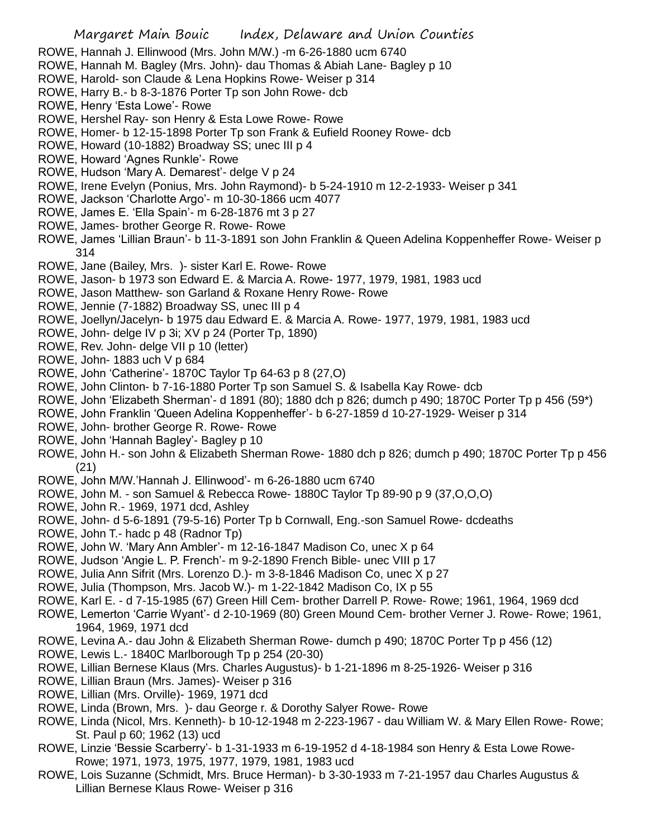- ROWE, Hannah J. Ellinwood (Mrs. John M/W.) -m 6-26-1880 ucm 6740
- ROWE, Hannah M. Bagley (Mrs. John)- dau Thomas & Abiah Lane- Bagley p 10
- ROWE, Harold- son Claude & Lena Hopkins Rowe- Weiser p 314
- ROWE, Harry B.- b 8-3-1876 Porter Tp son John Rowe- dcb
- ROWE, Henry 'Esta Lowe'- Rowe
- ROWE, Hershel Ray- son Henry & Esta Lowe Rowe- Rowe
- ROWE, Homer- b 12-15-1898 Porter Tp son Frank & Eufield Rooney Rowe- dcb
- ROWE, Howard (10-1882) Broadway SS; unec III p 4
- ROWE, Howard 'Agnes Runkle'- Rowe
- ROWE, Hudson 'Mary A. Demarest'- delge V p 24
- ROWE, Irene Evelyn (Ponius, Mrs. John Raymond)- b 5-24-1910 m 12-2-1933- Weiser p 341
- ROWE, Jackson 'Charlotte Argo'- m 10-30-1866 ucm 4077
- ROWE, James E. 'Ella Spain'- m 6-28-1876 mt 3 p 27
- ROWE, James- brother George R. Rowe- Rowe
- ROWE, James 'Lillian Braun'- b 11-3-1891 son John Franklin & Queen Adelina Koppenheffer Rowe- Weiser p 314
- ROWE, Jane (Bailey, Mrs. )- sister Karl E. Rowe- Rowe
- ROWE, Jason- b 1973 son Edward E. & Marcia A. Rowe- 1977, 1979, 1981, 1983 ucd
- ROWE, Jason Matthew- son Garland & Roxane Henry Rowe- Rowe
- ROWE, Jennie (7-1882) Broadway SS, unec III p 4
- ROWE, Joellyn/Jacelyn- b 1975 dau Edward E. & Marcia A. Rowe- 1977, 1979, 1981, 1983 ucd
- ROWE, John- delge IV p 3i; XV p 24 (Porter Tp, 1890)
- ROWE, Rev. John- delge VII p 10 (letter)
- ROWE, John- 1883 uch V p 684
- ROWE, John 'Catherine'- 1870C Taylor Tp 64-63 p 8 (27,O)
- ROWE, John Clinton- b 7-16-1880 Porter Tp son Samuel S. & Isabella Kay Rowe- dcb
- ROWE, John 'Elizabeth Sherman'- d 1891 (80); 1880 dch p 826; dumch p 490; 1870C Porter Tp p 456 (59\*)
- ROWE, John Franklin 'Queen Adelina Koppenheffer'- b 6-27-1859 d 10-27-1929- Weiser p 314
- ROWE, John- brother George R. Rowe- Rowe
- ROWE, John 'Hannah Bagley'- Bagley p 10
- ROWE, John H.- son John & Elizabeth Sherman Rowe- 1880 dch p 826; dumch p 490; 1870C Porter Tp p 456 (21)
- ROWE, John M/W.'Hannah J. Ellinwood'- m 6-26-1880 ucm 6740
- ROWE, John M. son Samuel & Rebecca Rowe- 1880C Taylor Tp 89-90 p 9 (37,O,O,O)
- ROWE, John R.- 1969, 1971 dcd, Ashley
- ROWE, John- d 5-6-1891 (79-5-16) Porter Tp b Cornwall, Eng.-son Samuel Rowe- dcdeaths
- ROWE, John T.- hadc p 48 (Radnor Tp)
- ROWE, John W. 'Mary Ann Ambler'- m 12-16-1847 Madison Co, unec X p 64
- ROWE, Judson 'Angie L. P. French'- m 9-2-1890 French Bible- unec VIII p 17
- ROWE, Julia Ann Sifrit (Mrs. Lorenzo D.)- m 3-8-1846 Madison Co, unec X p 27
- ROWE, Julia (Thompson, Mrs. Jacob W.)- m 1-22-1842 Madison Co, IX p 55
- ROWE, Karl E. d 7-15-1985 (67) Green Hill Cem- brother Darrell P. Rowe- Rowe; 1961, 1964, 1969 dcd
- ROWE, Lemerton 'Carrie Wyant'- d 2-10-1969 (80) Green Mound Cem- brother Verner J. Rowe- Rowe; 1961, 1964, 1969, 1971 dcd
- ROWE, Levina A.- dau John & Elizabeth Sherman Rowe- dumch p 490; 1870C Porter Tp p 456 (12)
- ROWE, Lewis L.- 1840C Marlborough Tp p 254 (20-30)
- ROWE, Lillian Bernese Klaus (Mrs. Charles Augustus)- b 1-21-1896 m 8-25-1926- Weiser p 316
- ROWE, Lillian Braun (Mrs. James)- Weiser p 316
- ROWE, Lillian (Mrs. Orville)- 1969, 1971 dcd
- ROWE, Linda (Brown, Mrs. )- dau George r. & Dorothy Salyer Rowe- Rowe
- ROWE, Linda (Nicol, Mrs. Kenneth)- b 10-12-1948 m 2-223-1967 dau William W. & Mary Ellen Rowe- Rowe; St. Paul p 60; 1962 (13) ucd
- ROWE, Linzie 'Bessie Scarberry'- b 1-31-1933 m 6-19-1952 d 4-18-1984 son Henry & Esta Lowe Rowe-Rowe; 1971, 1973, 1975, 1977, 1979, 1981, 1983 ucd
- ROWE, Lois Suzanne (Schmidt, Mrs. Bruce Herman)- b 3-30-1933 m 7-21-1957 dau Charles Augustus & Lillian Bernese Klaus Rowe- Weiser p 316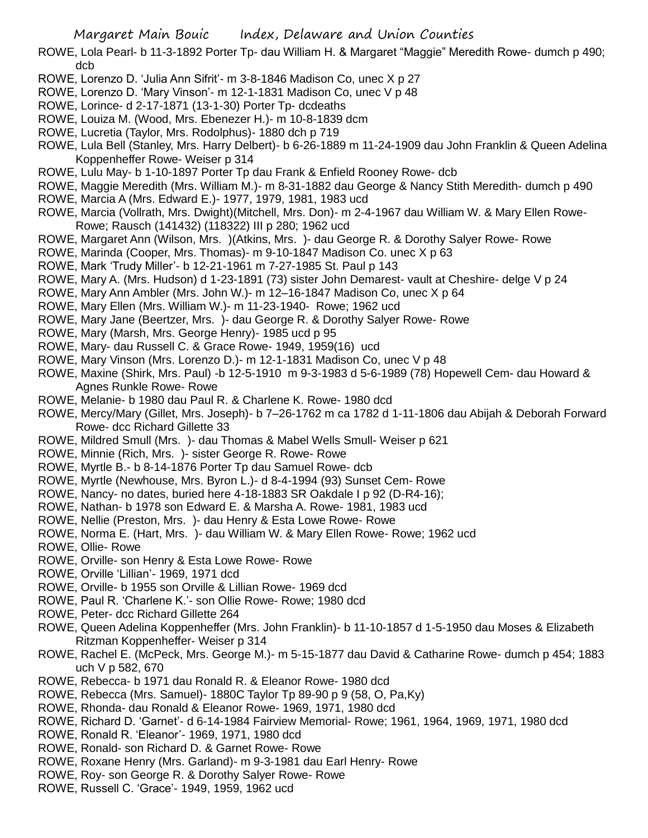- ROWE, Lola Pearl- b 11-3-1892 Porter Tp- dau William H. & Margaret "Maggie" Meredith Rowe- dumch p 490; dcb
- ROWE, Lorenzo D. 'Julia Ann Sifrit'- m 3-8-1846 Madison Co, unec X p 27
- ROWE, Lorenzo D. 'Mary Vinson'- m 12-1-1831 Madison Co, unec V p 48
- ROWE, Lorince- d 2-17-1871 (13-1-30) Porter Tp- dcdeaths
- ROWE, Louiza M. (Wood, Mrs. Ebenezer H.)- m 10-8-1839 dcm
- ROWE, Lucretia (Taylor, Mrs. Rodolphus)- 1880 dch p 719
- ROWE, Lula Bell (Stanley, Mrs. Harry Delbert)- b 6-26-1889 m 11-24-1909 dau John Franklin & Queen Adelina Koppenheffer Rowe- Weiser p 314
- ROWE, Lulu May- b 1-10-1897 Porter Tp dau Frank & Enfield Rooney Rowe- dcb
- ROWE, Maggie Meredith (Mrs. William M.)- m 8-31-1882 dau George & Nancy Stith Meredith- dumch p 490
- ROWE, Marcia A (Mrs. Edward E.)- 1977, 1979, 1981, 1983 ucd
- ROWE, Marcia (Vollrath, Mrs. Dwight)(Mitchell, Mrs. Don)- m 2-4-1967 dau William W. & Mary Ellen Rowe-Rowe; Rausch (141432) (118322) III p 280; 1962 ucd
- ROWE, Margaret Ann (Wilson, Mrs. )(Atkins, Mrs. )- dau George R. & Dorothy Salyer Rowe- Rowe
- ROWE, Marinda (Cooper, Mrs. Thomas)- m 9-10-1847 Madison Co. unec X p 63
- ROWE, Mark 'Trudy Miller'- b 12-21-1961 m 7-27-1985 St. Paul p 143
- ROWE, Mary A. (Mrs. Hudson) d 1-23-1891 (73) sister John Demarest- vault at Cheshire- delge V p 24
- ROWE, Mary Ann Ambler (Mrs. John W.)- m 12–16-1847 Madison Co, unec X p 64
- ROWE, Mary Ellen (Mrs. William W.)- m 11-23-1940- Rowe; 1962 ucd
- ROWE, Mary Jane (Beertzer, Mrs. )- dau George R. & Dorothy Salyer Rowe- Rowe
- ROWE, Mary (Marsh, Mrs. George Henry)- 1985 ucd p 95
- ROWE, Mary- dau Russell C. & Grace Rowe- 1949, 1959(16) ucd
- ROWE, Mary Vinson (Mrs. Lorenzo D.)- m 12-1-1831 Madison Co, unec V p 48
- ROWE, Maxine (Shirk, Mrs. Paul) -b 12-5-1910 m 9-3-1983 d 5-6-1989 (78) Hopewell Cem- dau Howard & Agnes Runkle Rowe- Rowe
- ROWE, Melanie- b 1980 dau Paul R. & Charlene K. Rowe- 1980 dcd
- ROWE, Mercy/Mary (Gillet, Mrs. Joseph)- b 7–26-1762 m ca 1782 d 1-11-1806 dau Abijah & Deborah Forward Rowe- dcc Richard Gillette 33
- ROWE, Mildred Smull (Mrs. )- dau Thomas & Mabel Wells Smull- Weiser p 621
- ROWE, Minnie (Rich, Mrs. )- sister George R. Rowe- Rowe
- ROWE, Myrtle B.- b 8-14-1876 Porter Tp dau Samuel Rowe- dcb
- ROWE, Myrtle (Newhouse, Mrs. Byron L.)- d 8-4-1994 (93) Sunset Cem- Rowe
- ROWE, Nancy- no dates, buried here 4-18-1883 SR Oakdale I p 92 (D-R4-16);
- ROWE, Nathan- b 1978 son Edward E. & Marsha A. Rowe- 1981, 1983 ucd
- ROWE, Nellie (Preston, Mrs. )- dau Henry & Esta Lowe Rowe- Rowe
- ROWE, Norma E. (Hart, Mrs. )- dau William W. & Mary Ellen Rowe- Rowe; 1962 ucd
- ROWE, Ollie- Rowe
- ROWE, Orville- son Henry & Esta Lowe Rowe- Rowe
- ROWE, Orville 'Lillian'- 1969, 1971 dcd
- ROWE, Orville- b 1955 son Orville & Lillian Rowe- 1969 dcd
- ROWE, Paul R. 'Charlene K.'- son Ollie Rowe- Rowe; 1980 dcd
- ROWE, Peter- dcc Richard Gillette 264
- ROWE, Queen Adelina Koppenheffer (Mrs. John Franklin)- b 11-10-1857 d 1-5-1950 dau Moses & Elizabeth Ritzman Koppenheffer- Weiser p 314
- ROWE, Rachel E. (McPeck, Mrs. George M.)- m 5-15-1877 dau David & Catharine Rowe- dumch p 454; 1883 uch V p 582, 670
- ROWE, Rebecca- b 1971 dau Ronald R. & Eleanor Rowe- 1980 dcd
- ROWE, Rebecca (Mrs. Samuel)- 1880C Taylor Tp 89-90 p 9 (58, O, Pa,Ky)
- ROWE, Rhonda- dau Ronald & Eleanor Rowe- 1969, 1971, 1980 dcd
- ROWE, Richard D. 'Garnet'- d 6-14-1984 Fairview Memorial- Rowe; 1961, 1964, 1969, 1971, 1980 dcd
- ROWE, Ronald R. 'Eleanor'- 1969, 1971, 1980 dcd
- ROWE, Ronald- son Richard D. & Garnet Rowe- Rowe
- ROWE, Roxane Henry (Mrs. Garland)- m 9-3-1981 dau Earl Henry- Rowe
- ROWE, Roy- son George R. & Dorothy Salyer Rowe- Rowe
- ROWE, Russell C. 'Grace'- 1949, 1959, 1962 ucd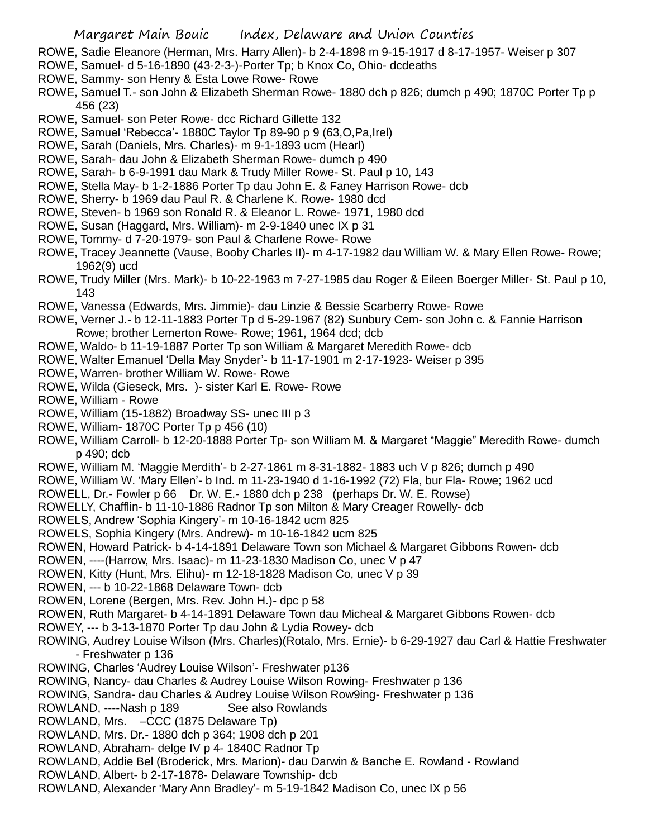- ROWE, Sadie Eleanore (Herman, Mrs. Harry Allen)- b 2-4-1898 m 9-15-1917 d 8-17-1957- Weiser p 307
- ROWE, Samuel- d 5-16-1890 (43-2-3-)-Porter Tp; b Knox Co, Ohio- dcdeaths
- ROWE, Sammy- son Henry & Esta Lowe Rowe- Rowe
- ROWE, Samuel T.- son John & Elizabeth Sherman Rowe- 1880 dch p 826; dumch p 490; 1870C Porter Tp p 456 (23)
- ROWE, Samuel- son Peter Rowe- dcc Richard Gillette 132
- ROWE, Samuel 'Rebecca'- 1880C Taylor Tp 89-90 p 9 (63,O,Pa,Irel)
- ROWE, Sarah (Daniels, Mrs. Charles)- m 9-1-1893 ucm (Hearl)
- ROWE, Sarah- dau John & Elizabeth Sherman Rowe- dumch p 490
- ROWE, Sarah- b 6-9-1991 dau Mark & Trudy Miller Rowe- St. Paul p 10, 143
- ROWE, Stella May- b 1-2-1886 Porter Tp dau John E. & Faney Harrison Rowe- dcb
- ROWE, Sherry- b 1969 dau Paul R. & Charlene K. Rowe- 1980 dcd
- ROWE, Steven- b 1969 son Ronald R. & Eleanor L. Rowe- 1971, 1980 dcd
- ROWE, Susan (Haggard, Mrs. William)- m 2-9-1840 unec IX p 31
- ROWE, Tommy- d 7-20-1979- son Paul & Charlene Rowe- Rowe
- ROWE, Tracey Jeannette (Vause, Booby Charles II)- m 4-17-1982 dau William W. & Mary Ellen Rowe- Rowe; 1962(9) ucd
- ROWE, Trudy Miller (Mrs. Mark)- b 10-22-1963 m 7-27-1985 dau Roger & Eileen Boerger Miller- St. Paul p 10, 143
- ROWE, Vanessa (Edwards, Mrs. Jimmie)- dau Linzie & Bessie Scarberry Rowe- Rowe
- ROWE, Verner J.- b 12-11-1883 Porter Tp d 5-29-1967 (82) Sunbury Cem- son John c. & Fannie Harrison Rowe; brother Lemerton Rowe- Rowe; 1961, 1964 dcd; dcb
- ROWE, Waldo- b 11-19-1887 Porter Tp son William & Margaret Meredith Rowe- dcb
- ROWE, Walter Emanuel 'Della May Snyder'- b 11-17-1901 m 2-17-1923- Weiser p 395
- ROWE, Warren- brother William W. Rowe- Rowe
- ROWE, Wilda (Gieseck, Mrs. )- sister Karl E. Rowe- Rowe
- ROWE, William Rowe
- ROWE, William (15-1882) Broadway SS- unec III p 3
- ROWE, William- 1870C Porter Tp p 456 (10)
- ROWE, William Carroll- b 12-20-1888 Porter Tp- son William M. & Margaret "Maggie" Meredith Rowe- dumch p 490; dcb
- ROWE, William M. 'Maggie Merdith'- b 2-27-1861 m 8-31-1882- 1883 uch V p 826; dumch p 490
- ROWE, William W. 'Mary Ellen'- b Ind. m 11-23-1940 d 1-16-1992 (72) Fla, bur Fla- Rowe; 1962 ucd
- ROWELL, Dr.- Fowler p 66 Dr. W. E.- 1880 dch p 238 (perhaps Dr. W. E. Rowse)
- ROWELLY, Chafflin- b 11-10-1886 Radnor Tp son Milton & Mary Creager Rowelly- dcb
- ROWELS, Andrew 'Sophia Kingery'- m 10-16-1842 ucm 825
- ROWELS, Sophia Kingery (Mrs. Andrew)- m 10-16-1842 ucm 825
- ROWEN, Howard Patrick- b 4-14-1891 Delaware Town son Michael & Margaret Gibbons Rowen- dcb
- ROWEN, ----(Harrow, Mrs. Isaac)- m 11-23-1830 Madison Co, unec V p 47
- ROWEN, Kitty (Hunt, Mrs. Elihu)- m 12-18-1828 Madison Co, unec V p 39
- ROWEN, --- b 10-22-1868 Delaware Town- dcb
- ROWEN, Lorene (Bergen, Mrs. Rev. John H.)- dpc p 58
- ROWEN, Ruth Margaret- b 4-14-1891 Delaware Town dau Micheal & Margaret Gibbons Rowen- dcb
- ROWEY, --- b 3-13-1870 Porter Tp dau John & Lydia Rowey- dcb
- ROWING, Audrey Louise Wilson (Mrs. Charles)(Rotalo, Mrs. Ernie)- b 6-29-1927 dau Carl & Hattie Freshwater - Freshwater p 136
- ROWING, Charles 'Audrey Louise Wilson'- Freshwater p136
- ROWING, Nancy- dau Charles & Audrey Louise Wilson Rowing- Freshwater p 136
- ROWING, Sandra- dau Charles & Audrey Louise Wilson Row9ing- Freshwater p 136
- ROWLAND, ----Nash p 189 See also Rowlands
- ROWLAND, Mrs. –CCC (1875 Delaware Tp)
- ROWLAND, Mrs. Dr.- 1880 dch p 364; 1908 dch p 201
- ROWLAND, Abraham- delge IV p 4- 1840C Radnor Tp
- ROWLAND, Addie Bel (Broderick, Mrs. Marion)- dau Darwin & Banche E. Rowland Rowland
- ROWLAND, Albert- b 2-17-1878- Delaware Township- dcb
- ROWLAND, Alexander 'Mary Ann Bradley'- m 5-19-1842 Madison Co, unec IX p 56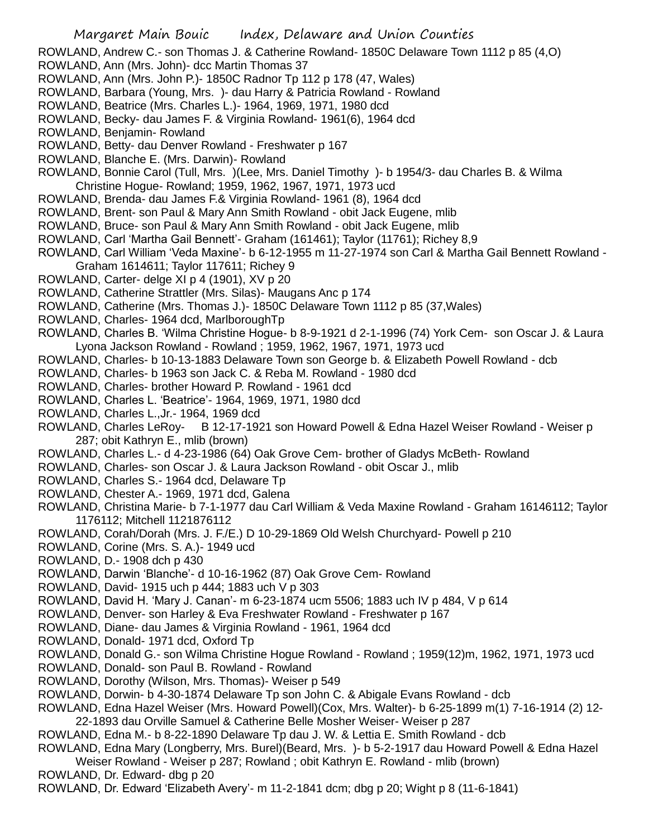ROWLAND, Andrew C.- son Thomas J. & Catherine Rowland- 1850C Delaware Town 1112 p 85 (4,O)

- ROWLAND, Ann (Mrs. John)- dcc Martin Thomas 37
- ROWLAND, Ann (Mrs. John P.)- 1850C Radnor Tp 112 p 178 (47, Wales)
- ROWLAND, Barbara (Young, Mrs. )- dau Harry & Patricia Rowland Rowland
- ROWLAND, Beatrice (Mrs. Charles L.)- 1964, 1969, 1971, 1980 dcd
- ROWLAND, Becky- dau James F. & Virginia Rowland- 1961(6), 1964 dcd
- ROWLAND, Benjamin- Rowland
- ROWLAND, Betty- dau Denver Rowland Freshwater p 167
- ROWLAND, Blanche E. (Mrs. Darwin)- Rowland
- ROWLAND, Bonnie Carol (Tull, Mrs. )(Lee, Mrs. Daniel Timothy )- b 1954/3- dau Charles B. & Wilma
- Christine Hogue- Rowland; 1959, 1962, 1967, 1971, 1973 ucd
- ROWLAND, Brenda- dau James F.& Virginia Rowland- 1961 (8), 1964 dcd
- ROWLAND, Brent- son Paul & Mary Ann Smith Rowland obit Jack Eugene, mlib
- ROWLAND, Bruce- son Paul & Mary Ann Smith Rowland obit Jack Eugene, mlib
- ROWLAND, Carl 'Martha Gail Bennett'- Graham (161461); Taylor (11761); Richey 8,9
- ROWLAND, Carl William 'Veda Maxine'- b 6-12-1955 m 11-27-1974 son Carl & Martha Gail Bennett Rowland Graham 1614611; Taylor 117611; Richey 9
- ROWLAND, Carter- delge XI p 4 (1901), XV p 20
- ROWLAND, Catherine Strattler (Mrs. Silas)- Maugans Anc p 174
- ROWLAND, Catherine (Mrs. Thomas J.)- 1850C Delaware Town 1112 p 85 (37,Wales)
- ROWLAND, Charles- 1964 dcd, MarlboroughTp
- ROWLAND, Charles B. 'Wilma Christine Hogue- b 8-9-1921 d 2-1-1996 (74) York Cem- son Oscar J. & Laura Lyona Jackson Rowland - Rowland ; 1959, 1962, 1967, 1971, 1973 ucd
- ROWLAND, Charles- b 10-13-1883 Delaware Town son George b. & Elizabeth Powell Rowland dcb
- ROWLAND, Charles- b 1963 son Jack C. & Reba M. Rowland 1980 dcd
- ROWLAND, Charles- brother Howard P. Rowland 1961 dcd
- ROWLAND, Charles L. 'Beatrice'- 1964, 1969, 1971, 1980 dcd
- ROWLAND, Charles L.,Jr.- 1964, 1969 dcd
- ROWLAND, Charles LeRoy- B 12-17-1921 son Howard Powell & Edna Hazel Weiser Rowland Weiser p 287; obit Kathryn E., mlib (brown)
- ROWLAND, Charles L.- d 4-23-1986 (64) Oak Grove Cem- brother of Gladys McBeth- Rowland
- ROWLAND, Charles- son Oscar J. & Laura Jackson Rowland obit Oscar J., mlib
- ROWLAND, Charles S.- 1964 dcd, Delaware Tp
- ROWLAND, Chester A.- 1969, 1971 dcd, Galena
- ROWLAND, Christina Marie- b 7-1-1977 dau Carl William & Veda Maxine Rowland Graham 16146112; Taylor 1176112; Mitchell 1121876112
- ROWLAND, Corah/Dorah (Mrs. J. F./E.) D 10-29-1869 Old Welsh Churchyard- Powell p 210
- ROWLAND, Corine (Mrs. S. A.)- 1949 ucd
- ROWLAND, D.- 1908 dch p 430
- ROWLAND, Darwin 'Blanche'- d 10-16-1962 (87) Oak Grove Cem- Rowland
- ROWLAND, David- 1915 uch p 444; 1883 uch V p 303
- ROWLAND, David H. 'Mary J. Canan'- m 6-23-1874 ucm 5506; 1883 uch IV p 484, V p 614
- ROWLAND, Denver- son Harley & Eva Freshwater Rowland Freshwater p 167
- ROWLAND, Diane- dau James & Virginia Rowland 1961, 1964 dcd
- ROWLAND, Donald- 1971 dcd, Oxford Tp
- ROWLAND, Donald G.- son Wilma Christine Hogue Rowland Rowland ; 1959(12)m, 1962, 1971, 1973 ucd
- ROWLAND, Donald- son Paul B. Rowland Rowland
- ROWLAND, Dorothy (Wilson, Mrs. Thomas)- Weiser p 549
- ROWLAND, Dorwin- b 4-30-1874 Delaware Tp son John C. & Abigale Evans Rowland dcb
- ROWLAND, Edna Hazel Weiser (Mrs. Howard Powell)(Cox, Mrs. Walter)- b 6-25-1899 m(1) 7-16-1914 (2) 12- 22-1893 dau Orville Samuel & Catherine Belle Mosher Weiser- Weiser p 287
- ROWLAND, Edna M.- b 8-22-1890 Delaware Tp dau J. W. & Lettia E. Smith Rowland dcb
- ROWLAND, Edna Mary (Longberry, Mrs. Burel)(Beard, Mrs. )- b 5-2-1917 dau Howard Powell & Edna Hazel
- Weiser Rowland Weiser p 287; Rowland ; obit Kathryn E. Rowland mlib (brown)

ROWLAND, Dr. Edward- dbg p 20

ROWLAND, Dr. Edward 'Elizabeth Avery'- m 11-2-1841 dcm; dbg p 20; Wight p 8 (11-6-1841)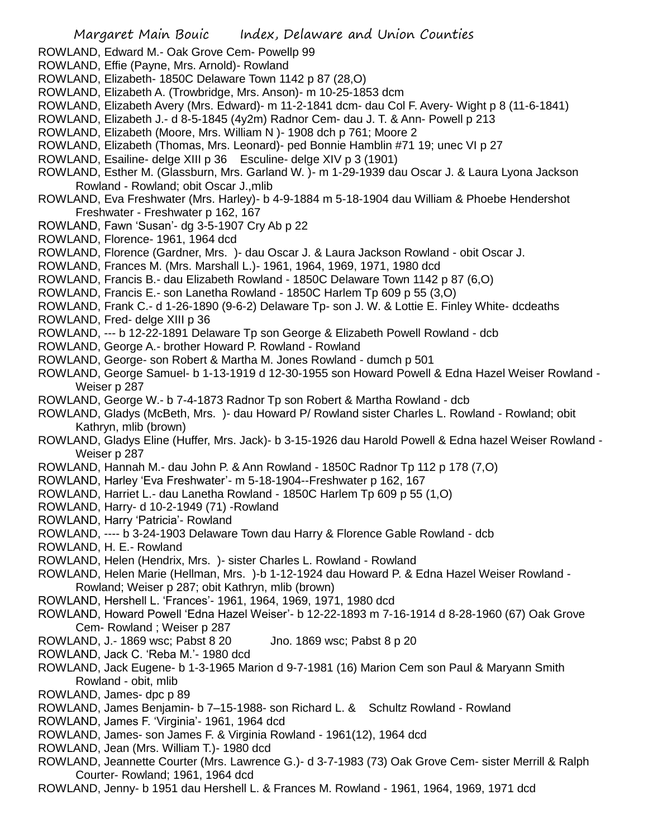ROWLAND, Edward M.- Oak Grove Cem- Powellp 99

ROWLAND, Effie (Payne, Mrs. Arnold)- Rowland

- ROWLAND, Elizabeth- 1850C Delaware Town 1142 p 87 (28,O)
- ROWLAND, Elizabeth A. (Trowbridge, Mrs. Anson)- m 10-25-1853 dcm
- ROWLAND, Elizabeth Avery (Mrs. Edward)- m 11-2-1841 dcm- dau Col F. Avery- Wight p 8 (11-6-1841)
- ROWLAND, Elizabeth J.- d 8-5-1845 (4y2m) Radnor Cem- dau J. T. & Ann- Powell p 213
- ROWLAND, Elizabeth (Moore, Mrs. William N )- 1908 dch p 761; Moore 2
- ROWLAND, Elizabeth (Thomas, Mrs. Leonard)- ped Bonnie Hamblin #71 19; unec VI p 27
- ROWLAND, Esailine- delge XIII p 36 Esculine- delge XIV p 3 (1901)
- ROWLAND, Esther M. (Glassburn, Mrs. Garland W. )- m 1-29-1939 dau Oscar J. & Laura Lyona Jackson Rowland - Rowland; obit Oscar J.,mlib
- ROWLAND, Eva Freshwater (Mrs. Harley)- b 4-9-1884 m 5-18-1904 dau William & Phoebe Hendershot Freshwater - Freshwater p 162, 167
- ROWLAND, Fawn 'Susan'- dg 3-5-1907 Cry Ab p 22
- ROWLAND, Florence- 1961, 1964 dcd
- ROWLAND, Florence (Gardner, Mrs. )- dau Oscar J. & Laura Jackson Rowland obit Oscar J.
- ROWLAND, Frances M. (Mrs. Marshall L.)- 1961, 1964, 1969, 1971, 1980 dcd
- ROWLAND, Francis B.- dau Elizabeth Rowland 1850C Delaware Town 1142 p 87 (6,O)
- ROWLAND, Francis E.- son Lanetha Rowland 1850C Harlem Tp 609 p 55 (3,O)
- ROWLAND, Frank C.- d 1-26-1890 (9-6-2) Delaware Tp- son J. W. & Lottie E. Finley White- dcdeaths
- ROWLAND, Fred- delge XIII p 36
- ROWLAND, --- b 12-22-1891 Delaware Tp son George & Elizabeth Powell Rowland dcb
- ROWLAND, George A.- brother Howard P. Rowland Rowland
- ROWLAND, George- son Robert & Martha M. Jones Rowland dumch p 501
- ROWLAND, George Samuel- b 1-13-1919 d 12-30-1955 son Howard Powell & Edna Hazel Weiser Rowland Weiser p 287
- ROWLAND, George W.- b 7-4-1873 Radnor Tp son Robert & Martha Rowland dcb
- ROWLAND, Gladys (McBeth, Mrs. )- dau Howard P/ Rowland sister Charles L. Rowland Rowland; obit Kathryn, mlib (brown)
- ROWLAND, Gladys Eline (Huffer, Mrs. Jack)- b 3-15-1926 dau Harold Powell & Edna hazel Weiser Rowland Weiser p 287
- ROWLAND, Hannah M.- dau John P. & Ann Rowland 1850C Radnor Tp 112 p 178 (7,O)
- ROWLAND, Harley 'Eva Freshwater'- m 5-18-1904--Freshwater p 162, 167
- ROWLAND, Harriet L.- dau Lanetha Rowland 1850C Harlem Tp 609 p 55 (1,O)
- ROWLAND, Harry- d 10-2-1949 (71) -Rowland
- ROWLAND, Harry 'Patricia'- Rowland
- ROWLAND, ---- b 3-24-1903 Delaware Town dau Harry & Florence Gable Rowland dcb
- ROWLAND, H. E.- Rowland
- ROWLAND, Helen (Hendrix, Mrs. )- sister Charles L. Rowland Rowland
- ROWLAND, Helen Marie (Hellman, Mrs. )-b 1-12-1924 dau Howard P. & Edna Hazel Weiser Rowland Rowland; Weiser p 287; obit Kathryn, mlib (brown)
- ROWLAND, Hershell L. 'Frances'- 1961, 1964, 1969, 1971, 1980 dcd
- ROWLAND, Howard Powell 'Edna Hazel Weiser'- b 12-22-1893 m 7-16-1914 d 8-28-1960 (67) Oak Grove Cem- Rowland ; Weiser p 287
- ROWLAND, J.- 1869 wsc; Pabst 8 20 Jno. 1869 wsc; Pabst 8 p 20
- ROWLAND, Jack C. 'Reba M.'- 1980 dcd
- ROWLAND, Jack Eugene- b 1-3-1965 Marion d 9-7-1981 (16) Marion Cem son Paul & Maryann Smith Rowland - obit, mlib
- ROWLAND, James- dpc p 89
- ROWLAND, James Benjamin- b 7–15-1988- son Richard L. & Schultz Rowland Rowland
- ROWLAND, James F. 'Virginia'- 1961, 1964 dcd
- ROWLAND, James- son James F. & Virginia Rowland 1961(12), 1964 dcd
- ROWLAND, Jean (Mrs. William T.)- 1980 dcd
- ROWLAND, Jeannette Courter (Mrs. Lawrence G.)- d 3-7-1983 (73) Oak Grove Cem- sister Merrill & Ralph Courter- Rowland; 1961, 1964 dcd
- ROWLAND, Jenny- b 1951 dau Hershell L. & Frances M. Rowland 1961, 1964, 1969, 1971 dcd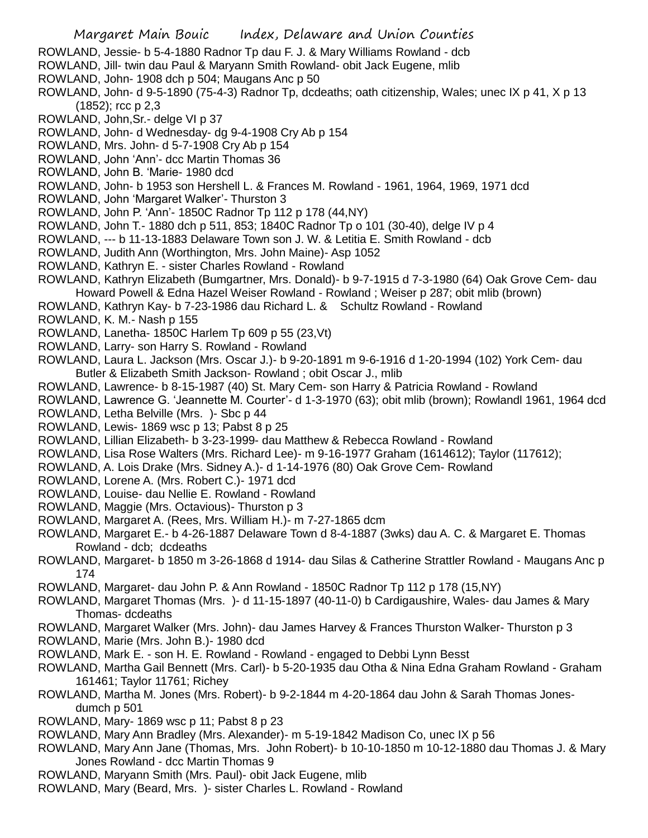- ROWLAND, Jessie- b 5-4-1880 Radnor Tp dau F. J. & Mary Williams Rowland dcb
- ROWLAND, Jill- twin dau Paul & Maryann Smith Rowland- obit Jack Eugene, mlib
- ROWLAND, John- 1908 dch p 504; Maugans Anc p 50
- ROWLAND, John- d 9-5-1890 (75-4-3) Radnor Tp, dcdeaths; oath citizenship, Wales; unec IX p 41, X p 13 (1852); rcc p 2,3
- ROWLAND, John,Sr.- delge VI p 37
- ROWLAND, John- d Wednesday- dg 9-4-1908 Cry Ab p 154
- ROWLAND, Mrs. John- d 5-7-1908 Cry Ab p 154
- ROWLAND, John 'Ann'- dcc Martin Thomas 36
- ROWLAND, John B. 'Marie- 1980 dcd
- ROWLAND, John- b 1953 son Hershell L. & Frances M. Rowland 1961, 1964, 1969, 1971 dcd
- ROWLAND, John 'Margaret Walker'- Thurston 3
- ROWLAND, John P. 'Ann'- 1850C Radnor Tp 112 p 178 (44,NY)
- ROWLAND, John T.- 1880 dch p 511, 853; 1840C Radnor Tp o 101 (30-40), delge IV p 4
- ROWLAND, --- b 11-13-1883 Delaware Town son J. W. & Letitia E. Smith Rowland dcb
- ROWLAND, Judith Ann (Worthington, Mrs. John Maine)- Asp 1052
- ROWLAND, Kathryn E. sister Charles Rowland Rowland
- ROWLAND, Kathryn Elizabeth (Bumgartner, Mrs. Donald)- b 9-7-1915 d 7-3-1980 (64) Oak Grove Cem- dau Howard Powell & Edna Hazel Weiser Rowland - Rowland ; Weiser p 287; obit mlib (brown)
- ROWLAND, Kathryn Kay- b 7-23-1986 dau Richard L. & Schultz Rowland Rowland
- ROWLAND, K. M.- Nash p 155
- ROWLAND, Lanetha- 1850C Harlem Tp 609 p 55 (23,Vt)
- ROWLAND, Larry- son Harry S. Rowland Rowland
- ROWLAND, Laura L. Jackson (Mrs. Oscar J.)- b 9-20-1891 m 9-6-1916 d 1-20-1994 (102) York Cem- dau Butler & Elizabeth Smith Jackson- Rowland ; obit Oscar J., mlib
- ROWLAND, Lawrence- b 8-15-1987 (40) St. Mary Cem- son Harry & Patricia Rowland Rowland
- ROWLAND, Lawrence G. 'Jeannette M. Courter'- d 1-3-1970 (63); obit mlib (brown); Rowlandl 1961, 1964 dcd
- ROWLAND, Letha Belville (Mrs. )- Sbc p 44
- ROWLAND, Lewis- 1869 wsc p 13; Pabst 8 p 25
- ROWLAND, Lillian Elizabeth- b 3-23-1999- dau Matthew & Rebecca Rowland Rowland
- ROWLAND, Lisa Rose Walters (Mrs. Richard Lee)- m 9-16-1977 Graham (1614612); Taylor (117612);
- ROWLAND, A. Lois Drake (Mrs. Sidney A.)- d 1-14-1976 (80) Oak Grove Cem- Rowland
- ROWLAND, Lorene A. (Mrs. Robert C.)- 1971 dcd
- ROWLAND, Louise- dau Nellie E. Rowland Rowland
- ROWLAND, Maggie (Mrs. Octavious)- Thurston p 3
- ROWLAND, Margaret A. (Rees, Mrs. William H.)- m 7-27-1865 dcm
- ROWLAND, Margaret E.- b 4-26-1887 Delaware Town d 8-4-1887 (3wks) dau A. C. & Margaret E. Thomas Rowland - dcb; dcdeaths
- ROWLAND, Margaret- b 1850 m 3-26-1868 d 1914- dau Silas & Catherine Strattler Rowland Maugans Anc p 174
- ROWLAND, Margaret- dau John P. & Ann Rowland 1850C Radnor Tp 112 p 178 (15,NY)
- ROWLAND, Margaret Thomas (Mrs. )- d 11-15-1897 (40-11-0) b Cardigaushire, Wales- dau James & Mary Thomas- dcdeaths
- ROWLAND, Margaret Walker (Mrs. John)- dau James Harvey & Frances Thurston Walker- Thurston p 3
- ROWLAND, Marie (Mrs. John B.)- 1980 dcd
- ROWLAND, Mark E. son H. E. Rowland Rowland engaged to Debbi Lynn Besst
- ROWLAND, Martha Gail Bennett (Mrs. Carl)- b 5-20-1935 dau Otha & Nina Edna Graham Rowland Graham 161461; Taylor 11761; Richey
- ROWLAND, Martha M. Jones (Mrs. Robert)- b 9-2-1844 m 4-20-1864 dau John & Sarah Thomas Jonesdumch p 501
- ROWLAND, Mary- 1869 wsc p 11; Pabst 8 p 23
- ROWLAND, Mary Ann Bradley (Mrs. Alexander)- m 5-19-1842 Madison Co, unec IX p 56
- ROWLAND, Mary Ann Jane (Thomas, Mrs. John Robert)- b 10-10-1850 m 10-12-1880 dau Thomas J. & Mary Jones Rowland - dcc Martin Thomas 9
- ROWLAND, Maryann Smith (Mrs. Paul)- obit Jack Eugene, mlib
- ROWLAND, Mary (Beard, Mrs. )- sister Charles L. Rowland Rowland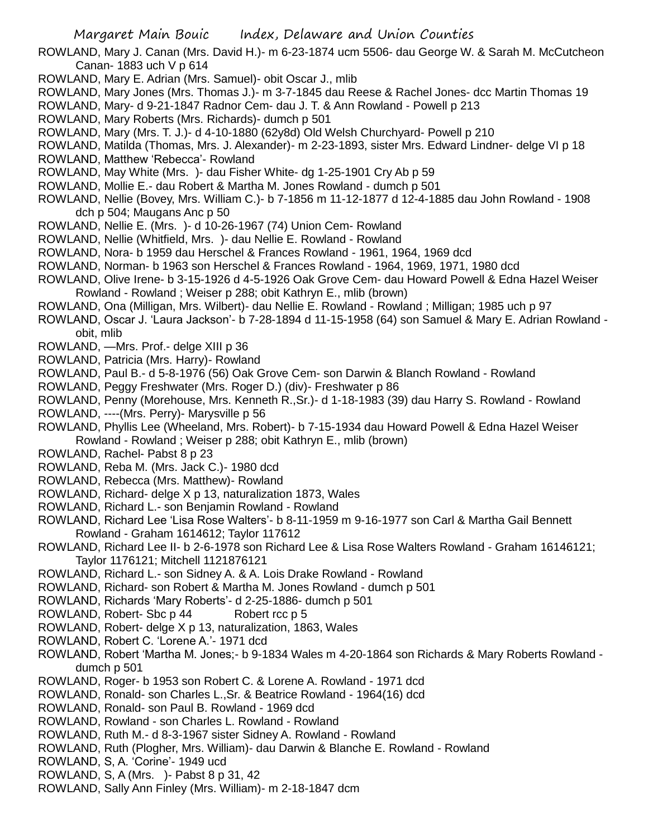- ROWLAND, Mary J. Canan (Mrs. David H.)- m 6-23-1874 ucm 5506- dau George W. & Sarah M. McCutcheon Canan- 1883 uch V p 614
- ROWLAND, Mary E. Adrian (Mrs. Samuel)- obit Oscar J., mlib
- ROWLAND, Mary Jones (Mrs. Thomas J.)- m 3-7-1845 dau Reese & Rachel Jones- dcc Martin Thomas 19
- ROWLAND, Mary- d 9-21-1847 Radnor Cem- dau J. T. & Ann Rowland Powell p 213
- ROWLAND, Mary Roberts (Mrs. Richards)- dumch p 501
- ROWLAND, Mary (Mrs. T. J.)- d 4-10-1880 (62y8d) Old Welsh Churchyard- Powell p 210
- ROWLAND, Matilda (Thomas, Mrs. J. Alexander)- m 2-23-1893, sister Mrs. Edward Lindner- delge VI p 18
- ROWLAND, Matthew 'Rebecca'- Rowland
- ROWLAND, May White (Mrs. )- dau Fisher White- dg 1-25-1901 Cry Ab p 59
- ROWLAND, Mollie E.- dau Robert & Martha M. Jones Rowland dumch p 501
- ROWLAND, Nellie (Bovey, Mrs. William C.)- b 7-1856 m 11-12-1877 d 12-4-1885 dau John Rowland 1908 dch p 504; Maugans Anc p 50
- ROWLAND, Nellie E. (Mrs. )- d 10-26-1967 (74) Union Cem- Rowland
- ROWLAND, Nellie (Whitfield, Mrs. )- dau Nellie E. Rowland Rowland
- ROWLAND, Nora- b 1959 dau Herschel & Frances Rowland 1961, 1964, 1969 dcd
- ROWLAND, Norman- b 1963 son Herschel & Frances Rowland 1964, 1969, 1971, 1980 dcd
- ROWLAND, Olive Irene- b 3-15-1926 d 4-5-1926 Oak Grove Cem- dau Howard Powell & Edna Hazel Weiser Rowland - Rowland ; Weiser p 288; obit Kathryn E., mlib (brown)
- ROWLAND, Ona (Milligan, Mrs. Wilbert)- dau Nellie E. Rowland Rowland ; Milligan; 1985 uch p 97
- ROWLAND, Oscar J. 'Laura Jackson'- b 7-28-1894 d 11-15-1958 (64) son Samuel & Mary E. Adrian Rowland obit, mlib
- ROWLAND, —Mrs. Prof.- delge XIII p 36
- ROWLAND, Patricia (Mrs. Harry)- Rowland
- ROWLAND, Paul B.- d 5-8-1976 (56) Oak Grove Cem- son Darwin & Blanch Rowland Rowland
- ROWLAND, Peggy Freshwater (Mrs. Roger D.) (div)- Freshwater p 86
- ROWLAND, Penny (Morehouse, Mrs. Kenneth R.,Sr.)- d 1-18-1983 (39) dau Harry S. Rowland Rowland
- ROWLAND, ----(Mrs. Perry)- Marysville p 56
- ROWLAND, Phyllis Lee (Wheeland, Mrs. Robert)- b 7-15-1934 dau Howard Powell & Edna Hazel Weiser Rowland - Rowland ; Weiser p 288; obit Kathryn E., mlib (brown)
- ROWLAND, Rachel- Pabst 8 p 23
- ROWLAND, Reba M. (Mrs. Jack C.)- 1980 dcd
- ROWLAND, Rebecca (Mrs. Matthew)- Rowland
- ROWLAND, Richard- delge X p 13, naturalization 1873, Wales
- ROWLAND, Richard L.- son Benjamin Rowland Rowland
- ROWLAND, Richard Lee 'Lisa Rose Walters'- b 8-11-1959 m 9-16-1977 son Carl & Martha Gail Bennett Rowland - Graham 1614612; Taylor 117612
- ROWLAND, Richard Lee II- b 2-6-1978 son Richard Lee & Lisa Rose Walters Rowland Graham 16146121; Taylor 1176121; Mitchell 1121876121
- ROWLAND, Richard L.- son Sidney A. & A. Lois Drake Rowland Rowland
- ROWLAND, Richard- son Robert & Martha M. Jones Rowland dumch p 501
- ROWLAND, Richards 'Mary Roberts'- d 2-25-1886- dumch p 501
- ROWLAND, Robert- Sbc p 44 Robert rcc p 5
- ROWLAND, Robert- delge X p 13, naturalization, 1863, Wales
- ROWLAND, Robert C. 'Lorene A.'- 1971 dcd
- ROWLAND, Robert 'Martha M. Jones;- b 9-1834 Wales m 4-20-1864 son Richards & Mary Roberts Rowland dumch p 501
- ROWLAND, Roger- b 1953 son Robert C. & Lorene A. Rowland 1971 dcd
- ROWLAND, Ronald- son Charles L.,Sr. & Beatrice Rowland 1964(16) dcd
- ROWLAND, Ronald- son Paul B. Rowland 1969 dcd
- ROWLAND, Rowland son Charles L. Rowland Rowland
- ROWLAND, Ruth M.- d 8-3-1967 sister Sidney A. Rowland Rowland
- ROWLAND, Ruth (Plogher, Mrs. William)- dau Darwin & Blanche E. Rowland Rowland
- ROWLAND, S, A. 'Corine'- 1949 ucd
- ROWLAND, S, A (Mrs. )- Pabst 8 p 31, 42
- ROWLAND, Sally Ann Finley (Mrs. William)- m 2-18-1847 dcm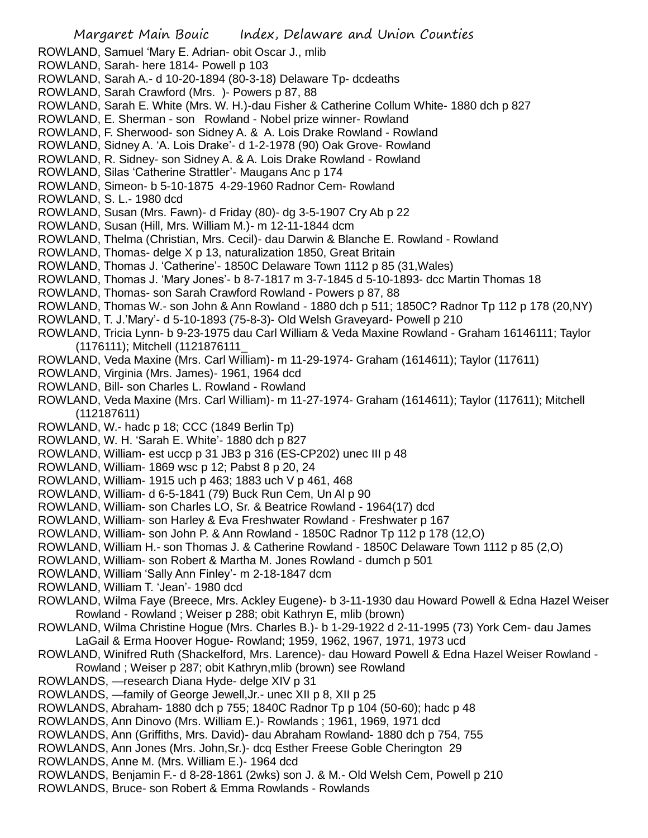ROWLAND, Samuel 'Mary E. Adrian- obit Oscar J., mlib

- ROWLAND, Sarah- here 1814- Powell p 103
- ROWLAND, Sarah A.- d 10-20-1894 (80-3-18) Delaware Tp- dcdeaths
- ROWLAND, Sarah Crawford (Mrs. )- Powers p 87, 88
- ROWLAND, Sarah E. White (Mrs. W. H.)-dau Fisher & Catherine Collum White- 1880 dch p 827
- ROWLAND, E. Sherman son Rowland Nobel prize winner- Rowland
- ROWLAND, F. Sherwood- son Sidney A. & A. Lois Drake Rowland Rowland
- ROWLAND, Sidney A. 'A. Lois Drake'- d 1-2-1978 (90) Oak Grove- Rowland
- ROWLAND, R. Sidney- son Sidney A. & A. Lois Drake Rowland Rowland
- ROWLAND, Silas 'Catherine Strattler'- Maugans Anc p 174
- ROWLAND, Simeon- b 5-10-1875 4-29-1960 Radnor Cem- Rowland
- ROWLAND, S. L.- 1980 dcd
- ROWLAND, Susan (Mrs. Fawn)- d Friday (80)- dg 3-5-1907 Cry Ab p 22
- ROWLAND, Susan (Hill, Mrs. William M.)- m 12-11-1844 dcm
- ROWLAND, Thelma (Christian, Mrs. Cecil)- dau Darwin & Blanche E. Rowland Rowland
- ROWLAND, Thomas- delge X p 13, naturalization 1850, Great Britain
- ROWLAND, Thomas J. 'Catherine'- 1850C Delaware Town 1112 p 85 (31,Wales)
- ROWLAND, Thomas J. 'Mary Jones'- b 8-7-1817 m 3-7-1845 d 5-10-1893- dcc Martin Thomas 18
- ROWLAND, Thomas- son Sarah Crawford Rowland Powers p 87, 88
- ROWLAND, Thomas W.- son John & Ann Rowland 1880 dch p 511; 1850C? Radnor Tp 112 p 178 (20,NY)
- ROWLAND, T. J.'Mary'- d 5-10-1893 (75-8-3)- Old Welsh Graveyard- Powell p 210
- ROWLAND, Tricia Lynn- b 9-23-1975 dau Carl William & Veda Maxine Rowland Graham 16146111; Taylor (1176111); Mitchell (1121876111\_
- ROWLAND, Veda Maxine (Mrs. Carl William)- m 11-29-1974- Graham (1614611); Taylor (117611)
- ROWLAND, Virginia (Mrs. James)- 1961, 1964 dcd
- ROWLAND, Bill- son Charles L. Rowland Rowland
- ROWLAND, Veda Maxine (Mrs. Carl William)- m 11-27-1974- Graham (1614611); Taylor (117611); Mitchell (112187611)
- ROWLAND, W.- hadc p 18; CCC (1849 Berlin Tp)
- ROWLAND, W. H. 'Sarah E. White'- 1880 dch p 827
- ROWLAND, William- est uccp p 31 JB3 p 316 (ES-CP202) unec III p 48
- ROWLAND, William- 1869 wsc p 12; Pabst 8 p 20, 24
- ROWLAND, William- 1915 uch p 463; 1883 uch V p 461, 468
- ROWLAND, William- d 6-5-1841 (79) Buck Run Cem, Un Al p 90
- ROWLAND, William- son Charles LO, Sr. & Beatrice Rowland 1964(17) dcd
- ROWLAND, William- son Harley & Eva Freshwater Rowland Freshwater p 167
- ROWLAND, William- son John P. & Ann Rowland 1850C Radnor Tp 112 p 178 (12,O)
- ROWLAND, William H.- son Thomas J. & Catherine Rowland 1850C Delaware Town 1112 p 85 (2,O)
- ROWLAND, William- son Robert & Martha M. Jones Rowland dumch p 501
- ROWLAND, William 'Sally Ann Finley'- m 2-18-1847 dcm
- ROWLAND, William T. 'Jean'- 1980 dcd
- ROWLAND, Wilma Faye (Breece, Mrs. Ackley Eugene)- b 3-11-1930 dau Howard Powell & Edna Hazel Weiser Rowland - Rowland ; Weiser p 288; obit Kathryn E, mlib (brown)
- ROWLAND, Wilma Christine Hogue (Mrs. Charles B.)- b 1-29-1922 d 2-11-1995 (73) York Cem- dau James LaGail & Erma Hoover Hogue- Rowland; 1959, 1962, 1967, 1971, 1973 ucd
- ROWLAND, Winifred Ruth (Shackelford, Mrs. Larence)- dau Howard Powell & Edna Hazel Weiser Rowland Rowland ; Weiser p 287; obit Kathryn,mlib (brown) see Rowland
- ROWLANDS, —research Diana Hyde- delge XIV p 31
- ROWLANDS, —family of George Jewell,Jr.- unec XII p 8, XII p 25
- ROWLANDS, Abraham- 1880 dch p 755; 1840C Radnor Tp p 104 (50-60); hadc p 48
- ROWLANDS, Ann Dinovo (Mrs. William E.)- Rowlands ; 1961, 1969, 1971 dcd
- ROWLANDS, Ann (Griffiths, Mrs. David)- dau Abraham Rowland- 1880 dch p 754, 755
- ROWLANDS, Ann Jones (Mrs. John,Sr.)- dcq Esther Freese Goble Cherington 29
- ROWLANDS, Anne M. (Mrs. William E.)- 1964 dcd
- ROWLANDS, Benjamin F.- d 8-28-1861 (2wks) son J. & M.- Old Welsh Cem, Powell p 210
- ROWLANDS, Bruce- son Robert & Emma Rowlands Rowlands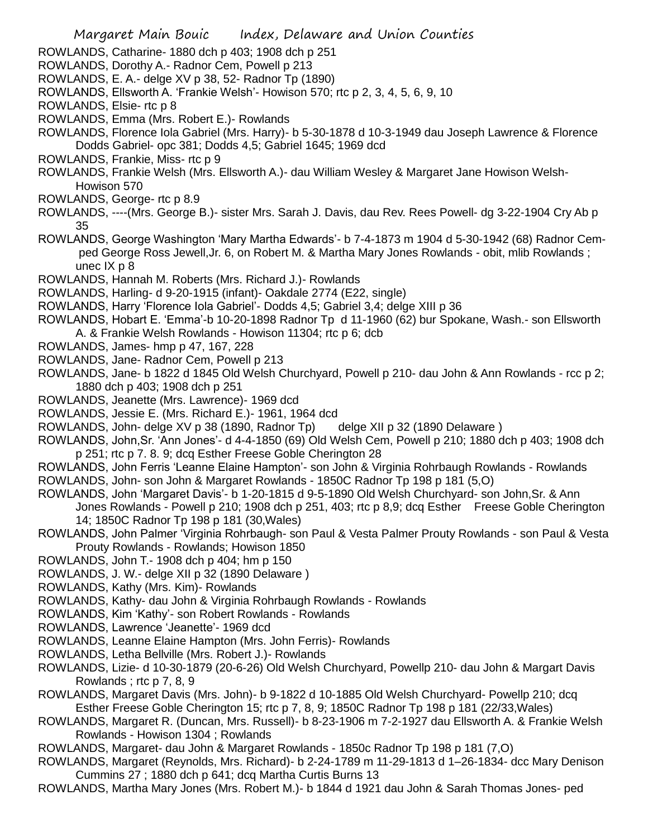- Margaret Main Bouic Index, Delaware and Union Counties ROWLANDS, Catharine- 1880 dch p 403; 1908 dch p 251 ROWLANDS, Dorothy A.- Radnor Cem, Powell p 213 ROWLANDS, E. A.- delge XV p 38, 52- Radnor Tp (1890) ROWLANDS, Ellsworth A. 'Frankie Welsh'- Howison 570; rtc p 2, 3, 4, 5, 6, 9, 10 ROWLANDS, Elsie- rtc p 8 ROWLANDS, Emma (Mrs. Robert E.)- Rowlands ROWLANDS, Florence Iola Gabriel (Mrs. Harry)- b 5-30-1878 d 10-3-1949 dau Joseph Lawrence & Florence Dodds Gabriel- opc 381; Dodds 4,5; Gabriel 1645; 1969 dcd ROWLANDS, Frankie, Miss- rtc p 9 ROWLANDS, Frankie Welsh (Mrs. Ellsworth A.)- dau William Wesley & Margaret Jane Howison Welsh-Howison 570 ROWLANDS, George- rtc p 8.9 ROWLANDS, ----(Mrs. George B.)- sister Mrs. Sarah J. Davis, dau Rev. Rees Powell- dg 3-22-1904 Cry Ab p 35 ROWLANDS, George Washington 'Mary Martha Edwards'- b 7-4-1873 m 1904 d 5-30-1942 (68) Radnor Cemped George Ross Jewell,Jr. 6, on Robert M. & Martha Mary Jones Rowlands - obit, mlib Rowlands ; unec IX p 8 ROWLANDS, Hannah M. Roberts (Mrs. Richard J.)- Rowlands ROWLANDS, Harling- d 9-20-1915 (infant)- Oakdale 2774 (E22, single) ROWLANDS, Harry 'Florence Iola Gabriel'- Dodds 4,5; Gabriel 3,4; delge XIII p 36 ROWLANDS, Hobart E. 'Emma'-b 10-20-1898 Radnor Tp d 11-1960 (62) bur Spokane, Wash.- son Ellsworth A. & Frankie Welsh Rowlands - Howison 11304; rtc p 6; dcb ROWLANDS, James- hmp p 47, 167, 228 ROWLANDS, Jane- Radnor Cem, Powell p 213 ROWLANDS, Jane- b 1822 d 1845 Old Welsh Churchyard, Powell p 210- dau John & Ann Rowlands - rcc p 2; 1880 dch p 403; 1908 dch p 251 ROWLANDS, Jeanette (Mrs. Lawrence)- 1969 dcd ROWLANDS, Jessie E. (Mrs. Richard E.)- 1961, 1964 dcd ROWLANDS, John- delge XV p 38 (1890, Radnor Tp) delge XII p 32 (1890 Delaware ) ROWLANDS, John,Sr. 'Ann Jones'- d 4-4-1850 (69) Old Welsh Cem, Powell p 210; 1880 dch p 403; 1908 dch p 251; rtc p 7. 8. 9; dcq Esther Freese Goble Cherington 28 ROWLANDS, John Ferris 'Leanne Elaine Hampton'- son John & Virginia Rohrbaugh Rowlands - Rowlands ROWLANDS, John- son John & Margaret Rowlands - 1850C Radnor Tp 198 p 181 (5,O) ROWLANDS, John 'Margaret Davis'- b 1-20-1815 d 9-5-1890 Old Welsh Churchyard- son John,Sr. & Ann Jones Rowlands - Powell p 210; 1908 dch p 251, 403; rtc p 8,9; dcq Esther Freese Goble Cherington 14; 1850C Radnor Tp 198 p 181 (30,Wales) ROWLANDS, John Palmer 'Virginia Rohrbaugh- son Paul & Vesta Palmer Prouty Rowlands - son Paul & Vesta Prouty Rowlands - Rowlands; Howison 1850
- ROWLANDS, John T.- 1908 dch p 404; hm p 150
- ROWLANDS, J. W.- delge XII p 32 (1890 Delaware )
- ROWLANDS, Kathy (Mrs. Kim)- Rowlands
- ROWLANDS, Kathy- dau John & Virginia Rohrbaugh Rowlands Rowlands
- ROWLANDS, Kim 'Kathy'- son Robert Rowlands Rowlands
- ROWLANDS, Lawrence 'Jeanette'- 1969 dcd
- ROWLANDS, Leanne Elaine Hampton (Mrs. John Ferris)- Rowlands
- ROWLANDS, Letha Bellville (Mrs. Robert J.)- Rowlands
- ROWLANDS, Lizie- d 10-30-1879 (20-6-26) Old Welsh Churchyard, Powellp 210- dau John & Margart Davis Rowlands ; rtc p 7, 8, 9
- ROWLANDS, Margaret Davis (Mrs. John)- b 9-1822 d 10-1885 Old Welsh Churchyard- Powellp 210; dcq Esther Freese Goble Cherington 15; rtc p 7, 8, 9; 1850C Radnor Tp 198 p 181 (22/33,Wales)
- ROWLANDS, Margaret R. (Duncan, Mrs. Russell)- b 8-23-1906 m 7-2-1927 dau Ellsworth A. & Frankie Welsh Rowlands - Howison 1304 ; Rowlands
- ROWLANDS, Margaret- dau John & Margaret Rowlands 1850c Radnor Tp 198 p 181 (7,O)
- ROWLANDS, Margaret (Reynolds, Mrs. Richard)- b 2-24-1789 m 11-29-1813 d 1–26-1834- dcc Mary Denison Cummins 27 ; 1880 dch p 641; dcq Martha Curtis Burns 13
- ROWLANDS, Martha Mary Jones (Mrs. Robert M.)- b 1844 d 1921 dau John & Sarah Thomas Jones- ped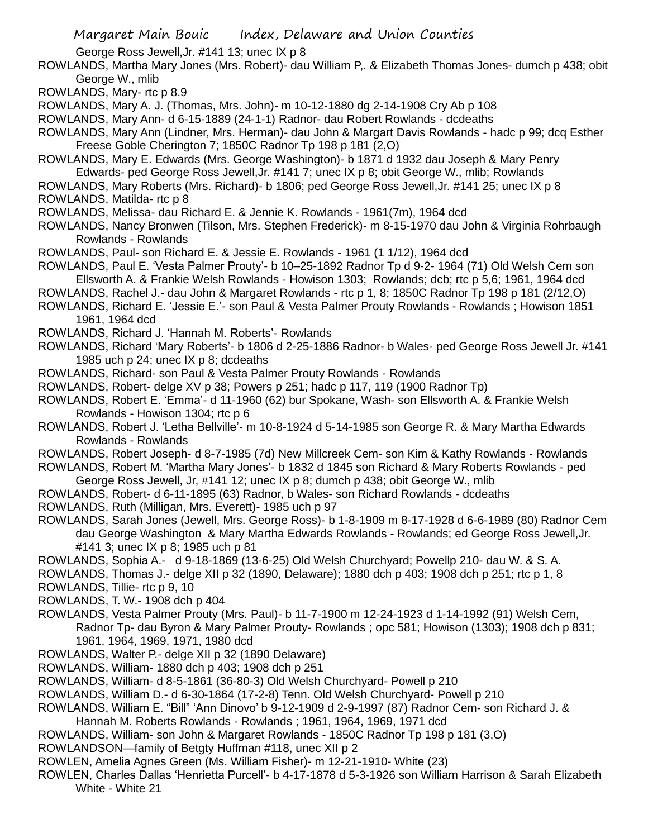George Ross Jewell,Jr. #141 13; unec IX p 8

- ROWLANDS, Martha Mary Jones (Mrs. Robert)- dau William P,. & Elizabeth Thomas Jones- dumch p 438; obit George W., mlib
- ROWLANDS, Mary- rtc p 8.9
- ROWLANDS, Mary A. J. (Thomas, Mrs. John)- m 10-12-1880 dg 2-14-1908 Cry Ab p 108
- ROWLANDS, Mary Ann- d 6-15-1889 (24-1-1) Radnor- dau Robert Rowlands dcdeaths
- ROWLANDS, Mary Ann (Lindner, Mrs. Herman)- dau John & Margart Davis Rowlands hadc p 99; dcq Esther Freese Goble Cherington 7; 1850C Radnor Tp 198 p 181 (2,O)
- ROWLANDS, Mary E. Edwards (Mrs. George Washington)- b 1871 d 1932 dau Joseph & Mary Penry Edwards- ped George Ross Jewell,Jr. #141 7; unec IX p 8; obit George W., mlib; Rowlands
- ROWLANDS, Mary Roberts (Mrs. Richard)- b 1806; ped George Ross Jewell,Jr. #141 25; unec IX p 8 ROWLANDS, Matilda- rtc p 8
- ROWLANDS, Melissa- dau Richard E. & Jennie K. Rowlands 1961(7m), 1964 dcd
- ROWLANDS, Nancy Bronwen (Tilson, Mrs. Stephen Frederick)- m 8-15-1970 dau John & Virginia Rohrbaugh Rowlands - Rowlands
- ROWLANDS, Paul- son Richard E. & Jessie E. Rowlands 1961 (1 1/12), 1964 dcd
- ROWLANDS, Paul E. 'Vesta Palmer Prouty'- b 10–25-1892 Radnor Tp d 9-2- 1964 (71) Old Welsh Cem son Ellsworth A. & Frankie Welsh Rowlands - Howison 1303; Rowlands; dcb; rtc p 5,6; 1961, 1964 dcd
- ROWLANDS, Rachel J.- dau John & Margaret Rowlands rtc p 1, 8; 1850C Radnor Tp 198 p 181 (2/12,O)
- ROWLANDS, Richard E. 'Jessie E.'- son Paul & Vesta Palmer Prouty Rowlands Rowlands ; Howison 1851
- 1961, 1964 dcd
- ROWLANDS, Richard J. 'Hannah M. Roberts'- Rowlands
- ROWLANDS, Richard 'Mary Roberts'- b 1806 d 2-25-1886 Radnor- b Wales- ped George Ross Jewell Jr. #141 1985 uch p 24; unec IX p 8; dcdeaths
- ROWLANDS, Richard- son Paul & Vesta Palmer Prouty Rowlands Rowlands
- ROWLANDS, Robert- delge XV p 38; Powers p 251; hadc p 117, 119 (1900 Radnor Tp)
- ROWLANDS, Robert E. 'Emma'- d 11-1960 (62) bur Spokane, Wash- son Ellsworth A. & Frankie Welsh Rowlands - Howison 1304; rtc p 6
- ROWLANDS, Robert J. 'Letha Bellville'- m 10-8-1924 d 5-14-1985 son George R. & Mary Martha Edwards Rowlands - Rowlands
- ROWLANDS, Robert Joseph- d 8-7-1985 (7d) New Millcreek Cem- son Kim & Kathy Rowlands Rowlands
- ROWLANDS, Robert M. 'Martha Mary Jones'- b 1832 d 1845 son Richard & Mary Roberts Rowlands ped
- George Ross Jewell, Jr, #141 12; unec IX p 8; dumch p 438; obit George W., mlib
- ROWLANDS, Robert- d 6-11-1895 (63) Radnor, b Wales- son Richard Rowlands dcdeaths
- ROWLANDS, Ruth (Milligan, Mrs. Everett)- 1985 uch p 97
- ROWLANDS, Sarah Jones (Jewell, Mrs. George Ross)- b 1-8-1909 m 8-17-1928 d 6-6-1989 (80) Radnor Cem dau George Washington & Mary Martha Edwards Rowlands - Rowlands; ed George Ross Jewell,Jr. #141 3; unec IX p 8; 1985 uch p 81
- ROWLANDS, Sophia A.- d 9-18-1869 (13-6-25) Old Welsh Churchyard; Powellp 210- dau W. & S. A.
- ROWLANDS, Thomas J.- delge XII p 32 (1890, Delaware); 1880 dch p 403; 1908 dch p 251; rtc p 1, 8
- ROWLANDS, Tillie- rtc p 9, 10
- ROWLANDS, T. W.- 1908 dch p 404
- ROWLANDS, Vesta Palmer Prouty (Mrs. Paul)- b 11-7-1900 m 12-24-1923 d 1-14-1992 (91) Welsh Cem, Radnor Tp- dau Byron & Mary Palmer Prouty- Rowlands ; opc 581; Howison (1303); 1908 dch p 831; 1961, 1964, 1969, 1971, 1980 dcd
- ROWLANDS, Walter P.- delge XII p 32 (1890 Delaware)
- ROWLANDS, William- 1880 dch p 403; 1908 dch p 251
- ROWLANDS, William- d 8-5-1861 (36-80-3) Old Welsh Churchyard- Powell p 210
- ROWLANDS, William D.- d 6-30-1864 (17-2-8) Tenn. Old Welsh Churchyard- Powell p 210
- ROWLANDS, William E. "Bill" 'Ann Dinovo' b 9-12-1909 d 2-9-1997 (87) Radnor Cem- son Richard J. &
- Hannah M. Roberts Rowlands Rowlands ; 1961, 1964, 1969, 1971 dcd
- ROWLANDS, William- son John & Margaret Rowlands 1850C Radnor Tp 198 p 181 (3,O)
- ROWLANDSON—family of Betgty Huffman #118, unec XII p 2
- ROWLEN, Amelia Agnes Green (Ms. William Fisher)- m 12-21-1910- White (23)
- ROWLEN, Charles Dallas 'Henrietta Purcell'- b 4-17-1878 d 5-3-1926 son William Harrison & Sarah Elizabeth White - White 21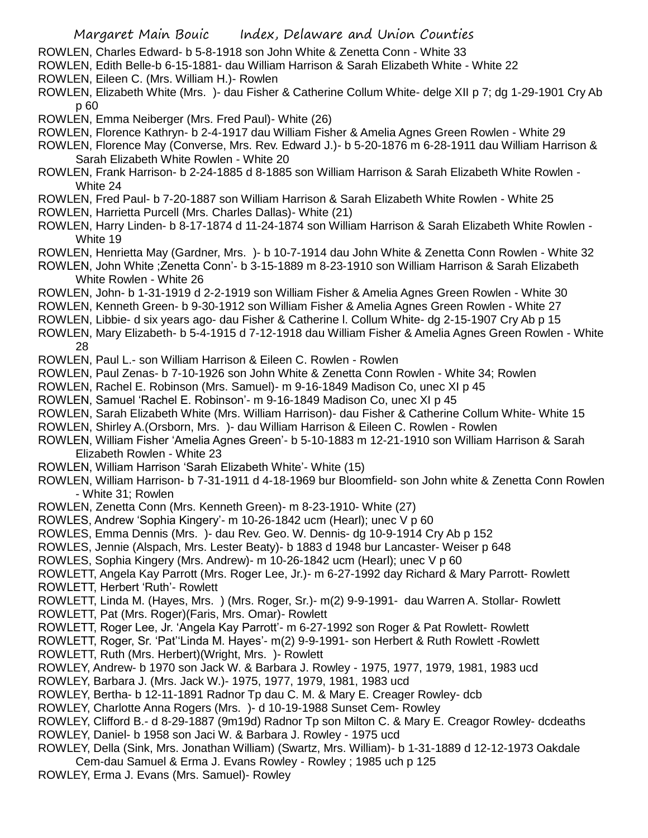- ROWLEN, Charles Edward- b 5-8-1918 son John White & Zenetta Conn White 33
- ROWLEN, Edith Belle-b 6-15-1881- dau William Harrison & Sarah Elizabeth White White 22
- ROWLEN, Eileen C. (Mrs. William H.)- Rowlen
- ROWLEN, Elizabeth White (Mrs. )- dau Fisher & Catherine Collum White- delge XII p 7; dg 1-29-1901 Cry Ab p 60
- ROWLEN, Emma Neiberger (Mrs. Fred Paul)- White (26)
- ROWLEN, Florence Kathryn- b 2-4-1917 dau William Fisher & Amelia Agnes Green Rowlen White 29
- ROWLEN, Florence May (Converse, Mrs. Rev. Edward J.)- b 5-20-1876 m 6-28-1911 dau William Harrison & Sarah Elizabeth White Rowlen - White 20
- ROWLEN, Frank Harrison- b 2-24-1885 d 8-1885 son William Harrison & Sarah Elizabeth White Rowlen White 24
- ROWLEN, Fred Paul- b 7-20-1887 son William Harrison & Sarah Elizabeth White Rowlen White 25
- ROWLEN, Harrietta Purcell (Mrs. Charles Dallas)- White (21)
- ROWLEN, Harry Linden- b 8-17-1874 d 11-24-1874 son William Harrison & Sarah Elizabeth White Rowlen White 19
- ROWLEN, Henrietta May (Gardner, Mrs. )- b 10-7-1914 dau John White & Zenetta Conn Rowlen White 32
- ROWLEN, John White ;Zenetta Conn'- b 3-15-1889 m 8-23-1910 son William Harrison & Sarah Elizabeth White Rowlen - White 26
- ROWLEN, John- b 1-31-1919 d 2-2-1919 son William Fisher & Amelia Agnes Green Rowlen White 30
- ROWLEN, Kenneth Green- b 9-30-1912 son William Fisher & Amelia Agnes Green Rowlen White 27
- ROWLEN, Libbie- d six years ago- dau Fisher & Catherine l. Collum White- dg 2-15-1907 Cry Ab p 15
- ROWLEN, Mary Elizabeth- b 5-4-1915 d 7-12-1918 dau William Fisher & Amelia Agnes Green Rowlen White 28
- ROWLEN, Paul L.- son William Harrison & Eileen C. Rowlen Rowlen
- ROWLEN, Paul Zenas- b 7-10-1926 son John White & Zenetta Conn Rowlen White 34; Rowlen
- ROWLEN, Rachel E. Robinson (Mrs. Samuel)- m 9-16-1849 Madison Co, unec XI p 45
- ROWLEN, Samuel 'Rachel E. Robinson'- m 9-16-1849 Madison Co, unec XI p 45
- ROWLEN, Sarah Elizabeth White (Mrs. William Harrison)- dau Fisher & Catherine Collum White- White 15
- ROWLEN, Shirley A.(Orsborn, Mrs. )- dau William Harrison & Eileen C. Rowlen Rowlen
- ROWLEN, William Fisher 'Amelia Agnes Green'- b 5-10-1883 m 12-21-1910 son William Harrison & Sarah Elizabeth Rowlen - White 23
- ROWLEN, William Harrison 'Sarah Elizabeth White'- White (15)
- ROWLEN, William Harrison- b 7-31-1911 d 4-18-1969 bur Bloomfield- son John white & Zenetta Conn Rowlen - White 31; Rowlen
- ROWLEN, Zenetta Conn (Mrs. Kenneth Green)- m 8-23-1910- White (27)
- ROWLES, Andrew 'Sophia Kingery'- m 10-26-1842 ucm (Hearl); unec V p 60
- ROWLES, Emma Dennis (Mrs. )- dau Rev. Geo. W. Dennis- dg 10-9-1914 Cry Ab p 152
- ROWLES, Jennie (Alspach, Mrs. Lester Beaty)- b 1883 d 1948 bur Lancaster- Weiser p 648
- ROWLES, Sophia Kingery (Mrs. Andrew)- m 10-26-1842 ucm (Hearl); unec V p 60
- ROWLETT, Angela Kay Parrott (Mrs. Roger Lee, Jr.)- m 6-27-1992 day Richard & Mary Parrott- Rowlett ROWLETT, Herbert 'Ruth'- Rowlett
- ROWLETT, Linda M. (Hayes, Mrs. ) (Mrs. Roger, Sr.)- m(2) 9-9-1991- dau Warren A. Stollar- Rowlett ROWLETT, Pat (Mrs. Roger)(Faris, Mrs. Omar)- Rowlett
- ROWLETT, Roger Lee, Jr. 'Angela Kay Parrott'- m 6-27-1992 son Roger & Pat Rowlett- Rowlett
- ROWLETT, Roger, Sr. 'Pat''Linda M. Hayes'- m(2) 9-9-1991- son Herbert & Ruth Rowlett -Rowlett ROWLETT, Ruth (Mrs. Herbert)(Wright, Mrs. )- Rowlett
- ROWLEY, Andrew- b 1970 son Jack W. & Barbara J. Rowley 1975, 1977, 1979, 1981, 1983 ucd
- ROWLEY, Barbara J. (Mrs. Jack W.)- 1975, 1977, 1979, 1981, 1983 ucd
- ROWLEY, Bertha- b 12-11-1891 Radnor Tp dau C. M. & Mary E. Creager Rowley- dcb
- ROWLEY, Charlotte Anna Rogers (Mrs. )- d 10-19-1988 Sunset Cem- Rowley
- ROWLEY, Clifford B.- d 8-29-1887 (9m19d) Radnor Tp son Milton C. & Mary E. Creagor Rowley- dcdeaths ROWLEY, Daniel- b 1958 son Jaci W. & Barbara J. Rowley - 1975 ucd
- ROWLEY, Della (Sink, Mrs. Jonathan William) (Swartz, Mrs. William)- b 1-31-1889 d 12-12-1973 Oakdale Cem-dau Samuel & Erma J. Evans Rowley - Rowley ; 1985 uch p 125
- ROWLEY, Erma J. Evans (Mrs. Samuel)- Rowley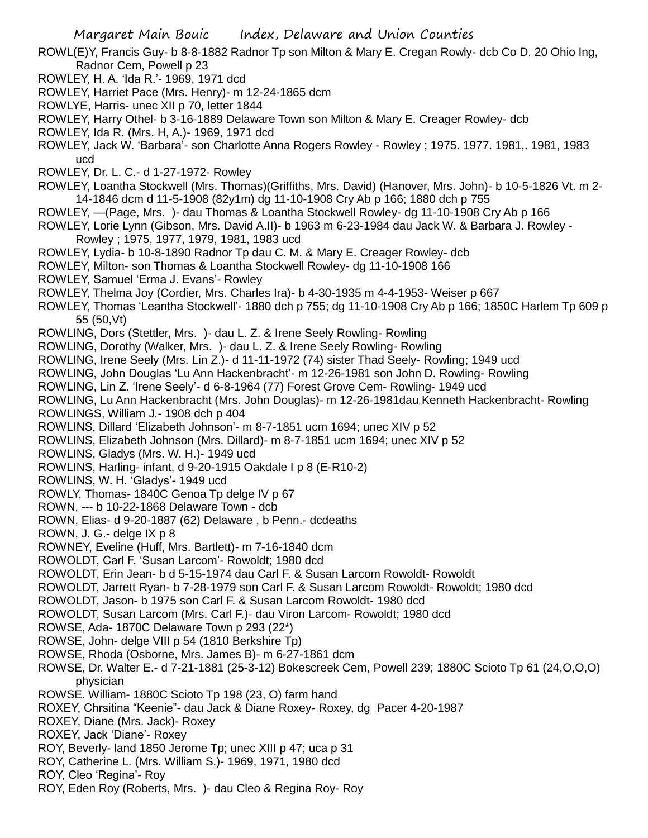ROWL(E)Y, Francis Guy- b 8-8-1882 Radnor Tp son Milton & Mary E. Cregan Rowly- dcb Co D. 20 Ohio Ing, Radnor Cem, Powell p 23

- ROWLEY, H. A. 'Ida R.'- 1969, 1971 dcd
- ROWLEY, Harriet Pace (Mrs. Henry)- m 12-24-1865 dcm
- ROWLYE, Harris- unec XII p 70, letter 1844
- ROWLEY, Harry Othel- b 3-16-1889 Delaware Town son Milton & Mary E. Creager Rowley- dcb
- ROWLEY, Ida R. (Mrs. H, A.)- 1969, 1971 dcd
- ROWLEY, Jack W. 'Barbara'- son Charlotte Anna Rogers Rowley Rowley ; 1975. 1977. 1981,. 1981, 1983 ucd
- ROWLEY, Dr. L. C.- d 1-27-1972- Rowley
- ROWLEY, Loantha Stockwell (Mrs. Thomas)(Griffiths, Mrs. David) (Hanover, Mrs. John)- b 10-5-1826 Vt. m 2- 14-1846 dcm d 11-5-1908 (82y1m) dg 11-10-1908 Cry Ab p 166; 1880 dch p 755
- ROWLEY, —(Page, Mrs. )- dau Thomas & Loantha Stockwell Rowley- dg 11-10-1908 Cry Ab p 166
- ROWLEY, Lorie Lynn (Gibson, Mrs. David A.II)- b 1963 m 6-23-1984 dau Jack W. & Barbara J. Rowley
	- Rowley ; 1975, 1977, 1979, 1981, 1983 ucd
- ROWLEY, Lydia- b 10-8-1890 Radnor Tp dau C. M. & Mary E. Creager Rowley- dcb
- ROWLEY, Milton- son Thomas & Loantha Stockwell Rowley- dg 11-10-1908 166
- ROWLEY, Samuel 'Erma J. Evans'- Rowley
- ROWLEY, Thelma Joy (Cordier, Mrs. Charles Ira)- b 4-30-1935 m 4-4-1953- Weiser p 667
- ROWLEY, Thomas 'Leantha Stockwell'- 1880 dch p 755; dg 11-10-1908 Cry Ab p 166; 1850C Harlem Tp 609 p 55 (50,Vt)
- ROWLING, Dors (Stettler, Mrs. )- dau L. Z. & Irene Seely Rowling- Rowling
- ROWLING, Dorothy (Walker, Mrs. )- dau L. Z. & Irene Seely Rowling- Rowling
- ROWLING, Irene Seely (Mrs. Lin Z.)- d 11-11-1972 (74) sister Thad Seely- Rowling; 1949 ucd
- ROWLING, John Douglas 'Lu Ann Hackenbracht'- m 12-26-1981 son John D. Rowling- Rowling
- ROWLING, Lin Z. 'Irene Seely'- d 6-8-1964 (77) Forest Grove Cem- Rowling- 1949 ucd
- ROWLING, Lu Ann Hackenbracht (Mrs. John Douglas)- m 12-26-1981dau Kenneth Hackenbracht- Rowling ROWLINGS, William J.- 1908 dch p 404
- ROWLINS, Dillard 'Elizabeth Johnson'- m 8-7-1851 ucm 1694; unec XIV p 52
- ROWLINS, Elizabeth Johnson (Mrs. Dillard)- m 8-7-1851 ucm 1694; unec XIV p 52
- ROWLINS, Gladys (Mrs. W. H.)- 1949 ucd
- ROWLINS, Harling- infant, d 9-20-1915 Oakdale I p 8 (E-R10-2)
- ROWLINS, W. H. 'Gladys'- 1949 ucd
- ROWLY, Thomas- 1840C Genoa Tp delge IV p 67
- ROWN, --- b 10-22-1868 Delaware Town dcb
- ROWN, Elias- d 9-20-1887 (62) Delaware , b Penn.- dcdeaths
- ROWN, J. G.- delge IX p 8
- ROWNEY, Eveline (Huff, Mrs. Bartlett)- m 7-16-1840 dcm
- ROWOLDT, Carl F. 'Susan Larcom'- Rowoldt; 1980 dcd
- ROWOLDT, Erin Jean- b d 5-15-1974 dau Carl F. & Susan Larcom Rowoldt- Rowoldt
- ROWOLDT, Jarrett Ryan- b 7-28-1979 son Carl F. & Susan Larcom Rowoldt- Rowoldt; 1980 dcd
- ROWOLDT, Jason- b 1975 son Carl F. & Susan Larcom Rowoldt- 1980 dcd
- ROWOLDT, Susan Larcom (Mrs. Carl F.)- dau Viron Larcom- Rowoldt; 1980 dcd
- ROWSE, Ada- 1870C Delaware Town p 293 (22\*)
- ROWSE, John- delge VIII p 54 (1810 Berkshire Tp)
- ROWSE, Rhoda (Osborne, Mrs. James B)- m 6-27-1861 dcm
- ROWSE, Dr. Walter E.- d 7-21-1881 (25-3-12) Bokescreek Cem, Powell 239; 1880C Scioto Tp 61 (24,O,O,O) physician
- ROWSE. William- 1880C Scioto Tp 198 (23, O) farm hand
- ROXEY, Chrsitina "Keenie"- dau Jack & Diane Roxey- Roxey, dg Pacer 4-20-1987
- ROXEY, Diane (Mrs. Jack)- Roxey
- ROXEY, Jack 'Diane'- Roxey
- ROY, Beverly- land 1850 Jerome Tp; unec XIII p 47; uca p 31
- ROY, Catherine L. (Mrs. William S.)- 1969, 1971, 1980 dcd
- ROY, Cleo 'Regina'- Roy
- ROY, Eden Roy (Roberts, Mrs. )- dau Cleo & Regina Roy- Roy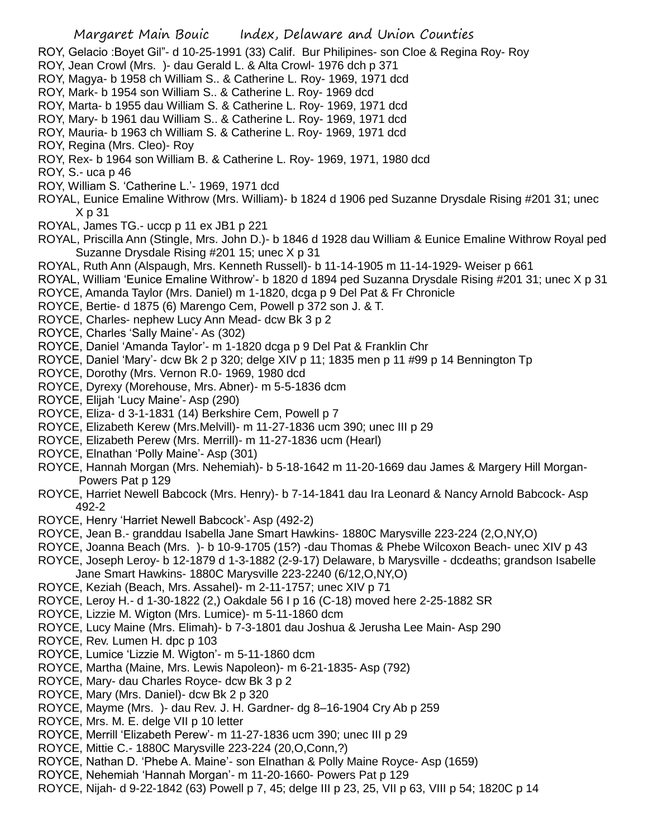- Margaret Main Bouic Index, Delaware and Union Counties ROY, Gelacio :Boyet Gil"- d 10-25-1991 (33) Calif. Bur Philipines- son Cloe & Regina Roy- Roy ROY, Jean Crowl (Mrs. )- dau Gerald L. & Alta Crowl- 1976 dch p 371 ROY, Magya- b 1958 ch William S.. & Catherine L. Roy- 1969, 1971 dcd ROY, Mark- b 1954 son William S.. & Catherine L. Roy- 1969 dcd ROY, Marta- b 1955 dau William S. & Catherine L. Roy- 1969, 1971 dcd ROY, Mary- b 1961 dau William S.. & Catherine L. Roy- 1969, 1971 dcd ROY, Mauria- b 1963 ch William S. & Catherine L. Roy- 1969, 1971 dcd ROY, Regina (Mrs. Cleo)- Roy ROY, Rex- b 1964 son William B. & Catherine L. Roy- 1969, 1971, 1980 dcd ROY, S.- uca p 46 ROY, William S. 'Catherine L.'- 1969, 1971 dcd ROYAL, Eunice Emaline Withrow (Mrs. William)- b 1824 d 1906 ped Suzanne Drysdale Rising #201 31; unec X p 31 ROYAL, James TG.- uccp p 11 ex JB1 p 221 ROYAL, Priscilla Ann (Stingle, Mrs. John D.)- b 1846 d 1928 dau William & Eunice Emaline Withrow Royal ped Suzanne Drysdale Rising #201 15; unec X p 31 ROYAL, Ruth Ann (Alspaugh, Mrs. Kenneth Russell)- b 11-14-1905 m 11-14-1929- Weiser p 661 ROYAL, William 'Eunice Emaline Withrow'- b 1820 d 1894 ped Suzanna Drysdale Rising #201 31; unec X p 31 ROYCE, Amanda Taylor (Mrs. Daniel) m 1-1820, dcga p 9 Del Pat & Fr Chronicle ROYCE, Bertie- d 1875 (6) Marengo Cem, Powell p 372 son J. & T. ROYCE, Charles- nephew Lucy Ann Mead- dcw Bk 3 p 2 ROYCE, Charles 'Sally Maine'- As (302) ROYCE, Daniel 'Amanda Taylor'- m 1-1820 dcga p 9 Del Pat & Franklin Chr ROYCE, Daniel 'Mary'- dcw Bk 2 p 320; delge XIV p 11; 1835 men p 11 #99 p 14 Bennington Tp ROYCE, Dorothy (Mrs. Vernon R.0- 1969, 1980 dcd ROYCE, Dyrexy (Morehouse, Mrs. Abner)- m 5-5-1836 dcm ROYCE, Elijah 'Lucy Maine'- Asp (290) ROYCE, Eliza- d 3-1-1831 (14) Berkshire Cem, Powell p 7 ROYCE, Elizabeth Kerew (Mrs.Melvill)- m 11-27-1836 ucm 390; unec III p 29 ROYCE, Elizabeth Perew (Mrs. Merrill)- m 11-27-1836 ucm (Hearl) ROYCE, Elnathan 'Polly Maine'- Asp (301) ROYCE, Hannah Morgan (Mrs. Nehemiah)- b 5-18-1642 m 11-20-1669 dau James & Margery Hill Morgan-Powers Pat p 129 ROYCE, Harriet Newell Babcock (Mrs. Henry)- b 7-14-1841 dau Ira Leonard & Nancy Arnold Babcock- Asp 492-2 ROYCE, Henry 'Harriet Newell Babcock'- Asp (492-2) ROYCE, Jean B.- granddau Isabella Jane Smart Hawkins- 1880C Marysville 223-224 (2,O,NY,O) ROYCE, Joanna Beach (Mrs. )- b 10-9-1705 (15?) -dau Thomas & Phebe Wilcoxon Beach- unec XIV p 43 ROYCE, Joseph Leroy- b 12-1879 d 1-3-1882 (2-9-17) Delaware, b Marysville - dcdeaths; grandson Isabelle Jane Smart Hawkins- 1880C Marysville 223-2240 (6/12,O,NY,O) ROYCE, Keziah (Beach, Mrs. Assahel)- m 2-11-1757; unec XIV p 71 ROYCE, Leroy H.- d 1-30-1822 (2,) Oakdale 56 I p 16 (C-18) moved here 2-25-1882 SR ROYCE, Lizzie M. Wigton (Mrs. Lumice)- m 5-11-1860 dcm ROYCE, Lucy Maine (Mrs. Elimah)- b 7-3-1801 dau Joshua & Jerusha Lee Main- Asp 290 ROYCE, Rev. Lumen H. dpc p 103 ROYCE, Lumice 'Lizzie M. Wigton'- m 5-11-1860 dcm ROYCE, Martha (Maine, Mrs. Lewis Napoleon)- m 6-21-1835- Asp (792) ROYCE, Mary- dau Charles Royce- dcw Bk 3 p 2 ROYCE, Mary (Mrs. Daniel)- dcw Bk 2 p 320 ROYCE, Mayme (Mrs. )- dau Rev. J. H. Gardner- dg 8–16-1904 Cry Ab p 259 ROYCE, Mrs. M. E. delge VII p 10 letter ROYCE, Merrill 'Elizabeth Perew'- m 11-27-1836 ucm 390; unec III p 29 ROYCE, Mittie C.- 1880C Marysville 223-224 (20,O,Conn,?) ROYCE, Nathan D. 'Phebe A. Maine'- son Elnathan & Polly Maine Royce- Asp (1659)
- ROYCE, Nehemiah 'Hannah Morgan'- m 11-20-1660- Powers Pat p 129
- ROYCE, Nijah- d 9-22-1842 (63) Powell p 7, 45; delge III p 23, 25, VII p 63, VIII p 54; 1820C p 14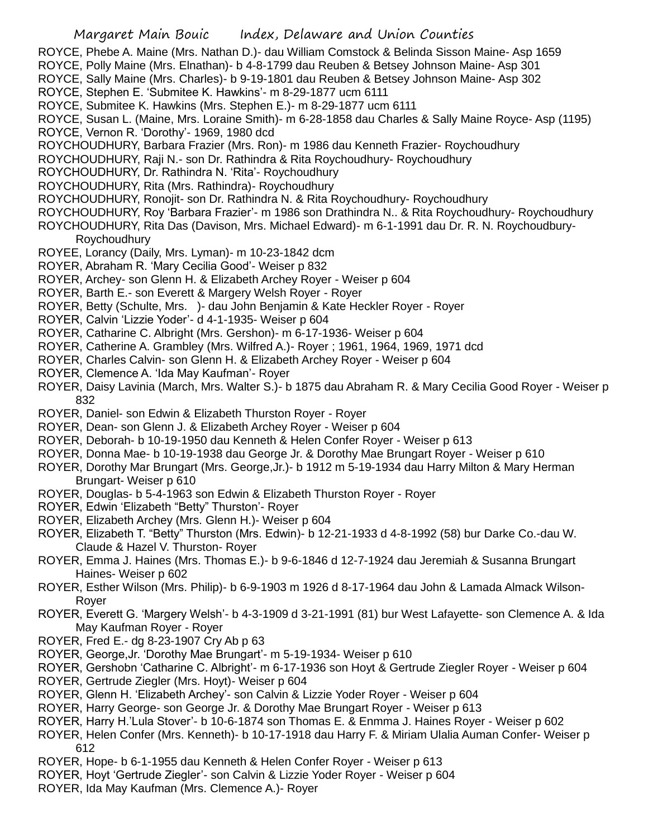- ROYCE, Phebe A. Maine (Mrs. Nathan D.)- dau William Comstock & Belinda Sisson Maine- Asp 1659
- ROYCE, Polly Maine (Mrs. Elnathan)- b 4-8-1799 dau Reuben & Betsey Johnson Maine- Asp 301
- ROYCE, Sally Maine (Mrs. Charles)- b 9-19-1801 dau Reuben & Betsey Johnson Maine- Asp 302
- ROYCE, Stephen E. 'Submitee K. Hawkins'- m 8-29-1877 ucm 6111
- ROYCE, Submitee K. Hawkins (Mrs. Stephen E.)- m 8-29-1877 ucm 6111
- ROYCE, Susan L. (Maine, Mrs. Loraine Smith)- m 6-28-1858 dau Charles & Sally Maine Royce- Asp (1195)
- ROYCE, Vernon R. 'Dorothy'- 1969, 1980 dcd
- ROYCHOUDHURY, Barbara Frazier (Mrs. Ron)- m 1986 dau Kenneth Frazier- Roychoudhury
- ROYCHOUDHURY, Raji N.- son Dr. Rathindra & Rita Roychoudhury- Roychoudhury
- ROYCHOUDHURY, Dr. Rathindra N. 'Rita'- Roychoudhury
- ROYCHOUDHURY, Rita (Mrs. Rathindra)- Roychoudhury
- ROYCHOUDHURY, Ronojit- son Dr. Rathindra N. & Rita Roychoudhury- Roychoudhury
- ROYCHOUDHURY, Roy 'Barbara Frazier'- m 1986 son Drathindra N.. & Rita Roychoudhury- Roychoudhury
- ROYCHOUDHURY, Rita Das (Davison, Mrs. Michael Edward)- m 6-1-1991 dau Dr. R. N. Roychoudbury-

Roychoudhury

- ROYEE, Lorancy (Daily, Mrs. Lyman)- m 10-23-1842 dcm
- ROYER, Abraham R. 'Mary Cecilia Good'- Weiser p 832
- ROYER, Archey- son Glenn H. & Elizabeth Archey Royer Weiser p 604
- ROYER, Barth E.- son Everett & Margery Welsh Royer Royer
- ROYER, Betty (Schulte, Mrs. )- dau John Benjamin & Kate Heckler Royer Royer
- ROYER, Calvin 'Lizzie Yoder'- d 4-1-1935- Weiser p 604
- ROYER, Catharine C. Albright (Mrs. Gershon)- m 6-17-1936- Weiser p 604
- ROYER, Catherine A. Grambley (Mrs. Wilfred A.)- Royer ; 1961, 1964, 1969, 1971 dcd
- ROYER, Charles Calvin- son Glenn H. & Elizabeth Archey Royer Weiser p 604
- ROYER, Clemence A. 'Ida May Kaufman'- Royer
- ROYER, Daisy Lavinia (March, Mrs. Walter S.)- b 1875 dau Abraham R. & Mary Cecilia Good Royer Weiser p 832
- ROYER, Daniel- son Edwin & Elizabeth Thurston Royer Royer
- ROYER, Dean- son Glenn J. & Elizabeth Archey Royer Weiser p 604
- ROYER, Deborah- b 10-19-1950 dau Kenneth & Helen Confer Royer Weiser p 613
- ROYER, Donna Mae- b 10-19-1938 dau George Jr. & Dorothy Mae Brungart Royer Weiser p 610
- ROYER, Dorothy Mar Brungart (Mrs. George,Jr.)- b 1912 m 5-19-1934 dau Harry Milton & Mary Herman Brungart- Weiser p 610
- ROYER, Douglas- b 5-4-1963 son Edwin & Elizabeth Thurston Royer Royer
- ROYER, Edwin 'Elizabeth "Betty" Thurston'- Royer
- ROYER, Elizabeth Archey (Mrs. Glenn H.)- Weiser p 604
- ROYER, Elizabeth T. "Betty" Thurston (Mrs. Edwin)- b 12-21-1933 d 4-8-1992 (58) bur Darke Co.-dau W. Claude & Hazel V. Thurston- Royer
- ROYER, Emma J. Haines (Mrs. Thomas E.)- b 9-6-1846 d 12-7-1924 dau Jeremiah & Susanna Brungart Haines- Weiser p 602
- ROYER, Esther Wilson (Mrs. Philip)- b 6-9-1903 m 1926 d 8-17-1964 dau John & Lamada Almack Wilson-Royer
- ROYER, Everett G. 'Margery Welsh'- b 4-3-1909 d 3-21-1991 (81) bur West Lafayette- son Clemence A. & Ida May Kaufman Royer - Royer
- ROYER, Fred E.- dg 8-23-1907 Cry Ab p 63
- ROYER, George,Jr. 'Dorothy Mae Brungart'- m 5-19-1934- Weiser p 610
- ROYER, Gershobn 'Catharine C. Albright'- m 6-17-1936 son Hoyt & Gertrude Ziegler Royer Weiser p 604
- ROYER, Gertrude Ziegler (Mrs. Hoyt)- Weiser p 604
- ROYER, Glenn H. 'Elizabeth Archey'- son Calvin & Lizzie Yoder Royer Weiser p 604
- ROYER, Harry George- son George Jr. & Dorothy Mae Brungart Royer Weiser p 613
- ROYER, Harry H.'Lula Stover'- b 10-6-1874 son Thomas E. & Enmma J. Haines Royer Weiser p 602
- ROYER, Helen Confer (Mrs. Kenneth)- b 10-17-1918 dau Harry F. & Miriam Ulalia Auman Confer- Weiser p 612
- ROYER, Hope- b 6-1-1955 dau Kenneth & Helen Confer Royer Weiser p 613
- ROYER, Hoyt 'Gertrude Ziegler'- son Calvin & Lizzie Yoder Royer Weiser p 604
- ROYER, Ida May Kaufman (Mrs. Clemence A.)- Royer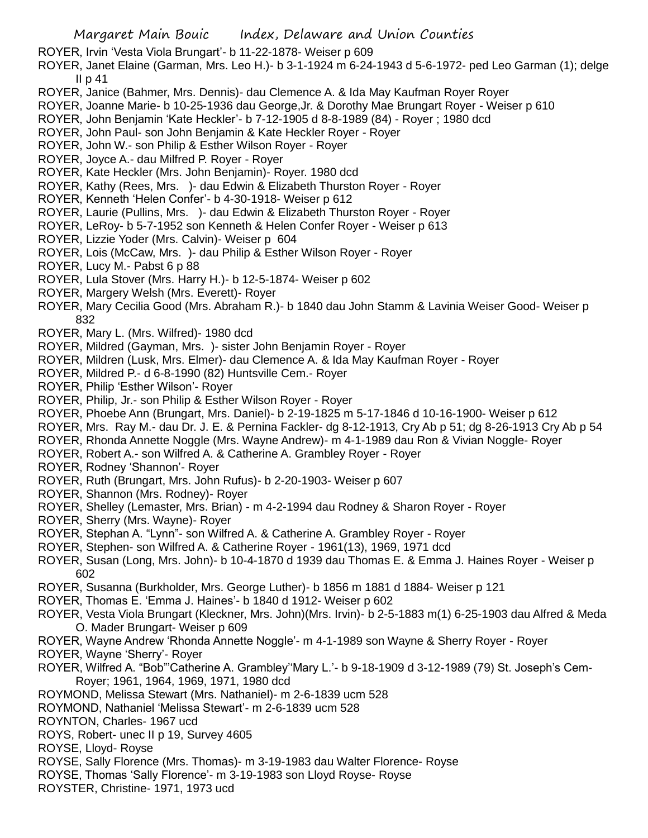ROYER, Irvin 'Vesta Viola Brungart'- b 11-22-1878- Weiser p 609

ROYER, Janet Elaine (Garman, Mrs. Leo H.)- b 3-1-1924 m 6-24-1943 d 5-6-1972- ped Leo Garman (1); delge II p 41

- ROYER, Janice (Bahmer, Mrs. Dennis)- dau Clemence A. & Ida May Kaufman Royer Royer
- ROYER, Joanne Marie- b 10-25-1936 dau George,Jr. & Dorothy Mae Brungart Royer Weiser p 610
- ROYER, John Benjamin 'Kate Heckler'- b 7-12-1905 d 8-8-1989 (84) Royer ; 1980 dcd
- ROYER, John Paul- son John Benjamin & Kate Heckler Royer Royer
- ROYER, John W.- son Philip & Esther Wilson Royer Royer
- ROYER, Joyce A.- dau Milfred P. Royer Royer
- ROYER, Kate Heckler (Mrs. John Benjamin)- Royer. 1980 dcd
- ROYER, Kathy (Rees, Mrs. )- dau Edwin & Elizabeth Thurston Royer Royer
- ROYER, Kenneth 'Helen Confer'- b 4-30-1918- Weiser p 612
- ROYER, Laurie (Pullins, Mrs. )- dau Edwin & Elizabeth Thurston Royer Royer
- ROYER, LeRoy- b 5-7-1952 son Kenneth & Helen Confer Royer Weiser p 613
- ROYER, Lizzie Yoder (Mrs. Calvin)- Weiser p 604
- ROYER, Lois (McCaw, Mrs. )- dau Philip & Esther Wilson Royer Royer
- ROYER, Lucy M.- Pabst 6 p 88
- ROYER, Lula Stover (Mrs. Harry H.)- b 12-5-1874- Weiser p 602
- ROYER, Margery Welsh (Mrs. Everett)- Royer
- ROYER, Mary Cecilia Good (Mrs. Abraham R.)- b 1840 dau John Stamm & Lavinia Weiser Good- Weiser p 832
- ROYER, Mary L. (Mrs. Wilfred)- 1980 dcd
- ROYER, Mildred (Gayman, Mrs. )- sister John Benjamin Royer Royer
- ROYER, Mildren (Lusk, Mrs. Elmer)- dau Clemence A. & Ida May Kaufman Royer Royer
- ROYER, Mildred P.- d 6-8-1990 (82) Huntsville Cem.- Royer
- ROYER, Philip 'Esther Wilson'- Royer
- ROYER, Philip, Jr.- son Philip & Esther Wilson Royer Royer
- ROYER, Phoebe Ann (Brungart, Mrs. Daniel)- b 2-19-1825 m 5-17-1846 d 10-16-1900- Weiser p 612
- ROYER, Mrs. Ray M.- dau Dr. J. E. & Pernina Fackler- dg 8-12-1913, Cry Ab p 51; dg 8-26-1913 Cry Ab p 54
- ROYER, Rhonda Annette Noggle (Mrs. Wayne Andrew)- m 4-1-1989 dau Ron & Vivian Noggle- Royer
- ROYER, Robert A.- son Wilfred A. & Catherine A. Grambley Royer Royer
- ROYER, Rodney 'Shannon'- Royer
- ROYER, Ruth (Brungart, Mrs. John Rufus)- b 2-20-1903- Weiser p 607
- ROYER, Shannon (Mrs. Rodney)- Royer
- ROYER, Shelley (Lemaster, Mrs. Brian) m 4-2-1994 dau Rodney & Sharon Royer Royer
- ROYER, Sherry (Mrs. Wayne)- Royer
- ROYER, Stephan A. "Lynn"- son Wilfred A. & Catherine A. Grambley Royer Royer
- ROYER, Stephen- son Wilfred A. & Catherine Royer 1961(13), 1969, 1971 dcd
- ROYER, Susan (Long, Mrs. John)- b 10-4-1870 d 1939 dau Thomas E. & Emma J. Haines Royer Weiser p 602
- ROYER, Susanna (Burkholder, Mrs. George Luther)- b 1856 m 1881 d 1884- Weiser p 121
- ROYER, Thomas E. 'Emma J. Haines'- b 1840 d 1912- Weiser p 602
- ROYER, Vesta Viola Brungart (Kleckner, Mrs. John)(Mrs. Irvin)- b 2-5-1883 m(1) 6-25-1903 dau Alfred & Meda O. Mader Brungart- Weiser p 609
- ROYER, Wayne Andrew 'Rhonda Annette Noggle'- m 4-1-1989 son Wayne & Sherry Royer Royer
- ROYER, Wayne 'Sherry'- Royer
- ROYER, Wilfred A. "Bob"'Catherine A. Grambley''Mary L.'- b 9-18-1909 d 3-12-1989 (79) St. Joseph's Cem-Royer; 1961, 1964, 1969, 1971, 1980 dcd
- ROYMOND, Melissa Stewart (Mrs. Nathaniel)- m 2-6-1839 ucm 528
- ROYMOND, Nathaniel 'Melissa Stewart'- m 2-6-1839 ucm 528
- ROYNTON, Charles- 1967 ucd
- ROYS, Robert- unec II p 19, Survey 4605
- ROYSE, Lloyd- Royse
- ROYSE, Sally Florence (Mrs. Thomas)- m 3-19-1983 dau Walter Florence- Royse
- ROYSE, Thomas 'Sally Florence'- m 3-19-1983 son Lloyd Royse- Royse
- ROYSTER, Christine- 1971, 1973 ucd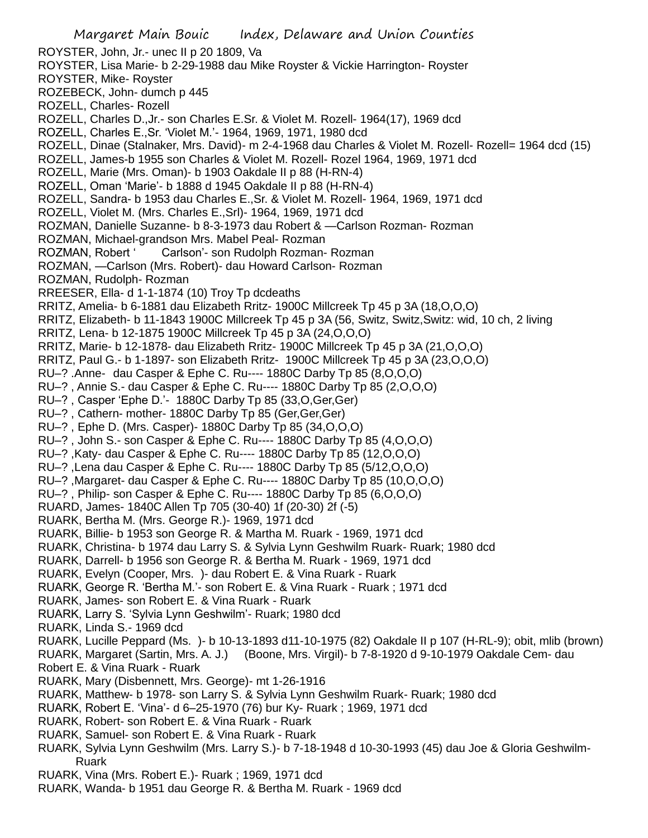ROYSTER, John, Jr.- unec II p 20 1809, Va ROYSTER, Lisa Marie- b 2-29-1988 dau Mike Royster & Vickie Harrington- Royster ROYSTER, Mike- Royster ROZEBECK, John- dumch p 445 ROZELL, Charles- Rozell ROZELL, Charles D.,Jr.- son Charles E.Sr. & Violet M. Rozell- 1964(17), 1969 dcd ROZELL, Charles E.,Sr. 'Violet M.'- 1964, 1969, 1971, 1980 dcd ROZELL, Dinae (Stalnaker, Mrs. David)- m 2-4-1968 dau Charles & Violet M. Rozell- Rozell= 1964 dcd (15) ROZELL, James-b 1955 son Charles & Violet M. Rozell- Rozel 1964, 1969, 1971 dcd ROZELL, Marie (Mrs. Oman)- b 1903 Oakdale II p 88 (H-RN-4) ROZELL, Oman 'Marie'- b 1888 d 1945 Oakdale II p 88 (H-RN-4) ROZELL, Sandra- b 1953 dau Charles E.,Sr. & Violet M. Rozell- 1964, 1969, 1971 dcd ROZELL, Violet M. (Mrs. Charles E.,Srl)- 1964, 1969, 1971 dcd ROZMAN, Danielle Suzanne- b 8-3-1973 dau Robert & —Carlson Rozman- Rozman ROZMAN, Michael-grandson Mrs. Mabel Peal- Rozman ROZMAN, Robert ' Carlson'- son Rudolph Rozman- Rozman ROZMAN, —Carlson (Mrs. Robert)- dau Howard Carlson- Rozman ROZMAN, Rudolph- Rozman RREESER, Ella- d 1-1-1874 (10) Troy Tp dcdeaths RRITZ, Amelia- b 6-1881 dau Elizabeth Rritz- 1900C Millcreek Tp 45 p 3A (18,O,O,O) RRITZ, Elizabeth- b 11-1843 1900C Millcreek Tp 45 p 3A (56, Switz, Switz,Switz: wid, 10 ch, 2 living RRITZ, Lena- b 12-1875 1900C Millcreek Tp 45 p 3A (24,O,O,O) RRITZ, Marie- b 12-1878- dau Elizabeth Rritz- 1900C Millcreek Tp 45 p 3A (21,O,O,O) RRITZ, Paul G.- b 1-1897- son Elizabeth Rritz- 1900C Millcreek Tp 45 p 3A (23,O,O,O) RU–? .Anne- dau Casper & Ephe C. Ru---- 1880C Darby Tp 85 (8,O,O,O) RU–? , Annie S.- dau Casper & Ephe C. Ru---- 1880C Darby Tp 85 (2,O,O,O) RU–? , Casper 'Ephe D.'- 1880C Darby Tp 85 (33,O,Ger,Ger) RU-?, Cathern- mother- 1880C Darby Tp 85 (Ger, Ger, Ger) RU–? , Ephe D. (Mrs. Casper)- 1880C Darby Tp 85 (34,O,O,O) RU–? , John S.- son Casper & Ephe C. Ru---- 1880C Darby Tp 85 (4,O,O,O) RU–? ,Katy- dau Casper & Ephe C. Ru---- 1880C Darby Tp 85 (12,O,O,O) RU–? ,Lena dau Casper & Ephe C. Ru---- 1880C Darby Tp 85 (5/12,O,O,O) RU–? ,Margaret- dau Casper & Ephe C. Ru---- 1880C Darby Tp 85 (10,O,O,O) RU–? , Philip- son Casper & Ephe C. Ru---- 1880C Darby Tp 85 (6,O,O,O) RUARD, James- 1840C Allen Tp 705 (30-40) 1f (20-30) 2f (-5) RUARK, Bertha M. (Mrs. George R.)- 1969, 1971 dcd RUARK, Billie- b 1953 son George R. & Martha M. Ruark - 1969, 1971 dcd RUARK, Christina- b 1974 dau Larry S. & Sylvia Lynn Geshwilm Ruark- Ruark; 1980 dcd

- RUARK, Darrell- b 1956 son George R. & Bertha M. Ruark 1969, 1971 dcd
- RUARK, Evelyn (Cooper, Mrs. )- dau Robert E. & Vina Ruark Ruark
- RUARK, George R. 'Bertha M.'- son Robert E. & Vina Ruark Ruark ; 1971 dcd
- RUARK, James- son Robert E. & Vina Ruark Ruark
- RUARK, Larry S. 'Sylvia Lynn Geshwilm'- Ruark; 1980 dcd
- RUARK, Linda S.- 1969 dcd
- RUARK, Lucille Peppard (Ms. )- b 10-13-1893 d11-10-1975 (82) Oakdale II p 107 (H-RL-9); obit, mlib (brown)
- RUARK, Margaret (Sartin, Mrs. A. J.) (Boone, Mrs. Virgil)- b 7-8-1920 d 9-10-1979 Oakdale Cem- dau
- Robert E. & Vina Ruark Ruark
- RUARK, Mary (Disbennett, Mrs. George)- mt 1-26-1916
- RUARK, Matthew- b 1978- son Larry S. & Sylvia Lynn Geshwilm Ruark- Ruark; 1980 dcd
- RUARK, Robert E. 'Vina'- d 6–25-1970 (76) bur Ky- Ruark ; 1969, 1971 dcd
- RUARK, Robert- son Robert E. & Vina Ruark Ruark
- RUARK, Samuel- son Robert E. & Vina Ruark Ruark
- RUARK, Sylvia Lynn Geshwilm (Mrs. Larry S.)- b 7-18-1948 d 10-30-1993 (45) dau Joe & Gloria Geshwilm-Ruark
- RUARK, Vina (Mrs. Robert E.)- Ruark ; 1969, 1971 dcd
- RUARK, Wanda- b 1951 dau George R. & Bertha M. Ruark 1969 dcd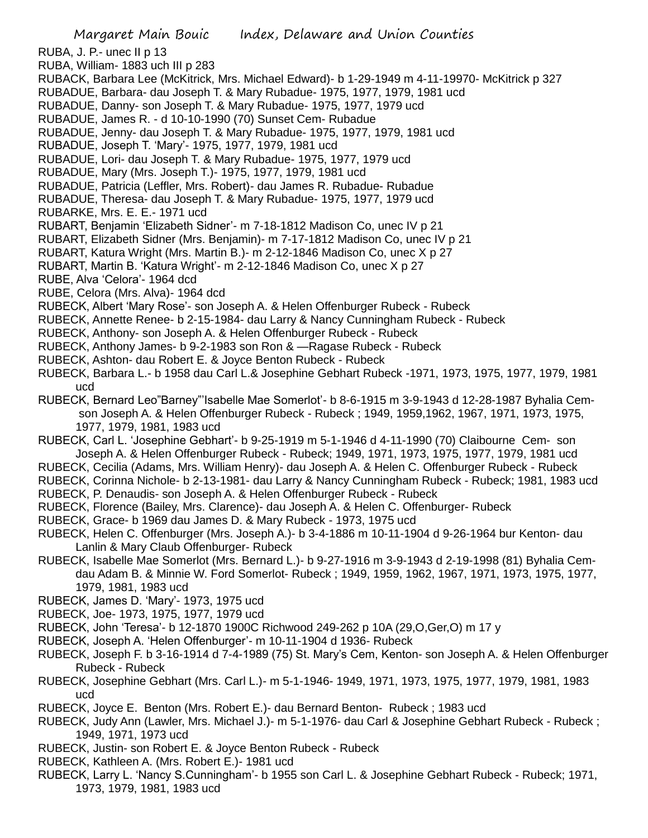RUBA, J. P.- unec II p 13

- RUBA, William- 1883 uch III p 283
- RUBACK, Barbara Lee (McKitrick, Mrs. Michael Edward)- b 1-29-1949 m 4-11-19970- McKitrick p 327
- RUBADUE, Barbara- dau Joseph T. & Mary Rubadue- 1975, 1977, 1979, 1981 ucd
- RUBADUE, Danny- son Joseph T. & Mary Rubadue- 1975, 1977, 1979 ucd
- RUBADUE, James R. d 10-10-1990 (70) Sunset Cem- Rubadue
- RUBADUE, Jenny- dau Joseph T. & Mary Rubadue- 1975, 1977, 1979, 1981 ucd
- RUBADUE, Joseph T. 'Mary'- 1975, 1977, 1979, 1981 ucd
- RUBADUE, Lori- dau Joseph T. & Mary Rubadue- 1975, 1977, 1979 ucd
- RUBADUE, Mary (Mrs. Joseph T.)- 1975, 1977, 1979, 1981 ucd
- RUBADUE, Patricia (Leffler, Mrs. Robert)- dau James R. Rubadue- Rubadue
- RUBADUE, Theresa- dau Joseph T. & Mary Rubadue- 1975, 1977, 1979 ucd
- RUBARKE, Mrs. E. E.- 1971 ucd
- RUBART, Benjamin 'Elizabeth Sidner'- m 7-18-1812 Madison Co, unec IV p 21
- RUBART, Elizabeth Sidner (Mrs. Benjamin)- m 7-17-1812 Madison Co, unec IV p 21
- RUBART, Katura Wright (Mrs. Martin B.)- m 2-12-1846 Madison Co, unec X p 27
- RUBART, Martin B. 'Katura Wright'- m 2-12-1846 Madison Co, unec X p 27
- RUBE, Alva 'Celora'- 1964 dcd
- RUBE, Celora (Mrs. Alva)- 1964 dcd
- RUBECK, Albert 'Mary Rose'- son Joseph A. & Helen Offenburger Rubeck Rubeck
- RUBECK, Annette Renee- b 2-15-1984- dau Larry & Nancy Cunningham Rubeck Rubeck
- RUBECK, Anthony- son Joseph A. & Helen Offenburger Rubeck Rubeck
- RUBECK, Anthony James- b 9-2-1983 son Ron & —Ragase Rubeck Rubeck
- RUBECK, Ashton- dau Robert E. & Joyce Benton Rubeck Rubeck
- RUBECK, Barbara L.- b 1958 dau Carl L.& Josephine Gebhart Rubeck -1971, 1973, 1975, 1977, 1979, 1981 ucd
- RUBECK, Bernard Leo"Barney"'Isabelle Mae Somerlot'- b 8-6-1915 m 3-9-1943 d 12-28-1987 Byhalia Cemson Joseph A. & Helen Offenburger Rubeck - Rubeck ; 1949, 1959,1962, 1967, 1971, 1973, 1975, 1977, 1979, 1981, 1983 ucd
- RUBECK, Carl L. 'Josephine Gebhart'- b 9-25-1919 m 5-1-1946 d 4-11-1990 (70) Claibourne Cem- son Joseph A. & Helen Offenburger Rubeck - Rubeck; 1949, 1971, 1973, 1975, 1977, 1979, 1981 ucd
- RUBECK, Cecilia (Adams, Mrs. William Henry)- dau Joseph A. & Helen C. Offenburger Rubeck Rubeck
- RUBECK, Corinna Nichole- b 2-13-1981- dau Larry & Nancy Cunningham Rubeck Rubeck; 1981, 1983 ucd
- RUBECK, P. Denaudis- son Joseph A. & Helen Offenburger Rubeck Rubeck
- RUBECK, Florence (Bailey, Mrs. Clarence)- dau Joseph A. & Helen C. Offenburger- Rubeck
- RUBECK, Grace- b 1969 dau James D. & Mary Rubeck 1973, 1975 ucd
- RUBECK, Helen C. Offenburger (Mrs. Joseph A.)- b 3-4-1886 m 10-11-1904 d 9-26-1964 bur Kenton- dau Lanlin & Mary Claub Offenburger- Rubeck
- RUBECK, Isabelle Mae Somerlot (Mrs. Bernard L.)- b 9-27-1916 m 3-9-1943 d 2-19-1998 (81) Byhalia Cemdau Adam B. & Minnie W. Ford Somerlot- Rubeck ; 1949, 1959, 1962, 1967, 1971, 1973, 1975, 1977, 1979, 1981, 1983 ucd
- RUBECK, James D. 'Mary'- 1973, 1975 ucd
- RUBECK, Joe- 1973, 1975, 1977, 1979 ucd
- RUBECK, John 'Teresa'- b 12-1870 1900C Richwood 249-262 p 10A (29,O,Ger,O) m 17 y
- RUBECK, Joseph A. 'Helen Offenburger'- m 10-11-1904 d 1936- Rubeck
- RUBECK, Joseph F. b 3-16-1914 d 7-4-1989 (75) St. Mary's Cem, Kenton- son Joseph A. & Helen Offenburger Rubeck - Rubeck
- RUBECK, Josephine Gebhart (Mrs. Carl L.)- m 5-1-1946- 1949, 1971, 1973, 1975, 1977, 1979, 1981, 1983 ucd
- RUBECK, Joyce E. Benton (Mrs. Robert E.)- dau Bernard Benton- Rubeck ; 1983 ucd
- RUBECK, Judy Ann (Lawler, Mrs. Michael J.)- m 5-1-1976- dau Carl & Josephine Gebhart Rubeck Rubeck ; 1949, 1971, 1973 ucd
- RUBECK, Justin- son Robert E. & Joyce Benton Rubeck Rubeck
- RUBECK, Kathleen A. (Mrs. Robert E.)- 1981 ucd
- RUBECK, Larry L. 'Nancy S.Cunningham'- b 1955 son Carl L. & Josephine Gebhart Rubeck Rubeck; 1971, 1973, 1979, 1981, 1983 ucd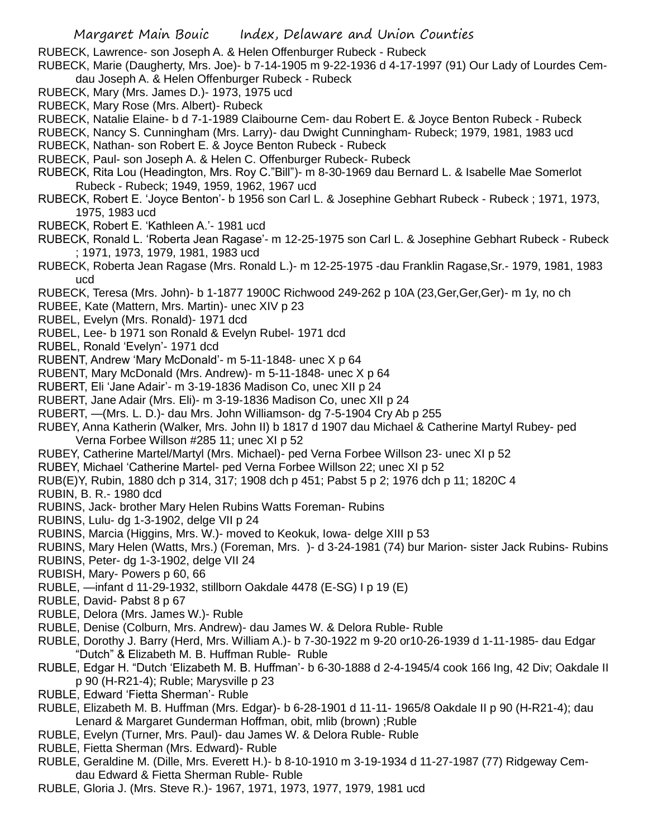- RUBECK, Lawrence- son Joseph A. & Helen Offenburger Rubeck Rubeck
- RUBECK, Marie (Daugherty, Mrs. Joe)- b 7-14-1905 m 9-22-1936 d 4-17-1997 (91) Our Lady of Lourdes Cemdau Joseph A. & Helen Offenburger Rubeck - Rubeck
- RUBECK, Mary (Mrs. James D.)- 1973, 1975 ucd
- RUBECK, Mary Rose (Mrs. Albert)- Rubeck
- RUBECK, Natalie Elaine- b d 7-1-1989 Claibourne Cem- dau Robert E. & Joyce Benton Rubeck Rubeck
- RUBECK, Nancy S. Cunningham (Mrs. Larry)- dau Dwight Cunningham- Rubeck; 1979, 1981, 1983 ucd
- RUBECK, Nathan- son Robert E. & Joyce Benton Rubeck Rubeck
- RUBECK, Paul- son Joseph A. & Helen C. Offenburger Rubeck- Rubeck
- RUBECK, Rita Lou (Headington, Mrs. Roy C."Bill")- m 8-30-1969 dau Bernard L. & Isabelle Mae Somerlot Rubeck - Rubeck; 1949, 1959, 1962, 1967 ucd
- RUBECK, Robert E. 'Joyce Benton'- b 1956 son Carl L. & Josephine Gebhart Rubeck Rubeck ; 1971, 1973, 1975, 1983 ucd
- RUBECK, Robert E. 'Kathleen A.'- 1981 ucd
- RUBECK, Ronald L. 'Roberta Jean Ragase'- m 12-25-1975 son Carl L. & Josephine Gebhart Rubeck Rubeck ; 1971, 1973, 1979, 1981, 1983 ucd
- RUBECK, Roberta Jean Ragase (Mrs. Ronald L.)- m 12-25-1975 -dau Franklin Ragase,Sr.- 1979, 1981, 1983 ucd
- RUBECK, Teresa (Mrs. John)- b 1-1877 1900C Richwood 249-262 p 10A (23,Ger,Ger,Ger)- m 1y, no ch
- RUBEE, Kate (Mattern, Mrs. Martin)- unec XIV p 23
- RUBEL, Evelyn (Mrs. Ronald)- 1971 dcd
- RUBEL, Lee- b 1971 son Ronald & Evelyn Rubel- 1971 dcd
- RUBEL, Ronald 'Evelyn'- 1971 dcd
- RUBENT, Andrew 'Mary McDonald'- m 5-11-1848- unec X p 64
- RUBENT, Mary McDonald (Mrs. Andrew)- m 5-11-1848- unec X p 64
- RUBERT, Eli 'Jane Adair'- m 3-19-1836 Madison Co, unec XII p 24
- RUBERT, Jane Adair (Mrs. Eli)- m 3-19-1836 Madison Co, unec XII p 24
- RUBERT, —(Mrs. L. D.)- dau Mrs. John Williamson- dg 7-5-1904 Cry Ab p 255
- RUBEY, Anna Katherin (Walker, Mrs. John II) b 1817 d 1907 dau Michael & Catherine Martyl Rubey- ped Verna Forbee Willson #285 11; unec XI p 52
- RUBEY, Catherine Martel/Martyl (Mrs. Michael)- ped Verna Forbee Willson 23- unec XI p 52
- RUBEY, Michael 'Catherine Martel- ped Verna Forbee Willson 22; unec XI p 52
- RUB(E)Y, Rubin, 1880 dch p 314, 317; 1908 dch p 451; Pabst 5 p 2; 1976 dch p 11; 1820C 4
- RUBIN, B. R.- 1980 dcd
- RUBINS, Jack- brother Mary Helen Rubins Watts Foreman- Rubins
- RUBINS, Lulu- dg 1-3-1902, delge VII p 24
- RUBINS, Marcia (Higgins, Mrs. W.)- moved to Keokuk, Iowa- delge XIII p 53
- RUBINS, Mary Helen (Watts, Mrs.) (Foreman, Mrs. )- d 3-24-1981 (74) bur Marion- sister Jack Rubins- Rubins
- RUBINS, Peter- dg 1-3-1902, delge VII 24
- RUBISH, Mary- Powers p 60, 66
- RUBLE, —infant d 11-29-1932, stillborn Oakdale 4478 (E-SG) I p 19 (E)
- RUBLE, David- Pabst 8 p 67
- RUBLE, Delora (Mrs. James W.)- Ruble
- RUBLE, Denise (Colburn, Mrs. Andrew)- dau James W. & Delora Ruble- Ruble
- RUBLE, Dorothy J. Barry (Herd, Mrs. William A.)- b 7-30-1922 m 9-20 or10-26-1939 d 1-11-1985- dau Edgar "Dutch" & Elizabeth M. B. Huffman Ruble- Ruble
- RUBLE, Edgar H. "Dutch 'Elizabeth M. B. Huffman'- b 6-30-1888 d 2-4-1945/4 cook 166 Ing, 42 Div; Oakdale II p 90 (H-R21-4); Ruble; Marysville p 23
- RUBLE, Edward 'Fietta Sherman'- Ruble
- RUBLE, Elizabeth M. B. Huffman (Mrs. Edgar)- b 6-28-1901 d 11-11- 1965/8 Oakdale II p 90 (H-R21-4); dau Lenard & Margaret Gunderman Hoffman, obit, mlib (brown) ;Ruble
- RUBLE, Evelyn (Turner, Mrs. Paul)- dau James W. & Delora Ruble- Ruble
- RUBLE, Fietta Sherman (Mrs. Edward)- Ruble
- RUBLE, Geraldine M. (Dille, Mrs. Everett H.)- b 8-10-1910 m 3-19-1934 d 11-27-1987 (77) Ridgeway Cemdau Edward & Fietta Sherman Ruble- Ruble
- RUBLE, Gloria J. (Mrs. Steve R.)- 1967, 1971, 1973, 1977, 1979, 1981 ucd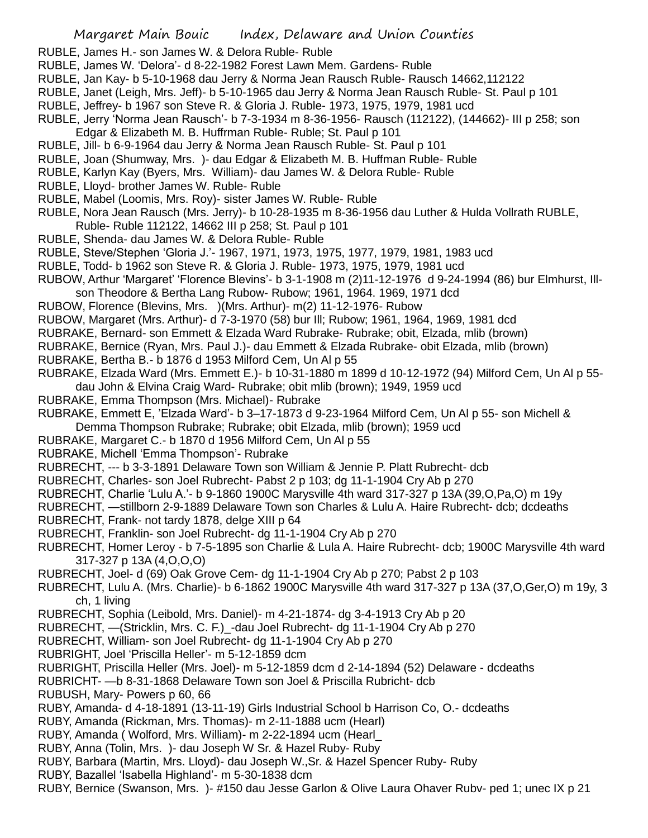RUBLE, James H.- son James W. & Delora Ruble- Ruble

- RUBLE, James W. 'Delora'- d 8-22-1982 Forest Lawn Mem. Gardens- Ruble
- RUBLE, Jan Kay- b 5-10-1968 dau Jerry & Norma Jean Rausch Ruble- Rausch 14662,112122
- RUBLE, Janet (Leigh, Mrs. Jeff)- b 5-10-1965 dau Jerry & Norma Jean Rausch Ruble- St. Paul p 101
- RUBLE, Jeffrey- b 1967 son Steve R. & Gloria J. Ruble- 1973, 1975, 1979, 1981 ucd
- RUBLE, Jerry 'Norma Jean Rausch'- b 7-3-1934 m 8-36-1956- Rausch (112122), (144662)- III p 258; son Edgar & Elizabeth M. B. Huffrman Ruble- Ruble; St. Paul p 101
- RUBLE, Jill- b 6-9-1964 dau Jerry & Norma Jean Rausch Ruble- St. Paul p 101
- RUBLE, Joan (Shumway, Mrs. )- dau Edgar & Elizabeth M. B. Huffman Ruble- Ruble
- RUBLE, Karlyn Kay (Byers, Mrs. William)- dau James W. & Delora Ruble- Ruble
- RUBLE, Lloyd- brother James W. Ruble- Ruble
- RUBLE, Mabel (Loomis, Mrs. Roy)- sister James W. Ruble- Ruble
- RUBLE, Nora Jean Rausch (Mrs. Jerry)- b 10-28-1935 m 8-36-1956 dau Luther & Hulda Vollrath RUBLE,
- Ruble- Ruble 112122, 14662 III p 258; St. Paul p 101
- RUBLE, Shenda- dau James W. & Delora Ruble- Ruble
- RUBLE, Steve/Stephen 'Gloria J.'- 1967, 1971, 1973, 1975, 1977, 1979, 1981, 1983 ucd
- RUBLE, Todd- b 1962 son Steve R. & Gloria J. Ruble- 1973, 1975, 1979, 1981 ucd
- RUBOW, Arthur 'Margaret' 'Florence Blevins'- b 3-1-1908 m (2)11-12-1976 d 9-24-1994 (86) bur Elmhurst, Illson Theodore & Bertha Lang Rubow- Rubow; 1961, 1964. 1969, 1971 dcd
- RUBOW, Florence (Blevins, Mrs. )(Mrs. Arthur)- m(2) 11-12-1976- Rubow
- RUBOW, Margaret (Mrs. Arthur)- d 7-3-1970 (58) bur Ill; Rubow; 1961, 1964, 1969, 1981 dcd
- RUBRAKE, Bernard- son Emmett & Elzada Ward Rubrake- Rubrake; obit, Elzada, mlib (brown)
- RUBRAKE, Bernice (Ryan, Mrs. Paul J.)- dau Emmett & Elzada Rubrake- obit Elzada, mlib (brown)
- RUBRAKE, Bertha B.- b 1876 d 1953 Milford Cem, Un Al p 55
- RUBRAKE, Elzada Ward (Mrs. Emmett E.)- b 10-31-1880 m 1899 d 10-12-1972 (94) Milford Cem, Un Al p 55 dau John & Elvina Craig Ward- Rubrake; obit mlib (brown); 1949, 1959 ucd
- RUBRAKE, Emma Thompson (Mrs. Michael)- Rubrake
- RUBRAKE, Emmett E, 'Elzada Ward'- b 3–17-1873 d 9-23-1964 Milford Cem, Un Al p 55- son Michell & Demma Thompson Rubrake; Rubrake; obit Elzada, mlib (brown); 1959 ucd
- 
- RUBRAKE, Margaret C.- b 1870 d 1956 Milford Cem, Un Al p 55
- RUBRAKE, Michell 'Emma Thompson'- Rubrake
- RUBRECHT, --- b 3-3-1891 Delaware Town son William & Jennie P. Platt Rubrecht- dcb
- RUBRECHT, Charles- son Joel Rubrecht- Pabst 2 p 103; dg 11-1-1904 Cry Ab p 270
- RUBRECHT, Charlie 'Lulu A.'- b 9-1860 1900C Marysville 4th ward 317-327 p 13A (39,O,Pa,O) m 19y
- RUBRECHT, —stillborn 2-9-1889 Delaware Town son Charles & Lulu A. Haire Rubrecht- dcb; dcdeaths
- RUBRECHT, Frank- not tardy 1878, delge XIII p 64
- RUBRECHT, Franklin- son Joel Rubrecht- dg 11-1-1904 Cry Ab p 270
- RUBRECHT, Homer Leroy b 7-5-1895 son Charlie & Lula A. Haire Rubrecht- dcb; 1900C Marysville 4th ward 317-327 p 13A (4,O,O,O)
- RUBRECHT, Joel- d (69) Oak Grove Cem- dg 11-1-1904 Cry Ab p 270; Pabst 2 p 103
- RUBRECHT, Lulu A. (Mrs. Charlie)- b 6-1862 1900C Marysville 4th ward 317-327 p 13A (37,O,Ger,O) m 19y, 3 ch, 1 living
- RUBRECHT, Sophia (Leibold, Mrs. Daniel)- m 4-21-1874- dg 3-4-1913 Cry Ab p 20
- RUBRECHT, —(Stricklin, Mrs. C. F.)\_-dau Joel Rubrecht- dg 11-1-1904 Cry Ab p 270
- RUBRECHT, William- son Joel Rubrecht- dg 11-1-1904 Cry Ab p 270
- RUBRIGHT, Joel 'Priscilla Heller'- m 5-12-1859 dcm
- RUBRIGHT, Priscilla Heller (Mrs. Joel)- m 5-12-1859 dcm d 2-14-1894 (52) Delaware dcdeaths
- RUBRICHT- —b 8-31-1868 Delaware Town son Joel & Priscilla Rubricht- dcb
- RUBUSH, Mary- Powers p 60, 66
- RUBY, Amanda- d 4-18-1891 (13-11-19) Girls Industrial School b Harrison Co, O.- dcdeaths
- RUBY, Amanda (Rickman, Mrs. Thomas)- m 2-11-1888 ucm (Hearl)
- RUBY, Amanda ( Wolford, Mrs. William)- m 2-22-1894 ucm (Hearl\_
- RUBY, Anna (Tolin, Mrs. )- dau Joseph W Sr. & Hazel Ruby- Ruby
- RUBY, Barbara (Martin, Mrs. Lloyd)- dau Joseph W.,Sr. & Hazel Spencer Ruby- Ruby
- RUBY, Bazallel 'Isabella Highland'- m 5-30-1838 dcm
- RUBY, Bernice (Swanson, Mrs. )- #150 dau Jesse Garlon & Olive Laura Ohaver Rubv- ped 1; unec IX p 21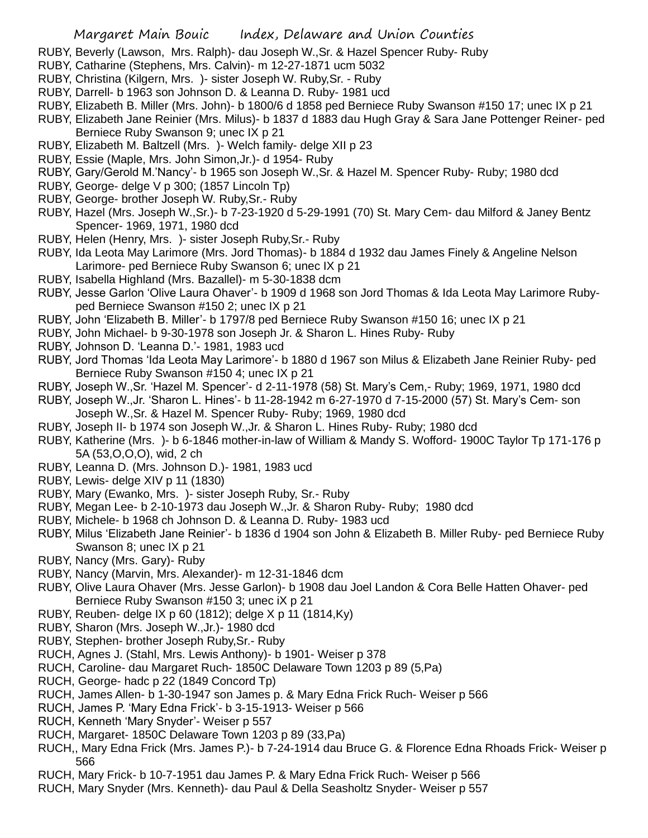- RUBY, Beverly (Lawson, Mrs. Ralph)- dau Joseph W.,Sr. & Hazel Spencer Ruby- Ruby
- RUBY, Catharine (Stephens, Mrs. Calvin)- m 12-27-1871 ucm 5032
- RUBY, Christina (Kilgern, Mrs. )- sister Joseph W. Ruby,Sr. Ruby
- RUBY, Darrell- b 1963 son Johnson D. & Leanna D. Ruby- 1981 ucd
- RUBY, Elizabeth B. Miller (Mrs. John)- b 1800/6 d 1858 ped Berniece Ruby Swanson #150 17; unec IX p 21
- RUBY, Elizabeth Jane Reinier (Mrs. Milus)- b 1837 d 1883 dau Hugh Gray & Sara Jane Pottenger Reiner- ped Berniece Ruby Swanson 9; unec IX p 21
- RUBY, Elizabeth M. Baltzell (Mrs. )- Welch family- delge XII p 23
- RUBY, Essie (Maple, Mrs. John Simon,Jr.)- d 1954- Ruby
- RUBY, Gary/Gerold M.'Nancy'- b 1965 son Joseph W.,Sr. & Hazel M. Spencer Ruby- Ruby; 1980 dcd
- RUBY, George- delge V p 300; (1857 Lincoln Tp)
- RUBY, George- brother Joseph W. Ruby,Sr.- Ruby
- RUBY, Hazel (Mrs. Joseph W.,Sr.)- b 7-23-1920 d 5-29-1991 (70) St. Mary Cem- dau Milford & Janey Bentz Spencer- 1969, 1971, 1980 dcd
- RUBY, Helen (Henry, Mrs. )- sister Joseph Ruby,Sr.- Ruby
- RUBY, Ida Leota May Larimore (Mrs. Jord Thomas)- b 1884 d 1932 dau James Finely & Angeline Nelson Larimore- ped Berniece Ruby Swanson 6; unec IX p 21
- RUBY, Isabella Highland (Mrs. Bazallel)- m 5-30-1838 dcm
- RUBY, Jesse Garlon 'Olive Laura Ohaver'- b 1909 d 1968 son Jord Thomas & Ida Leota May Larimore Rubyped Berniece Swanson #150 2; unec IX p 21
- RUBY, John 'Elizabeth B. Miller'- b 1797/8 ped Berniece Ruby Swanson #150 16; unec IX p 21
- RUBY, John Michael- b 9-30-1978 son Joseph Jr. & Sharon L. Hines Ruby- Ruby
- RUBY, Johnson D. 'Leanna D.'- 1981, 1983 ucd
- RUBY, Jord Thomas 'Ida Leota May Larimore'- b 1880 d 1967 son Milus & Elizabeth Jane Reinier Ruby- ped Berniece Ruby Swanson #150 4; unec IX p 21
- RUBY, Joseph W.,Sr. 'Hazel M. Spencer'- d 2-11-1978 (58) St. Mary's Cem,- Ruby; 1969, 1971, 1980 dcd
- RUBY, Joseph W.,Jr. 'Sharon L. Hines'- b 11-28-1942 m 6-27-1970 d 7-15-2000 (57) St. Mary's Cem- son Joseph W.,Sr. & Hazel M. Spencer Ruby- Ruby; 1969, 1980 dcd
- RUBY, Joseph II- b 1974 son Joseph W.,Jr. & Sharon L. Hines Ruby- Ruby; 1980 dcd
- RUBY, Katherine (Mrs. )- b 6-1846 mother-in-law of William & Mandy S. Wofford- 1900C Taylor Tp 171-176 p 5A (53,O,O,O), wid, 2 ch
- RUBY, Leanna D. (Mrs. Johnson D.)- 1981, 1983 ucd
- RUBY, Lewis- delge XIV p 11 (1830)
- RUBY, Mary (Ewanko, Mrs. )- sister Joseph Ruby, Sr.- Ruby
- RUBY, Megan Lee- b 2-10-1973 dau Joseph W.,Jr. & Sharon Ruby- Ruby; 1980 dcd
- RUBY, Michele- b 1968 ch Johnson D. & Leanna D. Ruby- 1983 ucd
- RUBY, Milus 'Elizabeth Jane Reinier'- b 1836 d 1904 son John & Elizabeth B. Miller Ruby- ped Berniece Ruby Swanson 8; unec IX p 21
- RUBY, Nancy (Mrs. Gary)- Ruby
- RUBY, Nancy (Marvin, Mrs. Alexander)- m 12-31-1846 dcm
- RUBY, Olive Laura Ohaver (Mrs. Jesse Garlon)- b 1908 dau Joel Landon & Cora Belle Hatten Ohaver- ped Berniece Ruby Swanson #150 3; unec iX p 21
- RUBY, Reuben- delge IX p 60 (1812); delge X p 11 (1814,Ky)
- RUBY, Sharon (Mrs. Joseph W.,Jr.)- 1980 dcd
- RUBY, Stephen- brother Joseph Ruby,Sr.- Ruby
- RUCH, Agnes J. (Stahl, Mrs. Lewis Anthony)- b 1901- Weiser p 378
- RUCH, Caroline- dau Margaret Ruch- 1850C Delaware Town 1203 p 89 (5,Pa)
- RUCH, George- hadc p 22 (1849 Concord Tp)
- RUCH, James Allen- b 1-30-1947 son James p. & Mary Edna Frick Ruch- Weiser p 566
- RUCH, James P. 'Mary Edna Frick'- b 3-15-1913- Weiser p 566
- RUCH, Kenneth 'Mary Snyder'- Weiser p 557
- RUCH, Margaret- 1850C Delaware Town 1203 p 89 (33,Pa)
- RUCH,, Mary Edna Frick (Mrs. James P.)- b 7-24-1914 dau Bruce G. & Florence Edna Rhoads Frick- Weiser p 566
- RUCH, Mary Frick- b 10-7-1951 dau James P. & Mary Edna Frick Ruch- Weiser p 566
- RUCH, Mary Snyder (Mrs. Kenneth)- dau Paul & Della Seasholtz Snyder- Weiser p 557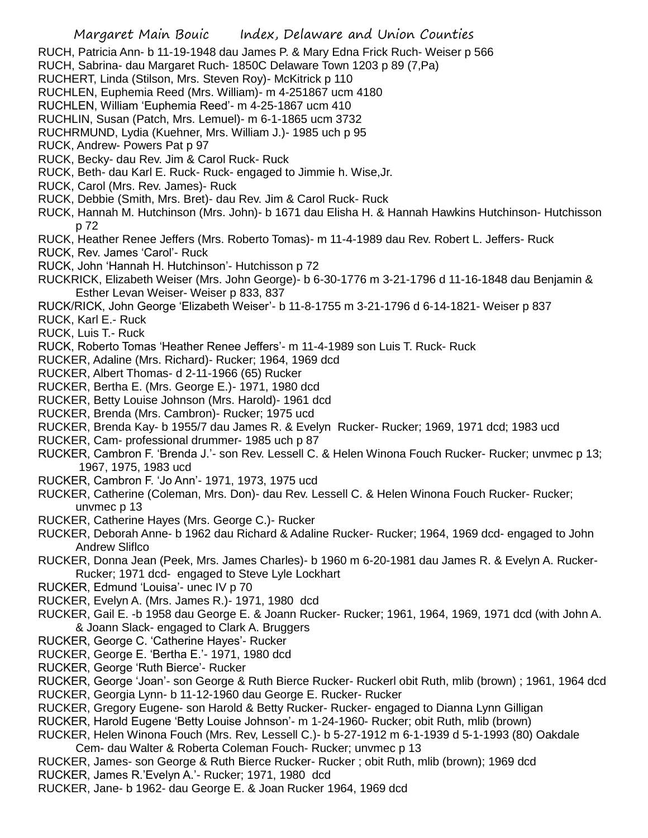RUCH, Patricia Ann- b 11-19-1948 dau James P. & Mary Edna Frick Ruch- Weiser p 566 RUCH, Sabrina- dau Margaret Ruch- 1850C Delaware Town 1203 p 89 (7,Pa) RUCHERT, Linda (Stilson, Mrs. Steven Roy)- McKitrick p 110 RUCHLEN, Euphemia Reed (Mrs. William)- m 4-251867 ucm 4180 RUCHLEN, William 'Euphemia Reed'- m 4-25-1867 ucm 410 RUCHLIN, Susan (Patch, Mrs. Lemuel)- m 6-1-1865 ucm 3732 RUCHRMUND, Lydia (Kuehner, Mrs. William J.)- 1985 uch p 95 RUCK, Andrew- Powers Pat p 97 RUCK, Becky- dau Rev. Jim & Carol Ruck- Ruck RUCK, Beth- dau Karl E. Ruck- Ruck- engaged to Jimmie h. Wise,Jr. RUCK, Carol (Mrs. Rev. James)- Ruck RUCK, Debbie (Smith, Mrs. Bret)- dau Rev. Jim & Carol Ruck- Ruck RUCK, Hannah M. Hutchinson (Mrs. John)- b 1671 dau Elisha H. & Hannah Hawkins Hutchinson- Hutchisson p 72 RUCK, Heather Renee Jeffers (Mrs. Roberto Tomas)- m 11-4-1989 dau Rev. Robert L. Jeffers- Ruck RUCK, Rev. James 'Carol'- Ruck RUCK, John 'Hannah H. Hutchinson'- Hutchisson p 72 RUCKRICK, Elizabeth Weiser (Mrs. John George)- b 6-30-1776 m 3-21-1796 d 11-16-1848 dau Benjamin & Esther Levan Weiser- Weiser p 833, 837 RUCK/RICK, John George 'Elizabeth Weiser'- b 11-8-1755 m 3-21-1796 d 6-14-1821- Weiser p 837 RUCK, Karl E.- Ruck RUCK, Luis T.- Ruck RUCK, Roberto Tomas 'Heather Renee Jeffers'- m 11-4-1989 son Luis T. Ruck- Ruck RUCKER, Adaline (Mrs. Richard)- Rucker; 1964, 1969 dcd RUCKER, Albert Thomas- d 2-11-1966 (65) Rucker RUCKER, Bertha E. (Mrs. George E.)- 1971, 1980 dcd RUCKER, Betty Louise Johnson (Mrs. Harold)- 1961 dcd RUCKER, Brenda (Mrs. Cambron)- Rucker; 1975 ucd RUCKER, Brenda Kay- b 1955/7 dau James R. & Evelyn Rucker- Rucker; 1969, 1971 dcd; 1983 ucd RUCKER, Cam- professional drummer- 1985 uch p 87 RUCKER, Cambron F. 'Brenda J.'- son Rev. Lessell C. & Helen Winona Fouch Rucker- Rucker; unvmec p 13; 1967, 1975, 1983 ucd RUCKER, Cambron F. 'Jo Ann'- 1971, 1973, 1975 ucd RUCKER, Catherine (Coleman, Mrs. Don)- dau Rev. Lessell C. & Helen Winona Fouch Rucker- Rucker; unvmec p 13 RUCKER, Catherine Hayes (Mrs. George C.)- Rucker RUCKER, Deborah Anne- b 1962 dau Richard & Adaline Rucker- Rucker; 1964, 1969 dcd- engaged to John Andrew Sliflco RUCKER, Donna Jean (Peek, Mrs. James Charles)- b 1960 m 6-20-1981 dau James R. & Evelyn A. Rucker-Rucker; 1971 dcd- engaged to Steve Lyle Lockhart RUCKER, Edmund 'Louisa'- unec IV p 70 RUCKER, Evelyn A. (Mrs. James R.)- 1971, 1980 dcd RUCKER, Gail E. -b 1958 dau George E. & Joann Rucker- Rucker; 1961, 1964, 1969, 1971 dcd (with John A. & Joann Slack- engaged to Clark A. Bruggers RUCKER, George C. 'Catherine Hayes'- Rucker RUCKER, George E. 'Bertha E.'- 1971, 1980 dcd RUCKER, George 'Ruth Bierce'- Rucker RUCKER, George 'Joan'- son George & Ruth Bierce Rucker- Ruckerl obit Ruth, mlib (brown) ; 1961, 1964 dcd RUCKER, Georgia Lynn- b 11-12-1960 dau George E. Rucker- Rucker RUCKER, Gregory Eugene- son Harold & Betty Rucker- Rucker- engaged to Dianna Lynn Gilligan RUCKER, Harold Eugene 'Betty Louise Johnson'- m 1-24-1960- Rucker; obit Ruth, mlib (brown) RUCKER, Helen Winona Fouch (Mrs. Rev, Lessell C.)- b 5-27-1912 m 6-1-1939 d 5-1-1993 (80) Oakdale Cem- dau Walter & Roberta Coleman Fouch- Rucker; unvmec p 13 RUCKER, James- son George & Ruth Bierce Rucker- Rucker ; obit Ruth, mlib (brown); 1969 dcd

- RUCKER, James R.'Evelyn A.'- Rucker; 1971, 1980 dcd
- RUCKER, Jane- b 1962- dau George E. & Joan Rucker 1964, 1969 dcd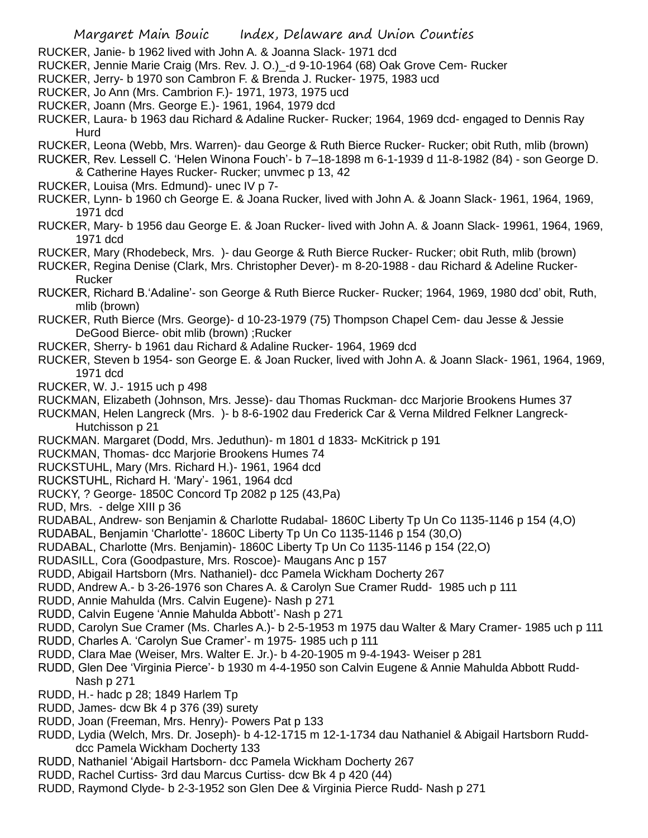- RUCKER, Janie- b 1962 lived with John A. & Joanna Slack- 1971 dcd
- RUCKER, Jennie Marie Craig (Mrs. Rev. J. O.)\_-d 9-10-1964 (68) Oak Grove Cem- Rucker
- RUCKER, Jerry- b 1970 son Cambron F. & Brenda J. Rucker- 1975, 1983 ucd
- RUCKER, Jo Ann (Mrs. Cambrion F.)- 1971, 1973, 1975 ucd
- RUCKER, Joann (Mrs. George E.)- 1961, 1964, 1979 dcd
- RUCKER, Laura- b 1963 dau Richard & Adaline Rucker- Rucker; 1964, 1969 dcd- engaged to Dennis Ray Hurd
- RUCKER, Leona (Webb, Mrs. Warren)- dau George & Ruth Bierce Rucker- Rucker; obit Ruth, mlib (brown)

RUCKER, Rev. Lessell C. 'Helen Winona Fouch'- b 7–18-1898 m 6-1-1939 d 11-8-1982 (84) - son George D. & Catherine Hayes Rucker- Rucker; unvmec p 13, 42

- RUCKER, Louisa (Mrs. Edmund)- unec IV p 7-
- RUCKER, Lynn- b 1960 ch George E. & Joana Rucker, lived with John A. & Joann Slack- 1961, 1964, 1969, 1971 dcd
- RUCKER, Mary- b 1956 dau George E. & Joan Rucker- lived with John A. & Joann Slack- 19961, 1964, 1969, 1971 dcd
- RUCKER, Mary (Rhodebeck, Mrs. )- dau George & Ruth Bierce Rucker- Rucker; obit Ruth, mlib (brown)
- RUCKER, Regina Denise (Clark, Mrs. Christopher Dever)- m 8-20-1988 dau Richard & Adeline Rucker-Rucker
- RUCKER, Richard B.'Adaline'- son George & Ruth Bierce Rucker- Rucker; 1964, 1969, 1980 dcd' obit, Ruth, mlib (brown)
- RUCKER, Ruth Bierce (Mrs. George)- d 10-23-1979 (75) Thompson Chapel Cem- dau Jesse & Jessie DeGood Bierce- obit mlib (brown) ;Rucker
- RUCKER, Sherry- b 1961 dau Richard & Adaline Rucker- 1964, 1969 dcd

RUCKER, Steven b 1954- son George E. & Joan Rucker, lived with John A. & Joann Slack- 1961, 1964, 1969, 1971 dcd

- RUCKER, W. J.- 1915 uch p 498
- RUCKMAN, Elizabeth (Johnson, Mrs. Jesse)- dau Thomas Ruckman- dcc Marjorie Brookens Humes 37
- RUCKMAN, Helen Langreck (Mrs. )- b 8-6-1902 dau Frederick Car & Verna Mildred Felkner Langreck-Hutchisson p 21
- RUCKMAN. Margaret (Dodd, Mrs. Jeduthun)- m 1801 d 1833- McKitrick p 191
- RUCKMAN, Thomas- dcc Marjorie Brookens Humes 74
- RUCKSTUHL, Mary (Mrs. Richard H.)- 1961, 1964 dcd
- RUCKSTUHL, Richard H. 'Mary'- 1961, 1964 dcd
- RUCKY, ? George- 1850C Concord Tp 2082 p 125 (43,Pa)
- RUD, Mrs. delge XIII p 36
- RUDABAL, Andrew- son Benjamin & Charlotte Rudabal- 1860C Liberty Tp Un Co 1135-1146 p 154 (4,O)
- RUDABAL, Benjamin 'Charlotte'- 1860C Liberty Tp Un Co 1135-1146 p 154 (30,O)
- RUDABAL, Charlotte (Mrs. Benjamin)- 1860C Liberty Tp Un Co 1135-1146 p 154 (22,O)
- RUDASILL, Cora (Goodpasture, Mrs. Roscoe)- Maugans Anc p 157
- RUDD, Abigail Hartsborn (Mrs. Nathaniel)- dcc Pamela Wickham Docherty 267
- RUDD, Andrew A.- b 3-26-1976 son Chares A. & Carolyn Sue Cramer Rudd- 1985 uch p 111
- RUDD, Annie Mahulda (Mrs. Calvin Eugene)- Nash p 271
- RUDD, Calvin Eugene 'Annie Mahulda Abbott'- Nash p 271
- RUDD, Carolyn Sue Cramer (Ms. Charles A.)- b 2-5-1953 m 1975 dau Walter & Mary Cramer- 1985 uch p 111
- RUDD, Charles A. 'Carolyn Sue Cramer'- m 1975- 1985 uch p 111
- RUDD, Clara Mae (Weiser, Mrs. Walter E. Jr.)- b 4-20-1905 m 9-4-1943- Weiser p 281
- RUDD, Glen Dee 'Virginia Pierce'- b 1930 m 4-4-1950 son Calvin Eugene & Annie Mahulda Abbott Rudd-Nash p 271
- RUDD, H.- hadc p 28; 1849 Harlem Tp
- RUDD, James- dcw Bk 4 p 376 (39) surety
- RUDD, Joan (Freeman, Mrs. Henry)- Powers Pat p 133
- RUDD, Lydia (Welch, Mrs. Dr. Joseph)- b 4-12-1715 m 12-1-1734 dau Nathaniel & Abigail Hartsborn Rudddcc Pamela Wickham Docherty 133
- RUDD, Nathaniel 'Abigail Hartsborn- dcc Pamela Wickham Docherty 267
- RUDD, Rachel Curtiss- 3rd dau Marcus Curtiss- dcw Bk 4 p 420 (44)
- RUDD, Raymond Clyde- b 2-3-1952 son Glen Dee & Virginia Pierce Rudd- Nash p 271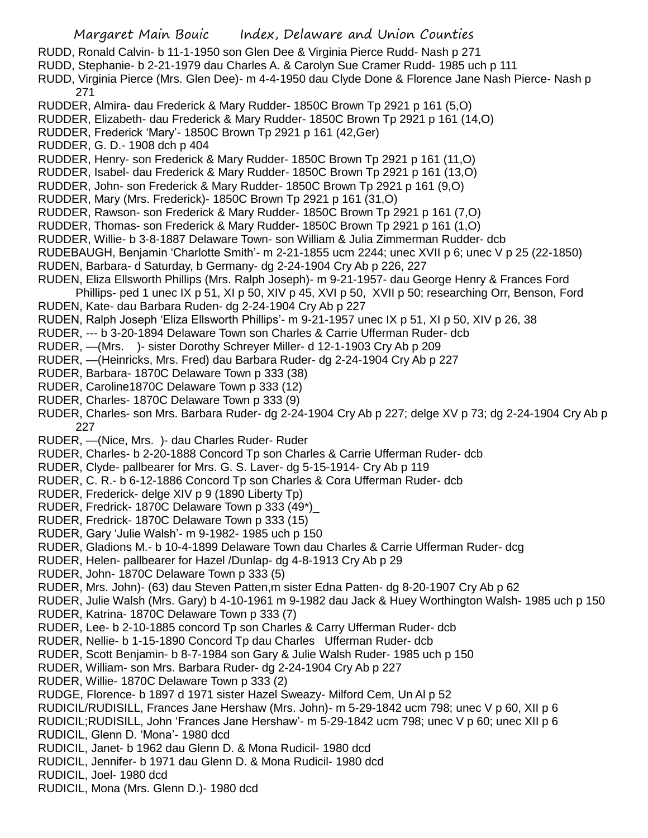- Margaret Main Bouic Index, Delaware and Union Counties
- RUDD, Ronald Calvin- b 11-1-1950 son Glen Dee & Virginia Pierce Rudd- Nash p 271
- RUDD, Stephanie- b 2-21-1979 dau Charles A. & Carolyn Sue Cramer Rudd- 1985 uch p 111
- RUDD, Virginia Pierce (Mrs. Glen Dee)- m 4-4-1950 dau Clyde Done & Florence Jane Nash Pierce- Nash p 271
- RUDDER, Almira- dau Frederick & Mary Rudder- 1850C Brown Tp 2921 p 161 (5,O)
- RUDDER, Elizabeth- dau Frederick & Mary Rudder- 1850C Brown Tp 2921 p 161 (14,O)
- RUDDER, Frederick 'Mary'- 1850C Brown Tp 2921 p 161 (42,Ger)
- RUDDER, G. D.- 1908 dch p 404
- RUDDER, Henry- son Frederick & Mary Rudder- 1850C Brown Tp 2921 p 161 (11,O)
- RUDDER, Isabel- dau Frederick & Mary Rudder- 1850C Brown Tp 2921 p 161 (13,O)
- RUDDER, John- son Frederick & Mary Rudder- 1850C Brown Tp 2921 p 161 (9,O)
- RUDDER, Mary (Mrs. Frederick)- 1850C Brown Tp 2921 p 161 (31,O)
- RUDDER, Rawson- son Frederick & Mary Rudder- 1850C Brown Tp 2921 p 161 (7,O)
- RUDDER, Thomas- son Frederick & Mary Rudder- 1850C Brown Tp 2921 p 161 (1,O)
- RUDDER, Willie- b 3-8-1887 Delaware Town- son William & Julia Zimmerman Rudder- dcb
- RUDEBAUGH, Benjamin 'Charlotte Smith'- m 2-21-1855 ucm 2244; unec XVII p 6; unec V p 25 (22-1850)
- RUDEN, Barbara- d Saturday, b Germany- dg 2-24-1904 Cry Ab p 226, 227
- RUDEN, Eliza Ellsworth Phillips (Mrs. Ralph Joseph)- m 9-21-1957- dau George Henry & Frances Ford Phillips- ped 1 unec IX p 51, XI p 50, XIV p 45, XVI p 50, XVII p 50; researching Orr, Benson, Ford
- RUDEN, Kate- dau Barbara Ruden- dg 2-24-1904 Cry Ab p 227
- RUDEN, Ralph Joseph 'Eliza Ellsworth Phillips'- m 9-21-1957 unec IX p 51, XI p 50, XIV p 26, 38
- RUDER, --- b 3-20-1894 Delaware Town son Charles & Carrie Ufferman Ruder- dcb
- RUDER, —(Mrs. )- sister Dorothy Schreyer Miller- d 12-1-1903 Cry Ab p 209
- RUDER, —(Heinricks, Mrs. Fred) dau Barbara Ruder- dg 2-24-1904 Cry Ab p 227
- RUDER, Barbara- 1870C Delaware Town p 333 (38)
- RUDER, Caroline1870C Delaware Town p 333 (12)
- RUDER, Charles- 1870C Delaware Town p 333 (9)
- RUDER, Charles- son Mrs. Barbara Ruder- dg 2-24-1904 Cry Ab p 227; delge XV p 73; dg 2-24-1904 Cry Ab p 227
- RUDER, —(Nice, Mrs. )- dau Charles Ruder- Ruder
- RUDER, Charles- b 2-20-1888 Concord Tp son Charles & Carrie Ufferman Ruder- dcb
- RUDER, Clyde- pallbearer for Mrs. G. S. Laver- dg 5-15-1914- Cry Ab p 119
- RUDER, C. R.- b 6-12-1886 Concord Tp son Charles & Cora Ufferman Ruder- dcb
- RUDER, Frederick- delge XIV p 9 (1890 Liberty Tp)
- RUDER, Fredrick- 1870C Delaware Town p 333 (49\*)\_
- RUDER, Fredrick- 1870C Delaware Town p 333 (15)
- RUDER, Gary 'Julie Walsh'- m 9-1982- 1985 uch p 150
- RUDER, Gladions M.- b 10-4-1899 Delaware Town dau Charles & Carrie Ufferman Ruder- dcg
- RUDER, Helen- pallbearer for Hazel /Dunlap- dg 4-8-1913 Cry Ab p 29
- RUDER, John- 1870C Delaware Town p 333 (5)
- RUDER, Mrs. John)- (63) dau Steven Patten,m sister Edna Patten- dg 8-20-1907 Cry Ab p 62
- RUDER, Julie Walsh (Mrs. Gary) b 4-10-1961 m 9-1982 dau Jack & Huey Worthington Walsh- 1985 uch p 150
- RUDER, Katrina- 1870C Delaware Town p 333 (7)
- RUDER, Lee- b 2-10-1885 concord Tp son Charles & Carry Ufferman Ruder- dcb
- RUDER, Nellie- b 1-15-1890 Concord Tp dau Charles Ufferman Ruder- dcb
- RUDER, Scott Benjamin- b 8-7-1984 son Gary & Julie Walsh Ruder- 1985 uch p 150
- RUDER, William- son Mrs. Barbara Ruder- dg 2-24-1904 Cry Ab p 227
- RUDER, Willie- 1870C Delaware Town p 333 (2)
- RUDGE, Florence- b 1897 d 1971 sister Hazel Sweazy- Milford Cem, Un Al p 52
- RUDICIL/RUDISILL, Frances Jane Hershaw (Mrs. John)- m 5-29-1842 ucm 798; unec V p 60, XII p 6
- RUDICIL;RUDISILL, John 'Frances Jane Hershaw'- m 5-29-1842 ucm 798; unec V p 60; unec XII p 6
- RUDICIL, Glenn D. 'Mona'- 1980 dcd
- RUDICIL, Janet- b 1962 dau Glenn D. & Mona Rudicil- 1980 dcd
- RUDICIL, Jennifer- b 1971 dau Glenn D. & Mona Rudicil- 1980 dcd
- RUDICIL, Joel- 1980 dcd
- RUDICIL, Mona (Mrs. Glenn D.)- 1980 dcd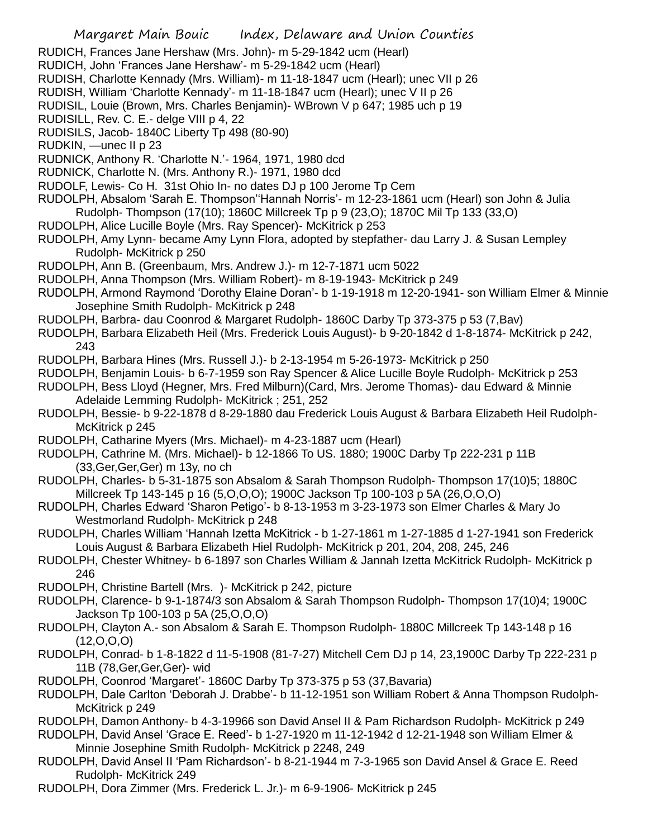RUDICH, Frances Jane Hershaw (Mrs. John)- m 5-29-1842 ucm (Hearl)

- RUDICH, John 'Frances Jane Hershaw'- m 5-29-1842 ucm (Hearl)
- RUDISH, Charlotte Kennady (Mrs. William)- m 11-18-1847 ucm (Hearl); unec VII p 26
- RUDISH, William 'Charlotte Kennady'- m 11-18-1847 ucm (Hearl); unec V II p 26
- RUDISIL, Louie (Brown, Mrs. Charles Benjamin)- WBrown V p 647; 1985 uch p 19

RUDISILL, Rev. C. E.- delge VIII p 4, 22

RUDISILS, Jacob- 1840C Liberty Tp 498 (80-90)

RUDKIN, —unec II p 23

- RUDNICK, Anthony R. 'Charlotte N.'- 1964, 1971, 1980 dcd
- RUDNICK, Charlotte N. (Mrs. Anthony R.)- 1971, 1980 dcd
- RUDOLF, Lewis- Co H. 31st Ohio In- no dates DJ p 100 Jerome Tp Cem
- RUDOLPH, Absalom 'Sarah E. Thompson''Hannah Norris'- m 12-23-1861 ucm (Hearl) son John & Julia Rudolph- Thompson (17(10); 1860C Millcreek Tp p 9 (23,O); 1870C Mil Tp 133 (33,O)
- RUDOLPH, Alice Lucille Boyle (Mrs. Ray Spencer)- McKitrick p 253
- RUDOLPH, Amy Lynn- became Amy Lynn Flora, adopted by stepfather- dau Larry J. & Susan Lempley Rudolph- McKitrick p 250
- RUDOLPH, Ann B. (Greenbaum, Mrs. Andrew J.)- m 12-7-1871 ucm 5022
- RUDOLPH, Anna Thompson (Mrs. William Robert)- m 8-19-1943- McKitrick p 249
- RUDOLPH, Armond Raymond 'Dorothy Elaine Doran'- b 1-19-1918 m 12-20-1941- son William Elmer & Minnie Josephine Smith Rudolph- McKitrick p 248
- RUDOLPH, Barbra- dau Coonrod & Margaret Rudolph- 1860C Darby Tp 373-375 p 53 (7,Bav)
- RUDOLPH, Barbara Elizabeth Heil (Mrs. Frederick Louis August)- b 9-20-1842 d 1-8-1874- McKitrick p 242, 243
- RUDOLPH, Barbara Hines (Mrs. Russell J.)- b 2-13-1954 m 5-26-1973- McKitrick p 250
- RUDOLPH, Benjamin Louis- b 6-7-1959 son Ray Spencer & Alice Lucille Boyle Rudolph- McKitrick p 253
- RUDOLPH, Bess Lloyd (Hegner, Mrs. Fred Milburn)(Card, Mrs. Jerome Thomas)- dau Edward & Minnie Adelaide Lemming Rudolph- McKitrick ; 251, 252
- RUDOLPH, Bessie- b 9-22-1878 d 8-29-1880 dau Frederick Louis August & Barbara Elizabeth Heil Rudolph-McKitrick p 245
- RUDOLPH, Catharine Myers (Mrs. Michael)- m 4-23-1887 ucm (Hearl)
- RUDOLPH, Cathrine M. (Mrs. Michael)- b 12-1866 To US. 1880; 1900C Darby Tp 222-231 p 11B (33,Ger,Ger,Ger) m 13y, no ch
- RUDOLPH, Charles- b 5-31-1875 son Absalom & Sarah Thompson Rudolph- Thompson 17(10)5; 1880C Millcreek Tp 143-145 p 16 (5,O,O,O); 1900C Jackson Tp 100-103 p 5A (26,O,O,O)
- RUDOLPH, Charles Edward 'Sharon Petigo'- b 8-13-1953 m 3-23-1973 son Elmer Charles & Mary Jo Westmorland Rudolph- McKitrick p 248
- RUDOLPH, Charles William 'Hannah Izetta McKitrick b 1-27-1861 m 1-27-1885 d 1-27-1941 son Frederick Louis August & Barbara Elizabeth Hiel Rudolph- McKitrick p 201, 204, 208, 245, 246
- RUDOLPH, Chester Whitney- b 6-1897 son Charles William & Jannah Izetta McKitrick Rudolph- McKitrick p 246
- RUDOLPH, Christine Bartell (Mrs. )- McKitrick p 242, picture
- RUDOLPH, Clarence- b 9-1-1874/3 son Absalom & Sarah Thompson Rudolph- Thompson 17(10)4; 1900C Jackson Tp 100-103 p 5A (25,O,O,O)
- RUDOLPH, Clayton A.- son Absalom & Sarah E. Thompson Rudolph- 1880C Millcreek Tp 143-148 p 16  $(12,0,0,0)$
- RUDOLPH, Conrad- b 1-8-1822 d 11-5-1908 (81-7-27) Mitchell Cem DJ p 14, 23,1900C Darby Tp 222-231 p 11B (78,Ger,Ger,Ger)- wid
- RUDOLPH, Coonrod 'Margaret'- 1860C Darby Tp 373-375 p 53 (37,Bavaria)
- RUDOLPH, Dale Carlton 'Deborah J. Drabbe'- b 11-12-1951 son William Robert & Anna Thompson Rudolph-McKitrick p 249
- RUDOLPH, Damon Anthony- b 4-3-19966 son David Ansel II & Pam Richardson Rudolph- McKitrick p 249
- RUDOLPH, David Ansel 'Grace E. Reed'- b 1-27-1920 m 11-12-1942 d 12-21-1948 son William Elmer & Minnie Josephine Smith Rudolph- McKitrick p 2248, 249
- RUDOLPH, David Ansel II 'Pam Richardson'- b 8-21-1944 m 7-3-1965 son David Ansel & Grace E. Reed Rudolph- McKitrick 249
- RUDOLPH, Dora Zimmer (Mrs. Frederick L. Jr.)- m 6-9-1906- McKitrick p 245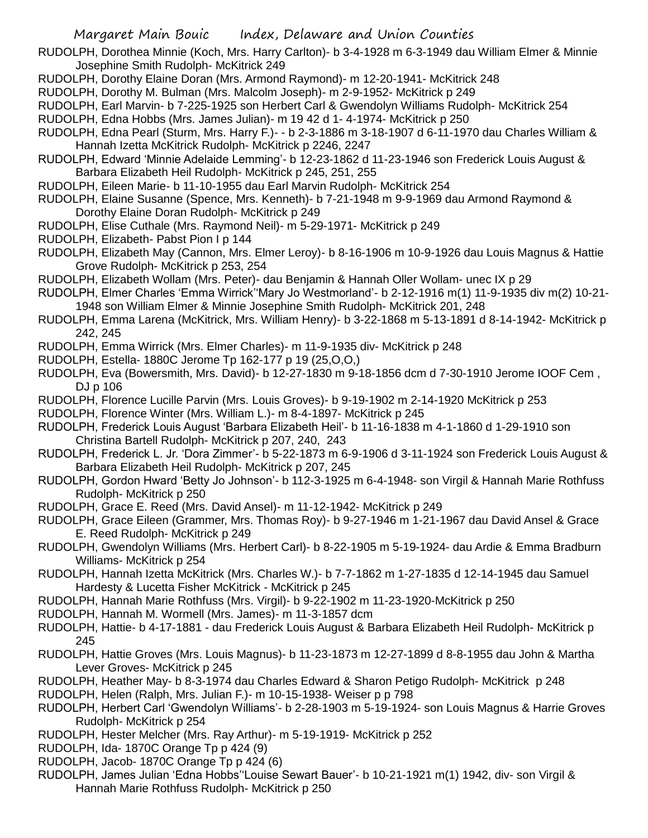- RUDOLPH, Dorothea Minnie (Koch, Mrs. Harry Carlton)- b 3-4-1928 m 6-3-1949 dau William Elmer & Minnie Josephine Smith Rudolph- McKitrick 249
- RUDOLPH, Dorothy Elaine Doran (Mrs. Armond Raymond)- m 12-20-1941- McKitrick 248
- RUDOLPH, Dorothy M. Bulman (Mrs. Malcolm Joseph)- m 2-9-1952- McKitrick p 249
- RUDOLPH, Earl Marvin- b 7-225-1925 son Herbert Carl & Gwendolyn Williams Rudolph- McKitrick 254
- RUDOLPH, Edna Hobbs (Mrs. James Julian)- m 19 42 d 1- 4-1974- McKitrick p 250
- RUDOLPH, Edna Pearl (Sturm, Mrs. Harry F.)- b 2-3-1886 m 3-18-1907 d 6-11-1970 dau Charles William & Hannah Izetta McKitrick Rudolph- McKitrick p 2246, 2247
- RUDOLPH, Edward 'Minnie Adelaide Lemming'- b 12-23-1862 d 11-23-1946 son Frederick Louis August & Barbara Elizabeth Heil Rudolph- McKitrick p 245, 251, 255
- RUDOLPH, Eileen Marie- b 11-10-1955 dau Earl Marvin Rudolph- McKitrick 254
- RUDOLPH, Elaine Susanne (Spence, Mrs. Kenneth)- b 7-21-1948 m 9-9-1969 dau Armond Raymond & Dorothy Elaine Doran Rudolph- McKitrick p 249
- RUDOLPH, Elise Cuthale (Mrs. Raymond Neil)- m 5-29-1971- McKitrick p 249
- RUDOLPH, Elizabeth- Pabst Pion I p 144
- RUDOLPH, Elizabeth May (Cannon, Mrs. Elmer Leroy)- b 8-16-1906 m 10-9-1926 dau Louis Magnus & Hattie Grove Rudolph- McKitrick p 253, 254
- RUDOLPH, Elizabeth Wollam (Mrs. Peter)- dau Benjamin & Hannah Oller Wollam- unec IX p 29
- RUDOLPH, Elmer Charles 'Emma Wirrick''Mary Jo Westmorland'- b 2-12-1916 m(1) 11-9-1935 div m(2) 10-21- 1948 son William Elmer & Minnie Josephine Smith Rudolph- McKitrick 201, 248
- RUDOLPH, Emma Larena (McKitrick, Mrs. William Henry)- b 3-22-1868 m 5-13-1891 d 8-14-1942- McKitrick p 242, 245
- RUDOLPH, Emma Wirrick (Mrs. Elmer Charles)- m 11-9-1935 div- McKitrick p 248
- RUDOLPH, Estella- 1880C Jerome Tp 162-177 p 19 (25,O,O,)
- RUDOLPH, Eva (Bowersmith, Mrs. David)- b 12-27-1830 m 9-18-1856 dcm d 7-30-1910 Jerome IOOF Cem , DJ p 106
- RUDOLPH, Florence Lucille Parvin (Mrs. Louis Groves)- b 9-19-1902 m 2-14-1920 McKitrick p 253
- RUDOLPH, Florence Winter (Mrs. William L.)- m 8-4-1897- McKitrick p 245
- RUDOLPH, Frederick Louis August 'Barbara Elizabeth Heil'- b 11-16-1838 m 4-1-1860 d 1-29-1910 son Christina Bartell Rudolph- McKitrick p 207, 240, 243
- RUDOLPH, Frederick L. Jr. 'Dora Zimmer'- b 5-22-1873 m 6-9-1906 d 3-11-1924 son Frederick Louis August & Barbara Elizabeth Heil Rudolph- McKitrick p 207, 245
- RUDOLPH, Gordon Hward 'Betty Jo Johnson'- b 112-3-1925 m 6-4-1948- son Virgil & Hannah Marie Rothfuss Rudolph- McKitrick p 250
- RUDOLPH, Grace E. Reed (Mrs. David Ansel)- m 11-12-1942- McKitrick p 249
- RUDOLPH, Grace Eileen (Grammer, Mrs. Thomas Roy)- b 9-27-1946 m 1-21-1967 dau David Ansel & Grace E. Reed Rudolph- McKitrick p 249
- RUDOLPH, Gwendolyn Williams (Mrs. Herbert Carl)- b 8-22-1905 m 5-19-1924- dau Ardie & Emma Bradburn Williams- McKitrick p 254
- RUDOLPH, Hannah Izetta McKitrick (Mrs. Charles W.)- b 7-7-1862 m 1-27-1835 d 12-14-1945 dau Samuel Hardesty & Lucetta Fisher McKitrick - McKitrick p 245
- RUDOLPH, Hannah Marie Rothfuss (Mrs. Virgil)- b 9-22-1902 m 11-23-1920-McKitrick p 250
- RUDOLPH, Hannah M. Wormell (Mrs. James)- m 11-3-1857 dcm
- RUDOLPH, Hattie- b 4-17-1881 dau Frederick Louis August & Barbara Elizabeth Heil Rudolph- McKitrick p 245
- RUDOLPH, Hattie Groves (Mrs. Louis Magnus)- b 11-23-1873 m 12-27-1899 d 8-8-1955 dau John & Martha Lever Groves- McKitrick p 245
- RUDOLPH, Heather May- b 8-3-1974 dau Charles Edward & Sharon Petigo Rudolph- McKitrick p 248
- RUDOLPH, Helen (Ralph, Mrs. Julian F.)- m 10-15-1938- Weiser p p 798
- RUDOLPH, Herbert Carl 'Gwendolyn Williams'- b 2-28-1903 m 5-19-1924- son Louis Magnus & Harrie Groves Rudolph- McKitrick p 254
- RUDOLPH, Hester Melcher (Mrs. Ray Arthur)- m 5-19-1919- McKitrick p 252
- RUDOLPH, Ida- 1870C Orange Tp p 424 (9)
- RUDOLPH, Jacob- 1870C Orange Tp p 424 (6)
- RUDOLPH, James Julian 'Edna Hobbs''Louise Sewart Bauer'- b 10-21-1921 m(1) 1942, div- son Virgil & Hannah Marie Rothfuss Rudolph- McKitrick p 250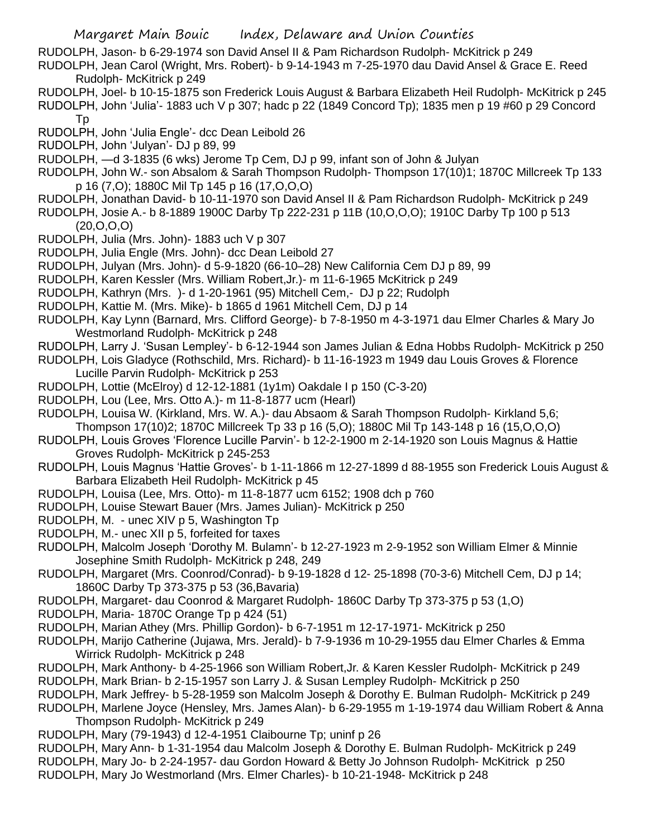RUDOLPH, Jason- b 6-29-1974 son David Ansel II & Pam Richardson Rudolph- McKitrick p 249

RUDOLPH, Jean Carol (Wright, Mrs. Robert)- b 9-14-1943 m 7-25-1970 dau David Ansel & Grace E. Reed Rudolph- McKitrick p 249

- RUDOLPH, Joel- b 10-15-1875 son Frederick Louis August & Barbara Elizabeth Heil Rudolph- McKitrick p 245
- RUDOLPH, John 'Julia'- 1883 uch V p 307; hadc p 22 (1849 Concord Tp); 1835 men p 19 #60 p 29 Concord Tp
- RUDOLPH, John 'Julia Engle'- dcc Dean Leibold 26
- RUDOLPH, John 'Julyan'- DJ p 89, 99

RUDOLPH, —d 3-1835 (6 wks) Jerome Tp Cem, DJ p 99, infant son of John & Julyan

- RUDOLPH, John W.- son Absalom & Sarah Thompson Rudolph- Thompson 17(10)1; 1870C Millcreek Tp 133 p 16 (7,O); 1880C Mil Tp 145 p 16 (17,O,O,O)
- RUDOLPH, Jonathan David- b 10-11-1970 son David Ansel II & Pam Richardson Rudolph- McKitrick p 249
- RUDOLPH, Josie A.- b 8-1889 1900C Darby Tp 222-231 p 11B (10,O,O,O); 1910C Darby Tp 100 p 513 (20,O,O,O)
- RUDOLPH, Julia (Mrs. John)- 1883 uch V p 307
- RUDOLPH, Julia Engle (Mrs. John)- dcc Dean Leibold 27
- RUDOLPH, Julyan (Mrs. John)- d 5-9-1820 (66-10–28) New California Cem DJ p 89, 99
- RUDOLPH, Karen Kessler (Mrs. William Robert,Jr.)- m 11-6-1965 McKitrick p 249
- RUDOLPH, Kathryn (Mrs. )- d 1-20-1961 (95) Mitchell Cem,- DJ p 22; Rudolph
- RUDOLPH, Kattie M. (Mrs. Mike)- b 1865 d 1961 Mitchell Cem, DJ p 14
- RUDOLPH, Kay Lynn (Barnard, Mrs. Clifford George)- b 7-8-1950 m 4-3-1971 dau Elmer Charles & Mary Jo Westmorland Rudolph- McKitrick p 248
- RUDOLPH, Larry J. 'Susan Lempley'- b 6-12-1944 son James Julian & Edna Hobbs Rudolph- McKitrick p 250
- RUDOLPH, Lois Gladyce (Rothschild, Mrs. Richard)- b 11-16-1923 m 1949 dau Louis Groves & Florence Lucille Parvin Rudolph- McKitrick p 253
- RUDOLPH, Lottie (McElroy) d 12-12-1881 (1y1m) Oakdale I p 150 (C-3-20)
- RUDOLPH, Lou (Lee, Mrs. Otto A.)- m 11-8-1877 ucm (Hearl)
- RUDOLPH, Louisa W. (Kirkland, Mrs. W. A.)- dau Absaom & Sarah Thompson Rudolph- Kirkland 5,6;
- Thompson 17(10)2; 1870C Millcreek Tp 33 p 16 (5,O); 1880C Mil Tp 143-148 p 16 (15,O,O,O)
- RUDOLPH, Louis Groves 'Florence Lucille Parvin'- b 12-2-1900 m 2-14-1920 son Louis Magnus & Hattie Groves Rudolph- McKitrick p 245-253
- RUDOLPH, Louis Magnus 'Hattie Groves'- b 1-11-1866 m 12-27-1899 d 88-1955 son Frederick Louis August & Barbara Elizabeth Heil Rudolph- McKitrick p 45
- RUDOLPH, Louisa (Lee, Mrs. Otto)- m 11-8-1877 ucm 6152; 1908 dch p 760
- RUDOLPH, Louise Stewart Bauer (Mrs. James Julian)- McKitrick p 250
- RUDOLPH, M. unec XIV p 5, Washington Tp
- RUDOLPH, M.- unec XII p 5, forfeited for taxes
- RUDOLPH, Malcolm Joseph 'Dorothy M. Bulamn'- b 12-27-1923 m 2-9-1952 son William Elmer & Minnie Josephine Smith Rudolph- McKitrick p 248, 249
- RUDOLPH, Margaret (Mrs. Coonrod/Conrad)- b 9-19-1828 d 12- 25-1898 (70-3-6) Mitchell Cem, DJ p 14; 1860C Darby Tp 373-375 p 53 (36,Bavaria)
- RUDOLPH, Margaret- dau Coonrod & Margaret Rudolph- 1860C Darby Tp 373-375 p 53 (1,O)
- RUDOLPH, Maria- 1870C Orange Tp p 424 (51)
- RUDOLPH, Marian Athey (Mrs. Phillip Gordon)- b 6-7-1951 m 12-17-1971- McKitrick p 250
- RUDOLPH, Marijo Catherine (Jujawa, Mrs. Jerald)- b 7-9-1936 m 10-29-1955 dau Elmer Charles & Emma Wirrick Rudolph- McKitrick p 248
- RUDOLPH, Mark Anthony- b 4-25-1966 son William Robert,Jr. & Karen Kessler Rudolph- McKitrick p 249
- RUDOLPH, Mark Brian- b 2-15-1957 son Larry J. & Susan Lempley Rudolph- McKitrick p 250
- RUDOLPH, Mark Jeffrey- b 5-28-1959 son Malcolm Joseph & Dorothy E. Bulman Rudolph- McKitrick p 249
- RUDOLPH, Marlene Joyce (Hensley, Mrs. James Alan)- b 6-29-1955 m 1-19-1974 dau William Robert & Anna Thompson Rudolph- McKitrick p 249
- RUDOLPH, Mary (79-1943) d 12-4-1951 Claibourne Tp; uninf p 26
- RUDOLPH, Mary Ann- b 1-31-1954 dau Malcolm Joseph & Dorothy E. Bulman Rudolph- McKitrick p 249 RUDOLPH, Mary Jo- b 2-24-1957- dau Gordon Howard & Betty Jo Johnson Rudolph- McKitrick p 250
- RUDOLPH, Mary Jo Westmorland (Mrs. Elmer Charles)- b 10-21-1948- McKitrick p 248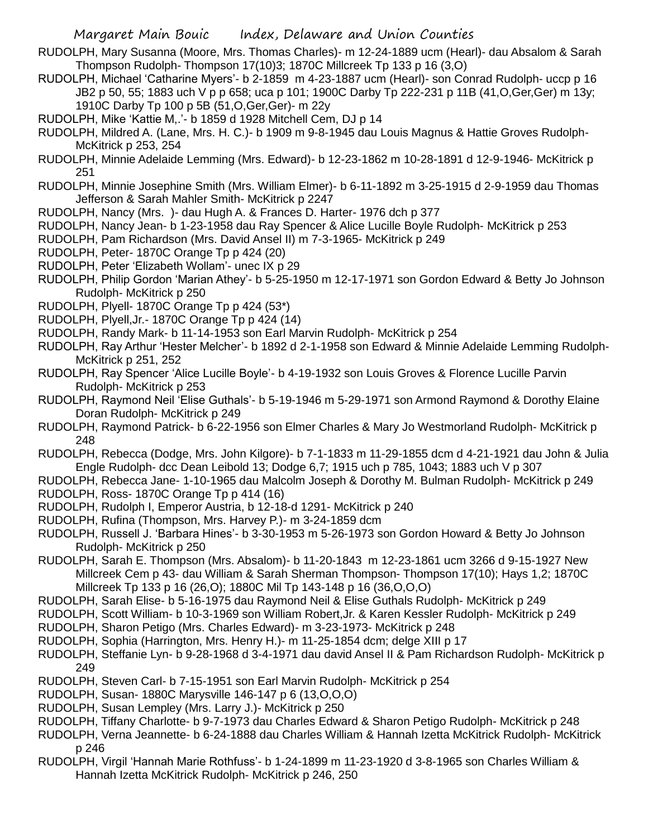- RUDOLPH, Mary Susanna (Moore, Mrs. Thomas Charles)- m 12-24-1889 ucm (Hearl)- dau Absalom & Sarah Thompson Rudolph- Thompson 17(10)3; 1870C Millcreek Tp 133 p 16 (3,O)
- RUDOLPH, Michael 'Catharine Myers'- b 2-1859 m 4-23-1887 ucm (Hearl)- son Conrad Rudolph- uccp p 16 JB2 p 50, 55; 1883 uch V p p 658; uca p 101; 1900C Darby Tp 222-231 p 11B (41,O,Ger,Ger) m 13y; 1910C Darby Tp 100 p 5B (51,O,Ger,Ger)- m 22y
- RUDOLPH, Mike 'Kattie M,.'- b 1859 d 1928 Mitchell Cem, DJ p 14
- RUDOLPH, Mildred A. (Lane, Mrs. H. C.)- b 1909 m 9-8-1945 dau Louis Magnus & Hattie Groves Rudolph-McKitrick p 253, 254
- RUDOLPH, Minnie Adelaide Lemming (Mrs. Edward)- b 12-23-1862 m 10-28-1891 d 12-9-1946- McKitrick p 251
- RUDOLPH, Minnie Josephine Smith (Mrs. William Elmer)- b 6-11-1892 m 3-25-1915 d 2-9-1959 dau Thomas Jefferson & Sarah Mahler Smith- McKitrick p 2247
- RUDOLPH, Nancy (Mrs. )- dau Hugh A. & Frances D. Harter- 1976 dch p 377
- RUDOLPH, Nancy Jean- b 1-23-1958 dau Ray Spencer & Alice Lucille Boyle Rudolph- McKitrick p 253
- RUDOLPH, Pam Richardson (Mrs. David Ansel II) m 7-3-1965- McKitrick p 249
- RUDOLPH, Peter- 1870C Orange Tp p 424 (20)
- RUDOLPH, Peter 'Elizabeth Wollam'- unec IX p 29
- RUDOLPH, Philip Gordon 'Marian Athey'- b 5-25-1950 m 12-17-1971 son Gordon Edward & Betty Jo Johnson Rudolph- McKitrick p 250
- RUDOLPH, Plyell- 1870C Orange Tp p 424 (53\*)
- RUDOLPH, Plyell,Jr.- 1870C Orange Tp p 424 (14)
- RUDOLPH, Randy Mark- b 11-14-1953 son Earl Marvin Rudolph- McKitrick p 254
- RUDOLPH, Ray Arthur 'Hester Melcher'- b 1892 d 2-1-1958 son Edward & Minnie Adelaide Lemming Rudolph-McKitrick p 251, 252
- RUDOLPH, Ray Spencer 'Alice Lucille Boyle'- b 4-19-1932 son Louis Groves & Florence Lucille Parvin Rudolph- McKitrick p 253
- RUDOLPH, Raymond Neil 'Elise Guthals'- b 5-19-1946 m 5-29-1971 son Armond Raymond & Dorothy Elaine Doran Rudolph- McKitrick p 249
- RUDOLPH, Raymond Patrick- b 6-22-1956 son Elmer Charles & Mary Jo Westmorland Rudolph- McKitrick p 248
- RUDOLPH, Rebecca (Dodge, Mrs. John Kilgore)- b 7-1-1833 m 11-29-1855 dcm d 4-21-1921 dau John & Julia Engle Rudolph- dcc Dean Leibold 13; Dodge 6,7; 1915 uch p 785, 1043; 1883 uch V p 307
- RUDOLPH, Rebecca Jane- 1-10-1965 dau Malcolm Joseph & Dorothy M. Bulman Rudolph- McKitrick p 249 RUDOLPH, Ross- 1870C Orange Tp p 414 (16)
- RUDOLPH, Rudolph I, Emperor Austria, b 12-18-d 1291- McKitrick p 240
- RUDOLPH, Rufina (Thompson, Mrs. Harvey P.)- m 3-24-1859 dcm
- RUDOLPH, Russell J. 'Barbara Hines'- b 3-30-1953 m 5-26-1973 son Gordon Howard & Betty Jo Johnson Rudolph- McKitrick p 250
- RUDOLPH, Sarah E. Thompson (Mrs. Absalom)- b 11-20-1843 m 12-23-1861 ucm 3266 d 9-15-1927 New Millcreek Cem p 43- dau William & Sarah Sherman Thompson- Thompson 17(10); Hays 1,2; 1870C Millcreek Tp 133 p 16 (26,O); 1880C Mil Tp 143-148 p 16 (36,O,O,O)
- RUDOLPH, Sarah Elise- b 5-16-1975 dau Raymond Neil & Elise Guthals Rudolph- McKitrick p 249
- RUDOLPH, Scott William- b 10-3-1969 son William Robert,Jr. & Karen Kessler Rudolph- McKitrick p 249
- RUDOLPH, Sharon Petigo (Mrs. Charles Edward)- m 3-23-1973- McKitrick p 248
- RUDOLPH, Sophia (Harrington, Mrs. Henry H.)- m 11-25-1854 dcm; delge XIII p 17
- RUDOLPH, Steffanie Lyn- b 9-28-1968 d 3-4-1971 dau david Ansel II & Pam Richardson Rudolph- McKitrick p 249
- RUDOLPH, Steven Carl- b 7-15-1951 son Earl Marvin Rudolph- McKitrick p 254
- RUDOLPH, Susan- 1880C Marysville 146-147 p 6 (13,O,O,O)
- RUDOLPH, Susan Lempley (Mrs. Larry J.)- McKitrick p 250
- RUDOLPH, Tiffany Charlotte- b 9-7-1973 dau Charles Edward & Sharon Petigo Rudolph- McKitrick p 248
- RUDOLPH, Verna Jeannette- b 6-24-1888 dau Charles William & Hannah Izetta McKitrick Rudolph- McKitrick p 246
- RUDOLPH, Virgil 'Hannah Marie Rothfuss'- b 1-24-1899 m 11-23-1920 d 3-8-1965 son Charles William & Hannah Izetta McKitrick Rudolph- McKitrick p 246, 250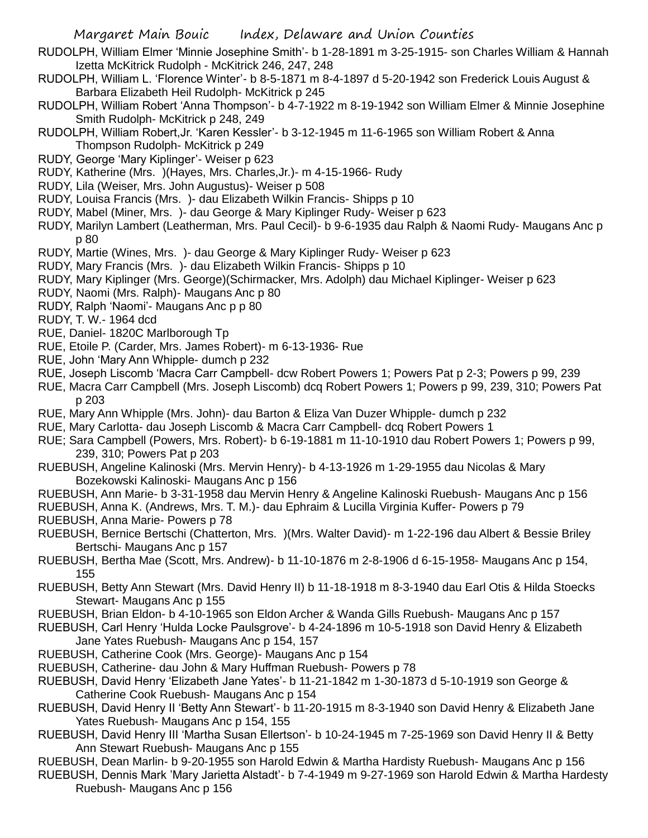- RUDOLPH, William Elmer 'Minnie Josephine Smith'- b 1-28-1891 m 3-25-1915- son Charles William & Hannah Izetta McKitrick Rudolph - McKitrick 246, 247, 248
- RUDOLPH, William L. 'Florence Winter'- b 8-5-1871 m 8-4-1897 d 5-20-1942 son Frederick Louis August & Barbara Elizabeth Heil Rudolph- McKitrick p 245
- RUDOLPH, William Robert 'Anna Thompson'- b 4-7-1922 m 8-19-1942 son William Elmer & Minnie Josephine Smith Rudolph- McKitrick p 248, 249
- RUDOLPH, William Robert,Jr. 'Karen Kessler'- b 3-12-1945 m 11-6-1965 son William Robert & Anna Thompson Rudolph- McKitrick p 249
- RUDY, George 'Mary Kiplinger'- Weiser p 623
- RUDY, Katherine (Mrs. )(Hayes, Mrs. Charles,Jr.)- m 4-15-1966- Rudy
- RUDY, Lila (Weiser, Mrs. John Augustus)- Weiser p 508
- RUDY, Louisa Francis (Mrs. )- dau Elizabeth Wilkin Francis- Shipps p 10
- RUDY, Mabel (Miner, Mrs. )- dau George & Mary Kiplinger Rudy- Weiser p 623
- RUDY, Marilyn Lambert (Leatherman, Mrs. Paul Cecil)- b 9-6-1935 dau Ralph & Naomi Rudy- Maugans Anc p p 80
- RUDY, Martie (Wines, Mrs. )- dau George & Mary Kiplinger Rudy- Weiser p 623
- RUDY, Mary Francis (Mrs. )- dau Elizabeth Wilkin Francis- Shipps p 10
- RUDY, Mary Kiplinger (Mrs. George)(Schirmacker, Mrs. Adolph) dau Michael Kiplinger- Weiser p 623
- RUDY, Naomi (Mrs. Ralph)- Maugans Anc p 80
- RUDY, Ralph 'Naomi'- Maugans Anc p p 80
- RUDY, T. W.- 1964 dcd
- RUE, Daniel- 1820C Marlborough Tp
- RUE, Etoile P. (Carder, Mrs. James Robert)- m 6-13-1936- Rue
- RUE, John 'Mary Ann Whipple- dumch p 232
- RUE, Joseph Liscomb 'Macra Carr Campbell- dcw Robert Powers 1; Powers Pat p 2-3; Powers p 99, 239
- RUE, Macra Carr Campbell (Mrs. Joseph Liscomb) dcq Robert Powers 1; Powers p 99, 239, 310; Powers Pat p 203
- RUE, Mary Ann Whipple (Mrs. John)- dau Barton & Eliza Van Duzer Whipple- dumch p 232
- RUE, Mary Carlotta- dau Joseph Liscomb & Macra Carr Campbell- dcq Robert Powers 1
- RUE; Sara Campbell (Powers, Mrs. Robert)- b 6-19-1881 m 11-10-1910 dau Robert Powers 1; Powers p 99, 239, 310; Powers Pat p 203
- RUEBUSH, Angeline Kalinoski (Mrs. Mervin Henry)- b 4-13-1926 m 1-29-1955 dau Nicolas & Mary Bozekowski Kalinoski- Maugans Anc p 156
- RUEBUSH, Ann Marie- b 3-31-1958 dau Mervin Henry & Angeline Kalinoski Ruebush- Maugans Anc p 156
- RUEBUSH, Anna K. (Andrews, Mrs. T. M.)- dau Ephraim & Lucilla Virginia Kuffer- Powers p 79
- RUEBUSH, Anna Marie- Powers p 78
- RUEBUSH, Bernice Bertschi (Chatterton, Mrs. )(Mrs. Walter David)- m 1-22-196 dau Albert & Bessie Briley Bertschi- Maugans Anc p 157
- RUEBUSH, Bertha Mae (Scott, Mrs. Andrew)- b 11-10-1876 m 2-8-1906 d 6-15-1958- Maugans Anc p 154, 155
- RUEBUSH, Betty Ann Stewart (Mrs. David Henry II) b 11-18-1918 m 8-3-1940 dau Earl Otis & Hilda Stoecks Stewart- Maugans Anc p 155
- RUEBUSH, Brian Eldon- b 4-10-1965 son Eldon Archer & Wanda Gills Ruebush- Maugans Anc p 157
- RUEBUSH, Carl Henry 'Hulda Locke Paulsgrove'- b 4-24-1896 m 10-5-1918 son David Henry & Elizabeth Jane Yates Ruebush- Maugans Anc p 154, 157
- RUEBUSH, Catherine Cook (Mrs. George)- Maugans Anc p 154
- RUEBUSH, Catherine- dau John & Mary Huffman Ruebush- Powers p 78
- RUEBUSH, David Henry 'Elizabeth Jane Yates'- b 11-21-1842 m 1-30-1873 d 5-10-1919 son George & Catherine Cook Ruebush- Maugans Anc p 154
- RUEBUSH, David Henry II 'Betty Ann Stewart'- b 11-20-1915 m 8-3-1940 son David Henry & Elizabeth Jane Yates Ruebush- Maugans Anc p 154, 155
- RUEBUSH, David Henry III 'Martha Susan Ellertson'- b 10-24-1945 m 7-25-1969 son David Henry II & Betty Ann Stewart Ruebush- Maugans Anc p 155
- RUEBUSH, Dean Marlin- b 9-20-1955 son Harold Edwin & Martha Hardisty Ruebush- Maugans Anc p 156
- RUEBUSH, Dennis Mark 'Mary Jarietta Alstadt'- b 7-4-1949 m 9-27-1969 son Harold Edwin & Martha Hardesty Ruebush- Maugans Anc p 156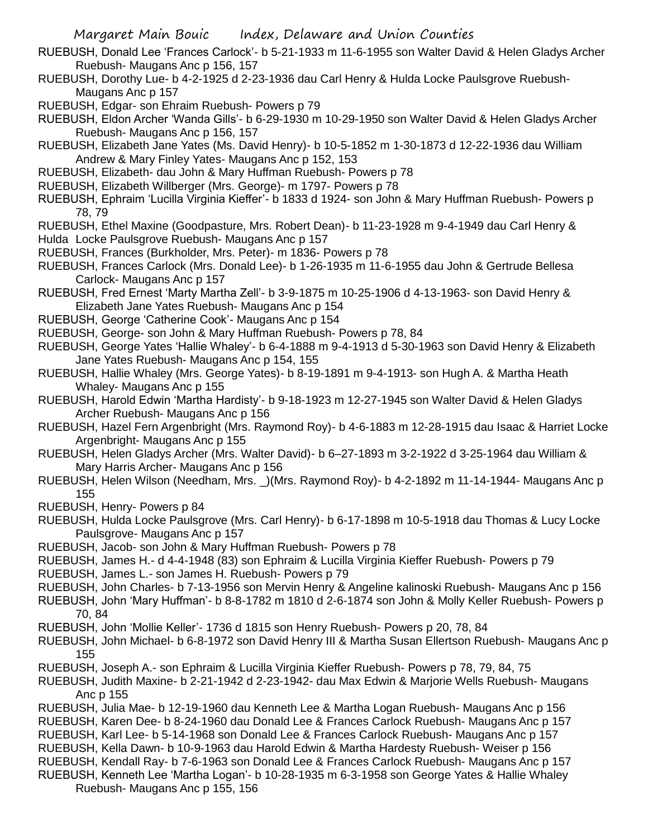- RUEBUSH, Donald Lee 'Frances Carlock'- b 5-21-1933 m 11-6-1955 son Walter David & Helen Gladys Archer Ruebush- Maugans Anc p 156, 157
- RUEBUSH, Dorothy Lue- b 4-2-1925 d 2-23-1936 dau Carl Henry & Hulda Locke Paulsgrove Ruebush-Maugans Anc p 157

RUEBUSH, Edgar- son Ehraim Ruebush- Powers p 79

- RUEBUSH, Eldon Archer 'Wanda Gills'- b 6-29-1930 m 10-29-1950 son Walter David & Helen Gladys Archer Ruebush- Maugans Anc p 156, 157
- RUEBUSH, Elizabeth Jane Yates (Ms. David Henry)- b 10-5-1852 m 1-30-1873 d 12-22-1936 dau William Andrew & Mary Finley Yates- Maugans Anc p 152, 153
- RUEBUSH, Elizabeth- dau John & Mary Huffman Ruebush- Powers p 78
- RUEBUSH, Elizabeth Willberger (Mrs. George)- m 1797- Powers p 78
- RUEBUSH, Ephraim 'Lucilla Virginia Kieffer'- b 1833 d 1924- son John & Mary Huffman Ruebush- Powers p 78, 79

RUEBUSH, Ethel Maxine (Goodpasture, Mrs. Robert Dean)- b 11-23-1928 m 9-4-1949 dau Carl Henry & Hulda Locke Paulsgrove Ruebush- Maugans Anc p 157

- RUEBUSH, Frances (Burkholder, Mrs. Peter)- m 1836- Powers p 78
- RUEBUSH, Frances Carlock (Mrs. Donald Lee)- b 1-26-1935 m 11-6-1955 dau John & Gertrude Bellesa Carlock- Maugans Anc p 157
- RUEBUSH, Fred Ernest 'Marty Martha Zell'- b 3-9-1875 m 10-25-1906 d 4-13-1963- son David Henry & Elizabeth Jane Yates Ruebush- Maugans Anc p 154
- RUEBUSH, George 'Catherine Cook'- Maugans Anc p 154
- RUEBUSH, George- son John & Mary Huffman Ruebush- Powers p 78, 84
- RUEBUSH, George Yates 'Hallie Whaley'- b 6-4-1888 m 9-4-1913 d 5-30-1963 son David Henry & Elizabeth Jane Yates Ruebush- Maugans Anc p 154, 155
- RUEBUSH, Hallie Whaley (Mrs. George Yates)- b 8-19-1891 m 9-4-1913- son Hugh A. & Martha Heath Whaley- Maugans Anc p 155
- RUEBUSH, Harold Edwin 'Martha Hardisty'- b 9-18-1923 m 12-27-1945 son Walter David & Helen Gladys Archer Ruebush- Maugans Anc p 156
- RUEBUSH, Hazel Fern Argenbright (Mrs. Raymond Roy)- b 4-6-1883 m 12-28-1915 dau Isaac & Harriet Locke Argenbright- Maugans Anc p 155
- RUEBUSH, Helen Gladys Archer (Mrs. Walter David)- b 6–27-1893 m 3-2-1922 d 3-25-1964 dau William & Mary Harris Archer- Maugans Anc p 156
- RUEBUSH, Helen Wilson (Needham, Mrs. \_)(Mrs. Raymond Roy)- b 4-2-1892 m 11-14-1944- Maugans Anc p 155
- RUEBUSH, Henry- Powers p 84
- RUEBUSH, Hulda Locke Paulsgrove (Mrs. Carl Henry)- b 6-17-1898 m 10-5-1918 dau Thomas & Lucy Locke Paulsgrove- Maugans Anc p 157
- RUEBUSH, Jacob- son John & Mary Huffman Ruebush- Powers p 78
- RUEBUSH, James H.- d 4-4-1948 (83) son Ephraim & Lucilla Virginia Kieffer Ruebush- Powers p 79
- RUEBUSH, James L.- son James H. Ruebush- Powers p 79
- RUEBUSH, John Charles- b 7-13-1956 son Mervin Henry & Angeline kalinoski Ruebush- Maugans Anc p 156
- RUEBUSH, John 'Mary Huffman'- b 8-8-1782 m 1810 d 2-6-1874 son John & Molly Keller Ruebush- Powers p 70, 84
- RUEBUSH, John 'Mollie Keller'- 1736 d 1815 son Henry Ruebush- Powers p 20, 78, 84
- RUEBUSH, John Michael- b 6-8-1972 son David Henry III & Martha Susan Ellertson Ruebush- Maugans Anc p 155
- RUEBUSH, Joseph A.- son Ephraim & Lucilla Virginia Kieffer Ruebush- Powers p 78, 79, 84, 75
- RUEBUSH, Judith Maxine- b 2-21-1942 d 2-23-1942- dau Max Edwin & Marjorie Wells Ruebush- Maugans Anc p 155
- RUEBUSH, Julia Mae- b 12-19-1960 dau Kenneth Lee & Martha Logan Ruebush- Maugans Anc p 156
- RUEBUSH, Karen Dee- b 8-24-1960 dau Donald Lee & Frances Carlock Ruebush- Maugans Anc p 157
- RUEBUSH, Karl Lee- b 5-14-1968 son Donald Lee & Frances Carlock Ruebush- Maugans Anc p 157
- RUEBUSH, Kella Dawn- b 10-9-1963 dau Harold Edwin & Martha Hardesty Ruebush- Weiser p 156
- RUEBUSH, Kendall Ray- b 7-6-1963 son Donald Lee & Frances Carlock Ruebush- Maugans Anc p 157
- RUEBUSH, Kenneth Lee 'Martha Logan'- b 10-28-1935 m 6-3-1958 son George Yates & Hallie Whaley Ruebush- Maugans Anc p 155, 156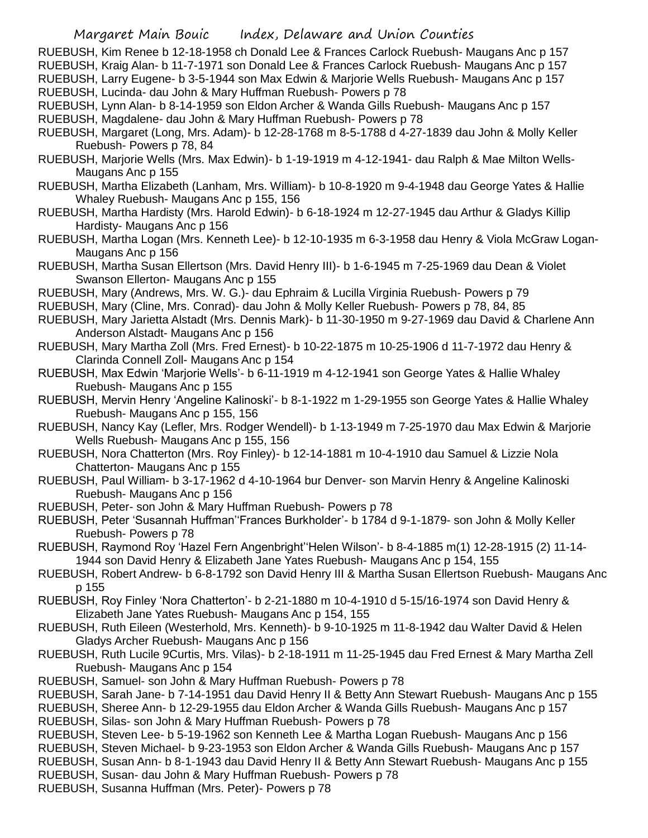- RUEBUSH, Kim Renee b 12-18-1958 ch Donald Lee & Frances Carlock Ruebush- Maugans Anc p 157 RUEBUSH, Kraig Alan- b 11-7-1971 son Donald Lee & Frances Carlock Ruebush- Maugans Anc p 157 RUEBUSH, Larry Eugene- b 3-5-1944 son Max Edwin & Marjorie Wells Ruebush- Maugans Anc p 157 RUEBUSH, Lucinda- dau John & Mary Huffman Ruebush- Powers p 78
- RUEBUSH, Lynn Alan- b 8-14-1959 son Eldon Archer & Wanda Gills Ruebush- Maugans Anc p 157 RUEBUSH, Magdalene- dau John & Mary Huffman Ruebush- Powers p 78
- RUEBUSH, Margaret (Long, Mrs. Adam)- b 12-28-1768 m 8-5-1788 d 4-27-1839 dau John & Molly Keller Ruebush- Powers p 78, 84
- RUEBUSH, Marjorie Wells (Mrs. Max Edwin)- b 1-19-1919 m 4-12-1941- dau Ralph & Mae Milton Wells-Maugans Anc p 155
- RUEBUSH, Martha Elizabeth (Lanham, Mrs. William)- b 10-8-1920 m 9-4-1948 dau George Yates & Hallie Whaley Ruebush- Maugans Anc p 155, 156
- RUEBUSH, Martha Hardisty (Mrs. Harold Edwin)- b 6-18-1924 m 12-27-1945 dau Arthur & Gladys Killip Hardisty- Maugans Anc p 156
- RUEBUSH, Martha Logan (Mrs. Kenneth Lee)- b 12-10-1935 m 6-3-1958 dau Henry & Viola McGraw Logan-Maugans Anc p 156
- RUEBUSH, Martha Susan Ellertson (Mrs. David Henry III)- b 1-6-1945 m 7-25-1969 dau Dean & Violet Swanson Ellerton- Maugans Anc p 155
- RUEBUSH, Mary (Andrews, Mrs. W. G.)- dau Ephraim & Lucilla Virginia Ruebush- Powers p 79
- RUEBUSH, Mary (Cline, Mrs. Conrad)- dau John & Molly Keller Ruebush- Powers p 78, 84, 85
- RUEBUSH, Mary Jarietta Alstadt (Mrs. Dennis Mark)- b 11-30-1950 m 9-27-1969 dau David & Charlene Ann Anderson Alstadt- Maugans Anc p 156
- RUEBUSH, Mary Martha Zoll (Mrs. Fred Ernest)- b 10-22-1875 m 10-25-1906 d 11-7-1972 dau Henry & Clarinda Connell Zoll- Maugans Anc p 154
- RUEBUSH, Max Edwin 'Marjorie Wells'- b 6-11-1919 m 4-12-1941 son George Yates & Hallie Whaley Ruebush- Maugans Anc p 155
- RUEBUSH, Mervin Henry 'Angeline Kalinoski'- b 8-1-1922 m 1-29-1955 son George Yates & Hallie Whaley Ruebush- Maugans Anc p 155, 156
- RUEBUSH, Nancy Kay (Lefler, Mrs. Rodger Wendell)- b 1-13-1949 m 7-25-1970 dau Max Edwin & Marjorie Wells Ruebush- Maugans Anc p 155, 156
- RUEBUSH, Nora Chatterton (Mrs. Roy Finley)- b 12-14-1881 m 10-4-1910 dau Samuel & Lizzie Nola Chatterton- Maugans Anc p 155
- RUEBUSH, Paul William- b 3-17-1962 d 4-10-1964 bur Denver- son Marvin Henry & Angeline Kalinoski Ruebush- Maugans Anc p 156
- RUEBUSH, Peter- son John & Mary Huffman Ruebush- Powers p 78
- RUEBUSH, Peter 'Susannah Huffman''Frances Burkholder'- b 1784 d 9-1-1879- son John & Molly Keller Ruebush- Powers p 78
- RUEBUSH, Raymond Roy 'Hazel Fern Angenbright''Helen Wilson'- b 8-4-1885 m(1) 12-28-1915 (2) 11-14- 1944 son David Henry & Elizabeth Jane Yates Ruebush- Maugans Anc p 154, 155
- RUEBUSH, Robert Andrew- b 6-8-1792 son David Henry III & Martha Susan Ellertson Ruebush- Maugans Anc p 155
- RUEBUSH, Roy Finley 'Nora Chatterton'- b 2-21-1880 m 10-4-1910 d 5-15/16-1974 son David Henry & Elizabeth Jane Yates Ruebush- Maugans Anc p 154, 155
- RUEBUSH, Ruth Eileen (Westerhold, Mrs. Kenneth)- b 9-10-1925 m 11-8-1942 dau Walter David & Helen Gladys Archer Ruebush- Maugans Anc p 156
- RUEBUSH, Ruth Lucile 9Curtis, Mrs. Vilas)- b 2-18-1911 m 11-25-1945 dau Fred Ernest & Mary Martha Zell Ruebush- Maugans Anc p 154
- RUEBUSH, Samuel- son John & Mary Huffman Ruebush- Powers p 78
- RUEBUSH, Sarah Jane- b 7-14-1951 dau David Henry II & Betty Ann Stewart Ruebush- Maugans Anc p 155
- RUEBUSH, Sheree Ann- b 12-29-1955 dau Eldon Archer & Wanda Gills Ruebush- Maugans Anc p 157
- RUEBUSH, Silas- son John & Mary Huffman Ruebush- Powers p 78
- RUEBUSH, Steven Lee- b 5-19-1962 son Kenneth Lee & Martha Logan Ruebush- Maugans Anc p 156
- RUEBUSH, Steven Michael- b 9-23-1953 son Eldon Archer & Wanda Gills Ruebush- Maugans Anc p 157
- RUEBUSH, Susan Ann- b 8-1-1943 dau David Henry II & Betty Ann Stewart Ruebush- Maugans Anc p 155
- RUEBUSH, Susan- dau John & Mary Huffman Ruebush- Powers p 78
- RUEBUSH, Susanna Huffman (Mrs. Peter)- Powers p 78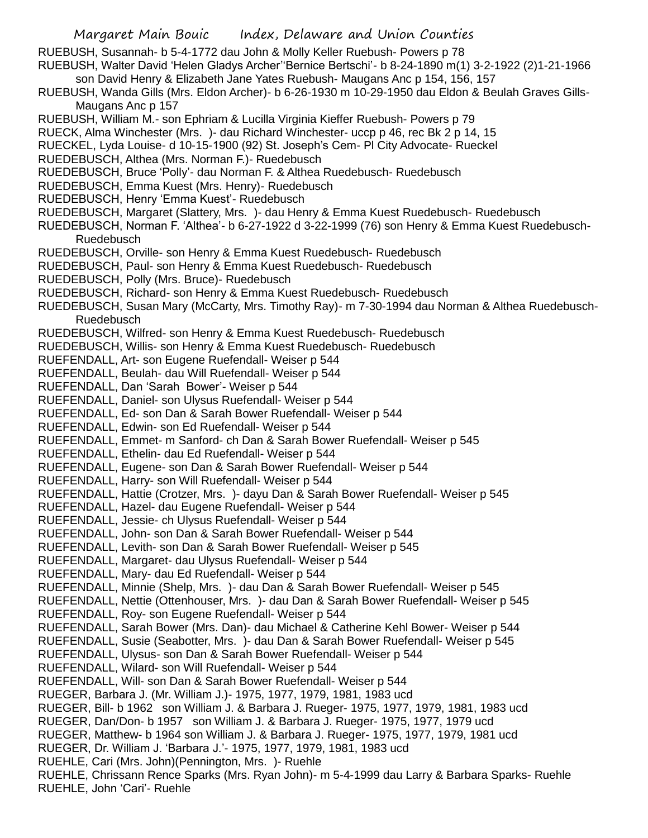Margaret Main Bouic Index, Delaware and Union Counties RUEBUSH, Susannah- b 5-4-1772 dau John & Molly Keller Ruebush- Powers p 78 RUEBUSH, Walter David 'Helen Gladys Archer''Bernice Bertschi'- b 8-24-1890 m(1) 3-2-1922 (2)1-21-1966 son David Henry & Elizabeth Jane Yates Ruebush- Maugans Anc p 154, 156, 157 RUEBUSH, Wanda Gills (Mrs. Eldon Archer)- b 6-26-1930 m 10-29-1950 dau Eldon & Beulah Graves Gills-Maugans Anc p 157 RUEBUSH, William M.- son Ephriam & Lucilla Virginia Kieffer Ruebush- Powers p 79 RUECK, Alma Winchester (Mrs. )- dau Richard Winchester- uccp p 46, rec Bk 2 p 14, 15 RUECKEL, Lyda Louise- d 10-15-1900 (92) St. Joseph's Cem- Pl City Advocate- Rueckel RUEDEBUSCH, Althea (Mrs. Norman F.)- Ruedebusch RUEDEBUSCH, Bruce 'Polly'- dau Norman F. & Althea Ruedebusch- Ruedebusch RUEDEBUSCH, Emma Kuest (Mrs. Henry)- Ruedebusch RUEDEBUSCH, Henry 'Emma Kuest'- Ruedebusch RUEDEBUSCH, Margaret (Slattery, Mrs. )- dau Henry & Emma Kuest Ruedebusch- Ruedebusch RUEDEBUSCH, Norman F. 'Althea'- b 6-27-1922 d 3-22-1999 (76) son Henry & Emma Kuest Ruedebusch-Ruedebusch RUEDEBUSCH, Orville- son Henry & Emma Kuest Ruedebusch- Ruedebusch RUEDEBUSCH, Paul- son Henry & Emma Kuest Ruedebusch- Ruedebusch RUEDEBUSCH, Polly (Mrs. Bruce)- Ruedebusch RUEDEBUSCH, Richard- son Henry & Emma Kuest Ruedebusch- Ruedebusch RUEDEBUSCH, Susan Mary (McCarty, Mrs. Timothy Ray)- m 7-30-1994 dau Norman & Althea Ruedebusch-Ruedebusch RUEDEBUSCH, Wilfred- son Henry & Emma Kuest Ruedebusch- Ruedebusch RUEDEBUSCH, Willis- son Henry & Emma Kuest Ruedebusch- Ruedebusch RUEFENDALL, Art- son Eugene Ruefendall- Weiser p 544 RUEFENDALL, Beulah- dau Will Ruefendall- Weiser p 544 RUEFENDALL, Dan 'Sarah Bower'- Weiser p 544 RUEFENDALL, Daniel- son Ulysus Ruefendall- Weiser p 544 RUEFENDALL, Ed- son Dan & Sarah Bower Ruefendall- Weiser p 544 RUEFENDALL, Edwin- son Ed Ruefendall- Weiser p 544 RUEFENDALL, Emmet- m Sanford- ch Dan & Sarah Bower Ruefendall- Weiser p 545 RUEFENDALL, Ethelin- dau Ed Ruefendall- Weiser p 544 RUEFENDALL, Eugene- son Dan & Sarah Bower Ruefendall- Weiser p 544 RUEFENDALL, Harry- son Will Ruefendall- Weiser p 544 RUEFENDALL, Hattie (Crotzer, Mrs. )- dayu Dan & Sarah Bower Ruefendall- Weiser p 545 RUEFENDALL, Hazel- dau Eugene Ruefendall- Weiser p 544 RUEFENDALL, Jessie- ch Ulysus Ruefendall- Weiser p 544 RUEFENDALL, John- son Dan & Sarah Bower Ruefendall- Weiser p 544 RUEFENDALL, Levith- son Dan & Sarah Bower Ruefendall- Weiser p 545 RUEFENDALL, Margaret- dau Ulysus Ruefendall- Weiser p 544 RUEFENDALL, Mary- dau Ed Ruefendall- Weiser p 544 RUEFENDALL, Minnie (Shelp, Mrs. )- dau Dan & Sarah Bower Ruefendall- Weiser p 545 RUEFENDALL, Nettie (Ottenhouser, Mrs. )- dau Dan & Sarah Bower Ruefendall- Weiser p 545 RUEFENDALL, Roy- son Eugene Ruefendall- Weiser p 544 RUEFENDALL, Sarah Bower (Mrs. Dan)- dau Michael & Catherine Kehl Bower- Weiser p 544 RUEFENDALL, Susie (Seabotter, Mrs. )- dau Dan & Sarah Bower Ruefendall- Weiser p 545 RUEFENDALL, Ulysus- son Dan & Sarah Bower Ruefendall- Weiser p 544 RUEFENDALL, Wilard- son Will Ruefendall- Weiser p 544 RUEFENDALL, Will- son Dan & Sarah Bower Ruefendall- Weiser p 544 RUEGER, Barbara J. (Mr. William J.)- 1975, 1977, 1979, 1981, 1983 ucd RUEGER, Bill- b 1962 son William J. & Barbara J. Rueger- 1975, 1977, 1979, 1981, 1983 ucd RUEGER, Dan/Don- b 1957 son William J. & Barbara J. Rueger- 1975, 1977, 1979 ucd RUEGER, Matthew- b 1964 son William J. & Barbara J. Rueger- 1975, 1977, 1979, 1981 ucd RUEGER, Dr. William J. 'Barbara J.'- 1975, 1977, 1979, 1981, 1983 ucd RUEHLE, Cari (Mrs. John)(Pennington, Mrs. )- Ruehle RUEHLE, Chrissann Rence Sparks (Mrs. Ryan John)- m 5-4-1999 dau Larry & Barbara Sparks- Ruehle RUEHLE, John 'Cari'- Ruehle